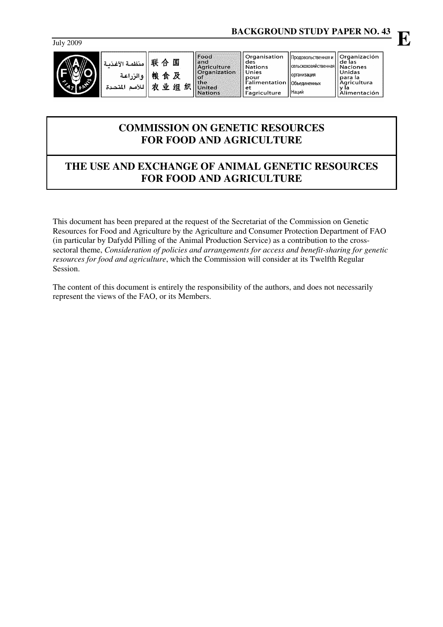| S<br>$\sim$ | منظمة الأغذسة<br>الزراعة<br>لمتحدة | 国<br>聨<br>क़<br>桹<br>及<br>食<br>织<br>Νŀ<br>组<br>÷tr | Food<br>land<br>Aariculture<br><b>Craanization</b><br>l⊗of<br>l the<br><b>United</b><br><b>Nations</b> | Organisation<br>des<br>l Nations<br>Unies<br>pour<br>r'alimentation   Объединенных<br>et<br>'agriculture | продовольственная и<br>. (сельскохозяйственная   Naciones<br>Порганизация<br>Наций | II Organización<br>l de las<br>Unidas<br>l para la<br>  Agricultura <br>v la<br>Alimentación |
|-------------|------------------------------------|----------------------------------------------------|--------------------------------------------------------------------------------------------------------|----------------------------------------------------------------------------------------------------------|------------------------------------------------------------------------------------|----------------------------------------------------------------------------------------------|
|-------------|------------------------------------|----------------------------------------------------|--------------------------------------------------------------------------------------------------------|----------------------------------------------------------------------------------------------------------|------------------------------------------------------------------------------------|----------------------------------------------------------------------------------------------|

# **COMMISSION ON GENETIC RESOURCES FOR FOOD AND AGRICULTURE**

# **THE USE AND EXCHANGE OF ANIMAL GENETIC RESOURCES FOR FOOD AND AGRICULTURE**

This document has been prepared at the request of the Secretariat of the Commission on Genetic Resources for Food and Agriculture by the Agriculture and Consumer Protection Department of FAO (in particular by Dafydd Pilling of the Animal Production Service) as a contribution to the crosssectoral theme, *Consideration of policies and arrangements for access and benefit-sharing for genetic resources for food and agriculture*, which the Commission will consider at its Twelfth Regular Session.

The content of this document is entirely the responsibility of the authors, and does not necessarily represent the views of the FAO, or its Members.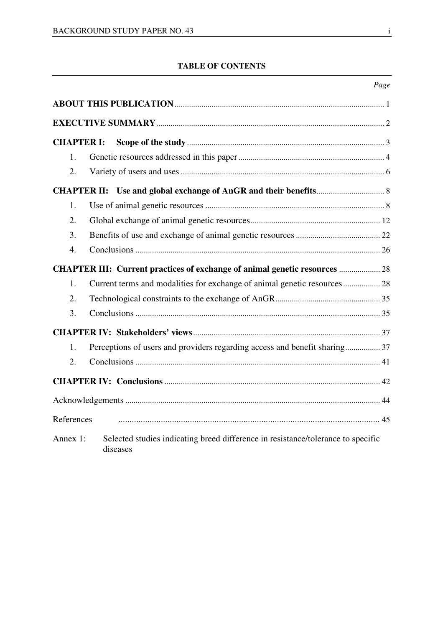# **TABLE OF CONTENTS**

| <b>CHAPTER I:</b> |                                                                                              |  |
|-------------------|----------------------------------------------------------------------------------------------|--|
| 1.                |                                                                                              |  |
| 2.                |                                                                                              |  |
|                   |                                                                                              |  |
| 1.                |                                                                                              |  |
| 2.                |                                                                                              |  |
| 3.                |                                                                                              |  |
| $\overline{4}$ .  |                                                                                              |  |
|                   | <b>CHAPTER III: Current practices of exchange of animal genetic resources  28</b>            |  |
| 1.                |                                                                                              |  |
| 2.                |                                                                                              |  |
| 3.                |                                                                                              |  |
|                   |                                                                                              |  |
| 1.                |                                                                                              |  |
| 2.                |                                                                                              |  |
|                   |                                                                                              |  |
|                   |                                                                                              |  |
| References        |                                                                                              |  |
| Annex 1:          | Selected studies indicating breed difference in resistance/tolerance to specific<br>diseases |  |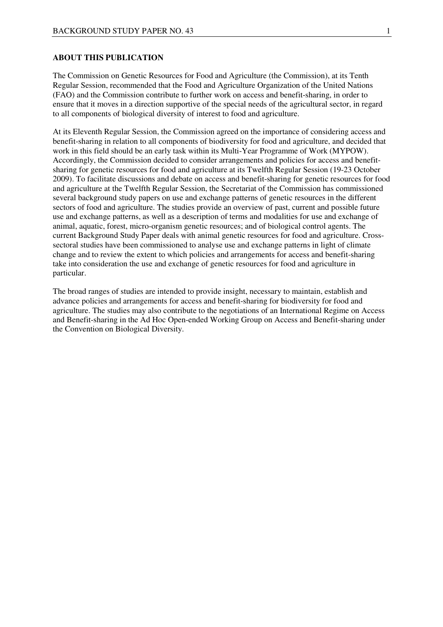### **ABOUT THIS PUBLICATION**

The Commission on Genetic Resources for Food and Agriculture (the Commission), at its Tenth Regular Session, recommended that the Food and Agriculture Organization of the United Nations (FAO) and the Commission contribute to further work on access and benefit-sharing, in order to ensure that it moves in a direction supportive of the special needs of the agricultural sector, in regard to all components of biological diversity of interest to food and agriculture.

At its Eleventh Regular Session, the Commission agreed on the importance of considering access and benefit-sharing in relation to all components of biodiversity for food and agriculture, and decided that work in this field should be an early task within its Multi-Year Programme of Work (MYPOW). Accordingly, the Commission decided to consider arrangements and policies for access and benefitsharing for genetic resources for food and agriculture at its Twelfth Regular Session (19-23 October 2009). To facilitate discussions and debate on access and benefit-sharing for genetic resources for food and agriculture at the Twelfth Regular Session, the Secretariat of the Commission has commissioned several background study papers on use and exchange patterns of genetic resources in the different sectors of food and agriculture. The studies provide an overview of past, current and possible future use and exchange patterns, as well as a description of terms and modalities for use and exchange of animal, aquatic, forest, micro-organism genetic resources; and of biological control agents. The current Background Study Paper deals with animal genetic resources for food and agriculture. Crosssectoral studies have been commissioned to analyse use and exchange patterns in light of climate change and to review the extent to which policies and arrangements for access and benefit-sharing take into consideration the use and exchange of genetic resources for food and agriculture in particular.

The broad ranges of studies are intended to provide insight, necessary to maintain, establish and advance policies and arrangements for access and benefit-sharing for biodiversity for food and agriculture. The studies may also contribute to the negotiations of an International Regime on Access and Benefit-sharing in the Ad Hoc Open-ended Working Group on Access and Benefit-sharing under the Convention on Biological Diversity.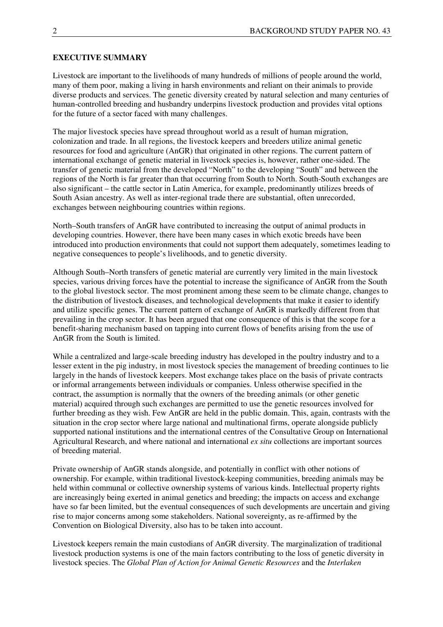# **EXECUTIVE SUMMARY**

Livestock are important to the livelihoods of many hundreds of millions of people around the world, many of them poor, making a living in harsh environments and reliant on their animals to provide diverse products and services. The genetic diversity created by natural selection and many centuries of human-controlled breeding and husbandry underpins livestock production and provides vital options for the future of a sector faced with many challenges.

The major livestock species have spread throughout world as a result of human migration, colonization and trade. In all regions, the livestock keepers and breeders utilize animal genetic resources for food and agriculture (AnGR) that originated in other regions. The current pattern of international exchange of genetic material in livestock species is, however, rather one-sided. The transfer of genetic material from the developed "North" to the developing "South" and between the regions of the North is far greater than that occurring from South to North. South-South exchanges are also significant – the cattle sector in Latin America, for example, predominantly utilizes breeds of South Asian ancestry. As well as inter-regional trade there are substantial, often unrecorded, exchanges between neighbouring countries within regions.

North–South transfers of AnGR have contributed to increasing the output of animal products in developing countries. However, there have been many cases in which exotic breeds have been introduced into production environments that could not support them adequately, sometimes leading to negative consequences to people's livelihoods, and to genetic diversity.

Although South–North transfers of genetic material are currently very limited in the main livestock species, various driving forces have the potential to increase the significance of AnGR from the South to the global livestock sector. The most prominent among these seem to be climate change, changes to the distribution of livestock diseases, and technological developments that make it easier to identify and utilize specific genes. The current pattern of exchange of AnGR is markedly different from that prevailing in the crop sector. It has been argued that one consequence of this is that the scope for a benefit-sharing mechanism based on tapping into current flows of benefits arising from the use of AnGR from the South is limited.

While a centralized and large-scale breeding industry has developed in the poultry industry and to a lesser extent in the pig industry, in most livestock species the management of breeding continues to lie largely in the hands of livestock keepers. Most exchange takes place on the basis of private contracts or informal arrangements between individuals or companies. Unless otherwise specified in the contract, the assumption is normally that the owners of the breeding animals (or other genetic material) acquired through such exchanges are permitted to use the genetic resources involved for further breeding as they wish. Few AnGR are held in the public domain. This, again, contrasts with the situation in the crop sector where large national and multinational firms, operate alongside publicly supported national institutions and the international centres of the Consultative Group on International Agricultural Research, and where national and international *ex situ* collections are important sources of breeding material.

Private ownership of AnGR stands alongside, and potentially in conflict with other notions of ownership. For example, within traditional livestock-keeping communities, breeding animals may be held within communal or collective ownership systems of various kinds. Intellectual property rights are increasingly being exerted in animal genetics and breeding; the impacts on access and exchange have so far been limited, but the eventual consequences of such developments are uncertain and giving rise to major concerns among some stakeholders. National sovereignty, as re-affirmed by the Convention on Biological Diversity, also has to be taken into account.

Livestock keepers remain the main custodians of AnGR diversity. The marginalization of traditional livestock production systems is one of the main factors contributing to the loss of genetic diversity in livestock species. The *Global Plan of Action for Animal Genetic Resources* and the *Interlaken*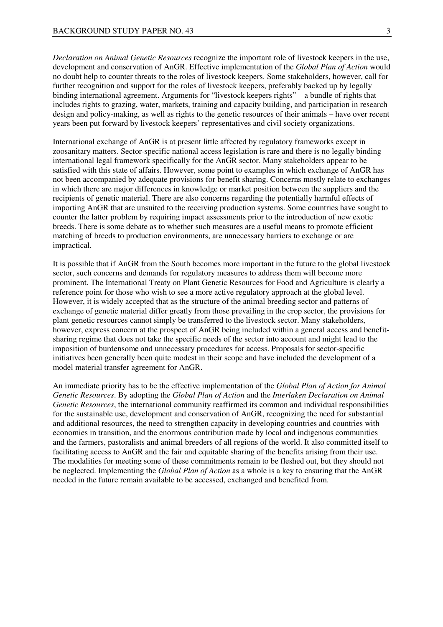*Declaration on Animal Genetic Resources* recognize the important role of livestock keepers in the use, development and conservation of AnGR. Effective implementation of the *Global Plan of Action* would no doubt help to counter threats to the roles of livestock keepers. Some stakeholders, however, call for further recognition and support for the roles of livestock keepers, preferably backed up by legally binding international agreement. Arguments for "livestock keepers rights" – a bundle of rights that includes rights to grazing, water, markets, training and capacity building, and participation in research design and policy-making, as well as rights to the genetic resources of their animals – have over recent years been put forward by livestock keepers' representatives and civil society organizations.

International exchange of AnGR is at present little affected by regulatory frameworks except in zoosanitary matters. Sector-specific national access legislation is rare and there is no legally binding international legal framework specifically for the AnGR sector. Many stakeholders appear to be satisfied with this state of affairs. However, some point to examples in which exchange of AnGR has not been accompanied by adequate provisions for benefit sharing. Concerns mostly relate to exchanges in which there are major differences in knowledge or market position between the suppliers and the recipients of genetic material. There are also concerns regarding the potentially harmful effects of importing AnGR that are unsuited to the receiving production systems. Some countries have sought to counter the latter problem by requiring impact assessments prior to the introduction of new exotic breeds. There is some debate as to whether such measures are a useful means to promote efficient matching of breeds to production environments, are unnecessary barriers to exchange or are impractical.

It is possible that if AnGR from the South becomes more important in the future to the global livestock sector, such concerns and demands for regulatory measures to address them will become more prominent. The International Treaty on Plant Genetic Resources for Food and Agriculture is clearly a reference point for those who wish to see a more active regulatory approach at the global level. However, it is widely accepted that as the structure of the animal breeding sector and patterns of exchange of genetic material differ greatly from those prevailing in the crop sector, the provisions for plant genetic resources cannot simply be transferred to the livestock sector. Many stakeholders, however, express concern at the prospect of AnGR being included within a general access and benefitsharing regime that does not take the specific needs of the sector into account and might lead to the imposition of burdensome and unnecessary procedures for access. Proposals for sector-specific initiatives been generally been quite modest in their scope and have included the development of a model material transfer agreement for AnGR.

An immediate priority has to be the effective implementation of the *Global Plan of Action for Animal Genetic Resources*. By adopting the *Global Plan of Action* and the *Interlaken Declaration on Animal Genetic Resources*, the international community reaffirmed its common and individual responsibilities for the sustainable use, development and conservation of AnGR, recognizing the need for substantial and additional resources, the need to strengthen capacity in developing countries and countries with economies in transition, and the enormous contribution made by local and indigenous communities and the farmers, pastoralists and animal breeders of all regions of the world. It also committed itself to facilitating access to AnGR and the fair and equitable sharing of the benefits arising from their use. The modalities for meeting some of these commitments remain to be fleshed out, but they should not be neglected. Implementing the *Global Plan of Action* as a whole is a key to ensuring that the AnGR needed in the future remain available to be accessed, exchanged and benefited from.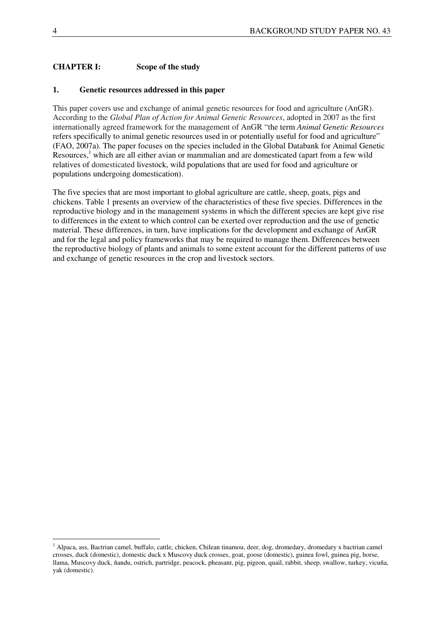# **CHAPTER I: Scope of the study**

# **1. Genetic resources addressed in this paper**

This paper covers use and exchange of animal genetic resources for food and agriculture (AnGR). According to the *Global Plan of Action for Animal Genetic Resources*, adopted in 2007 as the first internationally agreed framework for the management of AnGR "the term *Animal Genetic Resources*  refers specifically to animal genetic resources used in or potentially useful for food and agriculture" (FAO, 2007a). The paper focuses on the species included in the Global Databank for Animal Genetic Resources,<sup>1</sup> which are all either avian or mammalian and are domesticated (apart from a few wild relatives of domesticated livestock, wild populations that are used for food and agriculture or populations undergoing domestication).

The five species that are most important to global agriculture are cattle, sheep, goats, pigs and chickens. Table 1 presents an overview of the characteristics of these five species. Differences in the reproductive biology and in the management systems in which the different species are kept give rise to differences in the extent to which control can be exerted over reproduction and the use of genetic material. These differences, in turn, have implications for the development and exchange of AnGR and for the legal and policy frameworks that may be required to manage them. Differences between the reproductive biology of plants and animals to some extent account for the different patterns of use and exchange of genetic resources in the crop and livestock sectors.

<sup>&</sup>lt;sup>1</sup> Alpaca, ass, Bactrian camel, buffalo, cattle, chicken, Chilean tinamou, deer, dog, dromedary, dromedary x bactrian camel crosses, duck (domestic), domestic duck x Muscovy duck crosses, goat, goose (domestic), guinea fowl, guinea pig, horse, llama, Muscovy duck, ñandu, ostrich, partridge, peacock, pheasant, pig, pigeon, quail, rabbit, sheep, swallow, turkey, vicuña, yak (domestic).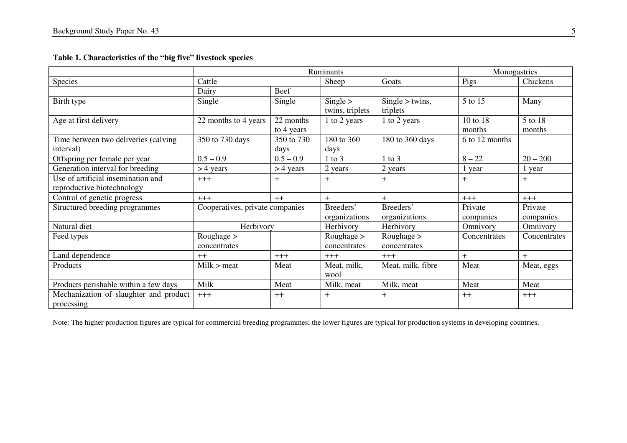**Table 1. Characteristics of the "big five" livestock species** 

|                                                                  | Ruminants                       |                         |                             |                              | Monogastrics         |                      |
|------------------------------------------------------------------|---------------------------------|-------------------------|-----------------------------|------------------------------|----------------------|----------------------|
| Species                                                          | Cattle                          |                         | Sheep                       | Goats                        | Pigs                 | Chickens             |
|                                                                  | Dairy                           | Beef                    |                             |                              |                      |                      |
| Birth type                                                       | Single                          | Single                  | Single ><br>twins, triplets | Single > twins,<br>triplets  | 5 to 15              | Many                 |
| Age at first delivery                                            | 22 months to 4 years            | 22 months<br>to 4 years | 1 to 2 years                | 1 to 2 years                 | 10 to 18<br>months   | 5 to 18<br>months    |
| Time between two deliveries (calving)<br>interval)               | 350 to 730 days                 | 350 to 730<br>days      | 180 to 360<br>days          | 180 to 360 days              | 6 to 12 months       |                      |
| Offspring per female per year                                    | $0.5 - 0.9$                     | $0.5 - 0.9$             | $1$ to $3$                  | $1$ to $3$                   | $8 - 22$             | $20 - 200$           |
| Generation interval for breeding                                 | $>$ 4 years                     | $>$ 4 years             | 2 years                     | 2 years                      | year                 | 1 year               |
| Use of artificial insemination and<br>reproductive biotechnology | $+++$                           | $+$                     | $+$                         | $\ddot{}$                    | $^{+}$               | $+$                  |
| Control of genetic progress                                      | $+++$                           | $++$                    | $+$                         | $+$                          | $^{+++}$             | $+++$                |
| Structured breeding programmes                                   | Cooperatives, private companies |                         | Breeders'<br>organizations  | Breeders'<br>organizations   | Private<br>companies | Private<br>companies |
| Natural diet                                                     | Herbivory                       |                         | Herbivory                   | Herbivory                    | Omnivory             | Omnivory             |
| Feed types                                                       | Roughage ><br>concentrates      |                         | Roughage<br>concentrates    | Roughage $>$<br>concentrates | Concentrates         | Concentrates         |
| Land dependence                                                  | $++$                            | $^{+++}$                | $^{+++}$                    | $+++$                        | $+$                  | $+$                  |
| Products                                                         | Milk > meat                     | Meat                    | Meat, milk,<br>wool         | Meat, milk, fibre            | Meat                 | Meat, eggs           |
| Products perishable within a few days                            | Milk                            | Meat                    | Milk, meat                  | Milk, meat                   | Meat                 | Meat                 |
| Mechanization of slaughter and product<br>processing             | $+++$                           | $++$                    | $+$                         | $\ddot{}$                    | $++$                 | $+++$                |

Note: The higher production figures are typical for commercial breeding programmes; the lower figures are typical for production systems in developing countries.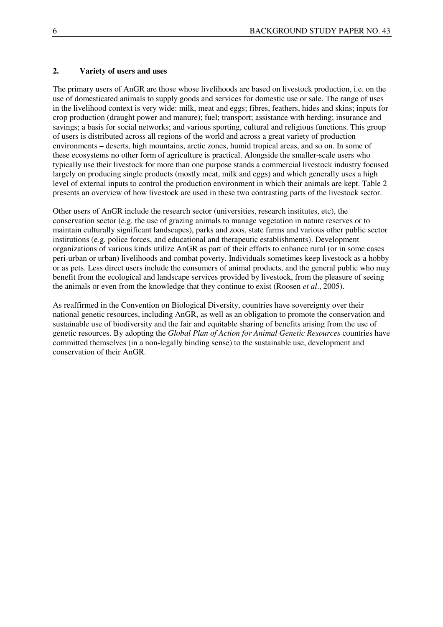### **2. Variety of users and uses**

The primary users of AnGR are those whose livelihoods are based on livestock production, i.e. on the use of domesticated animals to supply goods and services for domestic use or sale. The range of uses in the livelihood context is very wide: milk, meat and eggs; fibres, feathers, hides and skins; inputs for crop production (draught power and manure); fuel; transport; assistance with herding; insurance and savings; a basis for social networks; and various sporting, cultural and religious functions. This group of users is distributed across all regions of the world and across a great variety of production environments – deserts, high mountains, arctic zones, humid tropical areas, and so on. In some of these ecosystems no other form of agriculture is practical. Alongside the smaller-scale users who typically use their livestock for more than one purpose stands a commercial livestock industry focused largely on producing single products (mostly meat, milk and eggs) and which generally uses a high level of external inputs to control the production environment in which their animals are kept. Table 2 presents an overview of how livestock are used in these two contrasting parts of the livestock sector.

Other users of AnGR include the research sector (universities, research institutes, etc), the conservation sector (e.g. the use of grazing animals to manage vegetation in nature reserves or to maintain culturally significant landscapes), parks and zoos, state farms and various other public sector institutions (e.g. police forces, and educational and therapeutic establishments). Development organizations of various kinds utilize AnGR as part of their efforts to enhance rural (or in some cases peri-urban or urban) livelihoods and combat poverty. Individuals sometimes keep livestock as a hobby or as pets. Less direct users include the consumers of animal products, and the general public who may benefit from the ecological and landscape services provided by livestock, from the pleasure of seeing the animals or even from the knowledge that they continue to exist (Roosen *et al*., 2005).

As reaffirmed in the Convention on Biological Diversity, countries have sovereignty over their national genetic resources, including AnGR, as well as an obligation to promote the conservation and sustainable use of biodiversity and the fair and equitable sharing of benefits arising from the use of genetic resources. By adopting the *Global Plan of Action for Animal Genetic Resources* countries have committed themselves (in a non-legally binding sense) to the sustainable use, development and conservation of their AnGR.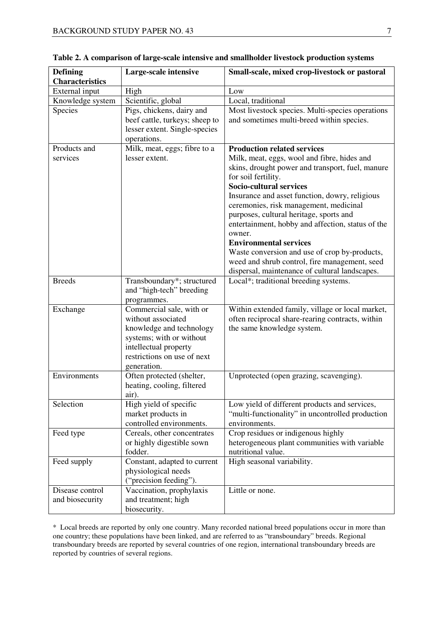| <b>Defining</b>                    | Large-scale intensive                                                                                                                                                         | Small-scale, mixed crop-livestock or pastoral                                                                                                                                                                                                                                                                                                                                                                                                                                                                                    |
|------------------------------------|-------------------------------------------------------------------------------------------------------------------------------------------------------------------------------|----------------------------------------------------------------------------------------------------------------------------------------------------------------------------------------------------------------------------------------------------------------------------------------------------------------------------------------------------------------------------------------------------------------------------------------------------------------------------------------------------------------------------------|
| <b>Characteristics</b>             |                                                                                                                                                                               |                                                                                                                                                                                                                                                                                                                                                                                                                                                                                                                                  |
| External input                     | High                                                                                                                                                                          | Low                                                                                                                                                                                                                                                                                                                                                                                                                                                                                                                              |
| Knowledge system                   | Scientific, global                                                                                                                                                            | Local, traditional                                                                                                                                                                                                                                                                                                                                                                                                                                                                                                               |
| Species                            | Pigs, chickens, dairy and<br>beef cattle, turkeys; sheep to<br>lesser extent. Single-species<br>operations.                                                                   | Most livestock species. Multi-species operations<br>and sometimes multi-breed within species.                                                                                                                                                                                                                                                                                                                                                                                                                                    |
| Products and<br>services           | Milk, meat, eggs; fibre to a<br>lesser extent.                                                                                                                                | <b>Production related services</b><br>Milk, meat, eggs, wool and fibre, hides and<br>skins, drought power and transport, fuel, manure<br>for soil fertility.<br>Socio-cultural services<br>Insurance and asset function, dowry, religious<br>ceremonies, risk management, medicinal<br>purposes, cultural heritage, sports and<br>entertainment, hobby and affection, status of the<br>owner.<br><b>Environmental services</b><br>Waste conversion and use of crop by-products,<br>weed and shrub control, fire management, seed |
| <b>Breeds</b>                      | Transboundary*; structured<br>and "high-tech" breeding<br>programmes.                                                                                                         | dispersal, maintenance of cultural landscapes.<br>Local*; traditional breeding systems.                                                                                                                                                                                                                                                                                                                                                                                                                                          |
| Exchange                           | Commercial sale, with or<br>without associated<br>knowledge and technology<br>systems; with or without<br>intellectual property<br>restrictions on use of next<br>generation. | Within extended family, village or local market,<br>often reciprocal share-rearing contracts, within<br>the same knowledge system.                                                                                                                                                                                                                                                                                                                                                                                               |
| Environments                       | Often protected (shelter,<br>heating, cooling, filtered<br>air).                                                                                                              | Unprotected (open grazing, scavenging).                                                                                                                                                                                                                                                                                                                                                                                                                                                                                          |
| Selection                          | High yield of specific<br>market products in<br>controlled environments.                                                                                                      | Low yield of different products and services,<br>"multi-functionality" in uncontrolled production<br>environments.                                                                                                                                                                                                                                                                                                                                                                                                               |
| Feed type                          | Cereals, other concentrates<br>or highly digestible sown<br>fodder.                                                                                                           | Crop residues or indigenous highly<br>heterogeneous plant communities with variable<br>nutritional value.                                                                                                                                                                                                                                                                                                                                                                                                                        |
| Feed supply                        | Constant, adapted to current<br>physiological needs<br>("precision feeding").                                                                                                 | High seasonal variability.                                                                                                                                                                                                                                                                                                                                                                                                                                                                                                       |
| Disease control<br>and biosecurity | Vaccination, prophylaxis<br>and treatment; high<br>biosecurity.                                                                                                               | Little or none.                                                                                                                                                                                                                                                                                                                                                                                                                                                                                                                  |

|  |  |  | Table 2. A comparison of large-scale intensive and smallholder livestock production systems |
|--|--|--|---------------------------------------------------------------------------------------------|
|  |  |  |                                                                                             |
|  |  |  |                                                                                             |

\* Local breeds are reported by only one country. Many recorded national breed populations occur in more than one country; these populations have been linked, and are referred to as "transboundary" breeds. Regional transboundary breeds are reported by several countries of one region, international transboundary breeds are reported by countries of several regions.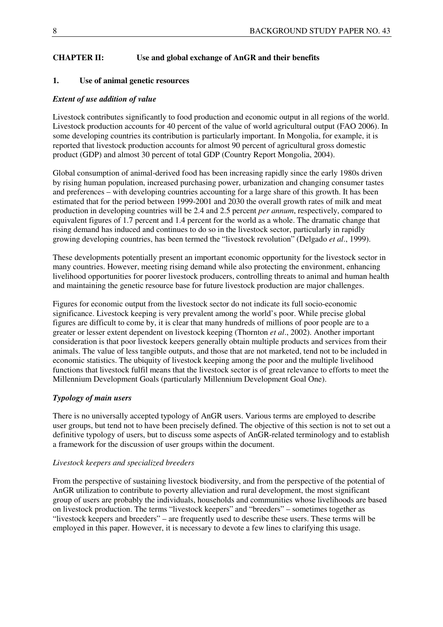# **CHAPTER II: Use and global exchange of AnGR and their benefits**

# **1. Use of animal genetic resources**

# *Extent of use addition of value*

Livestock contributes significantly to food production and economic output in all regions of the world. Livestock production accounts for 40 percent of the value of world agricultural output (FAO 2006). In some developing countries its contribution is particularly important. In Mongolia, for example, it is reported that livestock production accounts for almost 90 percent of agricultural gross domestic product (GDP) and almost 30 percent of total GDP (Country Report Mongolia, 2004).

Global consumption of animal-derived food has been increasing rapidly since the early 1980s driven by rising human population, increased purchasing power, urbanization and changing consumer tastes and preferences – with developing countries accounting for a large share of this growth. It has been estimated that for the period between 1999-2001 and 2030 the overall growth rates of milk and meat production in developing countries will be 2.4 and 2.5 percent *per annum*, respectively, compared to equivalent figures of 1.7 percent and 1.4 percent for the world as a whole. The dramatic change that rising demand has induced and continues to do so in the livestock sector, particularly in rapidly growing developing countries, has been termed the "livestock revolution" (Delgado *et al*., 1999).

These developments potentially present an important economic opportunity for the livestock sector in many countries. However, meeting rising demand while also protecting the environment, enhancing livelihood opportunities for poorer livestock producers, controlling threats to animal and human health and maintaining the genetic resource base for future livestock production are major challenges.

Figures for economic output from the livestock sector do not indicate its full socio-economic significance. Livestock keeping is very prevalent among the world's poor. While precise global figures are difficult to come by, it is clear that many hundreds of millions of poor people are to a greater or lesser extent dependent on livestock keeping (Thornton *et al*., 2002). Another important consideration is that poor livestock keepers generally obtain multiple products and services from their animals. The value of less tangible outputs, and those that are not marketed, tend not to be included in economic statistics. The ubiquity of livestock keeping among the poor and the multiple livelihood functions that livestock fulfil means that the livestock sector is of great relevance to efforts to meet the Millennium Development Goals (particularly Millennium Development Goal One).

# *Typology of main users*

There is no universally accepted typology of AnGR users. Various terms are employed to describe user groups, but tend not to have been precisely defined. The objective of this section is not to set out a definitive typology of users, but to discuss some aspects of AnGR-related terminology and to establish a framework for the discussion of user groups within the document.

# *Livestock keepers and specialized breeders*

From the perspective of sustaining livestock biodiversity, and from the perspective of the potential of AnGR utilization to contribute to poverty alleviation and rural development, the most significant group of users are probably the individuals, households and communities whose livelihoods are based on livestock production. The terms "livestock keepers" and "breeders" – sometimes together as "livestock keepers and breeders" – are frequently used to describe these users. These terms will be employed in this paper. However, it is necessary to devote a few lines to clarifying this usage.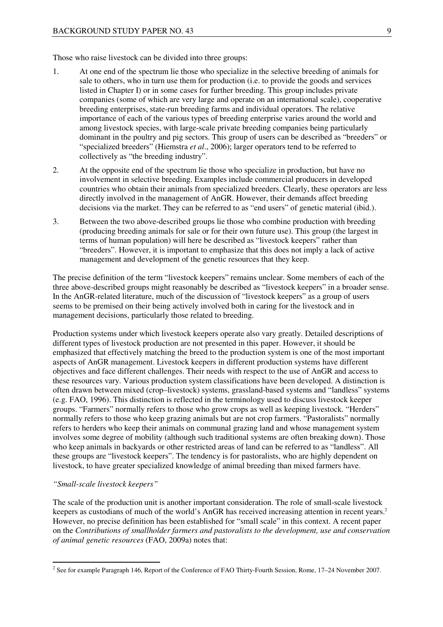Those who raise livestock can be divided into three groups:

- 1. At one end of the spectrum lie those who specialize in the selective breeding of animals for sale to others, who in turn use them for production (i.e. to provide the goods and services listed in Chapter I) or in some cases for further breeding. This group includes private companies (some of which are very large and operate on an international scale), cooperative breeding enterprises, state-run breeding farms and individual operators. The relative importance of each of the various types of breeding enterprise varies around the world and among livestock species, with large-scale private breeding companies being particularly dominant in the poultry and pig sectors. This group of users can be described as "breeders" or "specialized breeders" (Hiemstra *et al*., 2006); larger operators tend to be referred to collectively as "the breeding industry".
- 2. At the opposite end of the spectrum lie those who specialize in production, but have no involvement in selective breeding. Examples include commercial producers in developed countries who obtain their animals from specialized breeders. Clearly, these operators are less directly involved in the management of AnGR. However, their demands affect breeding decisions via the market. They can be referred to as "end users" of genetic material (ibid.).
- 3. Between the two above-described groups lie those who combine production with breeding (producing breeding animals for sale or for their own future use). This group (the largest in terms of human population) will here be described as "livestock keepers" rather than "breeders". However, it is important to emphasize that this does not imply a lack of active management and development of the genetic resources that they keep.

The precise definition of the term "livestock keepers" remains unclear. Some members of each of the three above-described groups might reasonably be described as "livestock keepers" in a broader sense. In the AnGR-related literature, much of the discussion of "livestock keepers" as a group of users seems to be premised on their being actively involved both in caring for the livestock and in management decisions, particularly those related to breeding.

Production systems under which livestock keepers operate also vary greatly. Detailed descriptions of different types of livestock production are not presented in this paper. However, it should be emphasized that effectively matching the breed to the production system is one of the most important aspects of AnGR management. Livestock keepers in different production systems have different objectives and face different challenges. Their needs with respect to the use of AnGR and access to these resources vary. Various production system classifications have been developed. A distinction is often drawn between mixed (crop–livestock) systems, grassland-based systems and "landless" systems (e.g. FAO, 1996). This distinction is reflected in the terminology used to discuss livestock keeper groups. "Farmers" normally refers to those who grow crops as well as keeping livestock. "Herders" normally refers to those who keep grazing animals but are not crop farmers. "Pastoralists" normally refers to herders who keep their animals on communal grazing land and whose management system involves some degree of mobility (although such traditional systems are often breaking down). Those who keep animals in backyards or other restricted areas of land can be referred to as "landless". All these groups are "livestock keepers". The tendency is for pastoralists, who are highly dependent on livestock, to have greater specialized knowledge of animal breeding than mixed farmers have.

### *"Small-scale livestock keepers"*

The scale of the production unit is another important consideration. The role of small-scale livestock keepers as custodians of much of the world's AnGR has received increasing attention in recent years.<sup>2</sup> However, no precise definition has been established for "small scale" in this context. A recent paper on the *Contributions of smallholder farmers and pastoralists to the development, use and conservation of animal genetic resources* (FAO, 2009a) notes that:

<sup>&</sup>lt;sup>2</sup> See for example Paragraph 146, Report of the Conference of FAO Thirty-Fourth Session, Rome, 17–24 November 2007.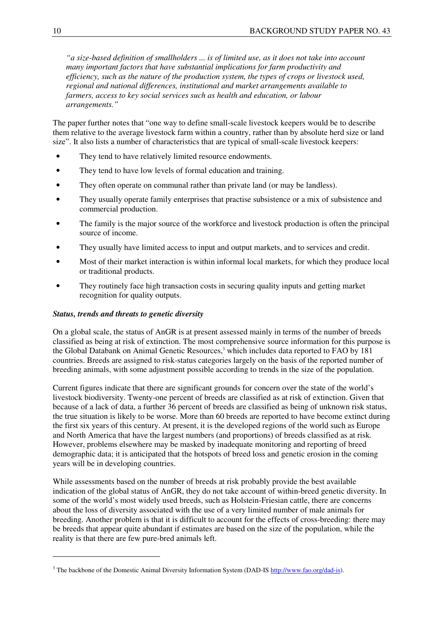*"a size-based definition of smallholders ... is of limited use, as it does not take into account many important factors that have substantial implications for farm productivity and efficiency, such as the nature of the production system, the types of crops or livestock used, regional and national differences, institutional and market arrangements available to farmers, access to key social services such as health and education, or labour arrangements."* 

The paper further notes that "one way to define small-scale livestock keepers would be to describe them relative to the average livestock farm within a country, rather than by absolute herd size or land size". It also lists a number of characteristics that are typical of small-scale livestock keepers:

- They tend to have relatively limited resource endowments.
- They tend to have low levels of formal education and training.
- They often operate on communal rather than private land (or may be landless).
- They usually operate family enterprises that practise subsistence or a mix of subsistence and commercial production.
- The family is the major source of the workforce and livestock production is often the principal source of income.
- They usually have limited access to input and output markets, and to services and credit.
- Most of their market interaction is within informal local markets, for which they produce local or traditional products.
- They routinely face high transaction costs in securing quality inputs and getting market recognition for quality outputs.

# *Status, trends and threats to genetic diversity*

On a global scale, the status of AnGR is at present assessed mainly in terms of the number of breeds classified as being at risk of extinction. The most comprehensive source information for this purpose is the Global Databank on Animal Genetic Resources,<sup>3</sup> which includes data reported to FAO by 181 countries. Breeds are assigned to risk-status categories largely on the basis of the reported number of breeding animals, with some adjustment possible according to trends in the size of the population.

Current figures indicate that there are significant grounds for concern over the state of the world's livestock biodiversity. Twenty-one percent of breeds are classified as at risk of extinction. Given that because of a lack of data, a further 36 percent of breeds are classified as being of unknown risk status, the true situation is likely to be worse. More than 60 breeds are reported to have become extinct during the first six years of this century. At present, it is the developed regions of the world such as Europe and North America that have the largest numbers (and proportions) of breeds classified as at risk. However, problems elsewhere may be masked by inadequate monitoring and reporting of breed demographic data; it is anticipated that the hotspots of breed loss and genetic erosion in the coming years will be in developing countries.

While assessments based on the number of breeds at risk probably provide the best available indication of the global status of AnGR, they do not take account of within-breed genetic diversity. In some of the world's most widely used breeds, such as Holstein-Friesian cattle, there are concerns about the loss of diversity associated with the use of a very limited number of male animals for breeding. Another problem is that it is difficult to account for the effects of cross-breeding: there may be breeds that appear quite abundant if estimates are based on the size of the population, while the reality is that there are few pure-bred animals left.

<sup>&</sup>lt;sup>3</sup> The backbone of the Domestic Animal Diversity Information System (DAD-IS http://www.fao.org/dad-is).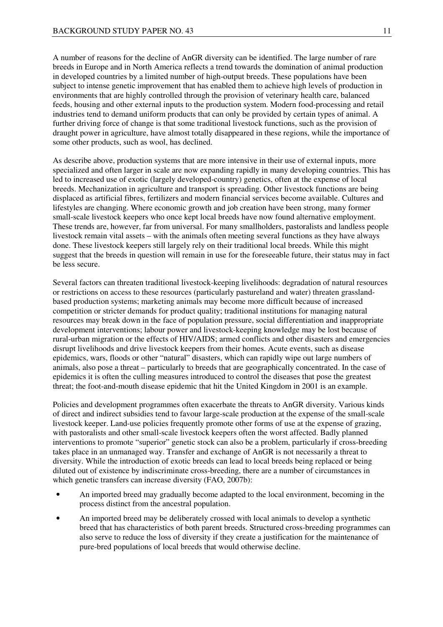A number of reasons for the decline of AnGR diversity can be identified. The large number of rare breeds in Europe and in North America reflects a trend towards the domination of animal production in developed countries by a limited number of high-output breeds. These populations have been subject to intense genetic improvement that has enabled them to achieve high levels of production in environments that are highly controlled through the provision of veterinary health care, balanced feeds, housing and other external inputs to the production system. Modern food-processing and retail industries tend to demand uniform products that can only be provided by certain types of animal. A further driving force of change is that some traditional livestock functions, such as the provision of draught power in agriculture, have almost totally disappeared in these regions, while the importance of some other products, such as wool, has declined.

As describe above, production systems that are more intensive in their use of external inputs, more specialized and often larger in scale are now expanding rapidly in many developing countries. This has led to increased use of exotic (largely developed-country) genetics, often at the expense of local breeds. Mechanization in agriculture and transport is spreading. Other livestock functions are being displaced as artificial fibres, fertilizers and modern financial services become available. Cultures and lifestyles are changing. Where economic growth and job creation have been strong, many former small-scale livestock keepers who once kept local breeds have now found alternative employment. These trends are, however, far from universal. For many smallholders, pastoralists and landless people livestock remain vital assets – with the animals often meeting several functions as they have always done. These livestock keepers still largely rely on their traditional local breeds. While this might suggest that the breeds in question will remain in use for the foreseeable future, their status may in fact be less secure.

Several factors can threaten traditional livestock-keeping livelihoods: degradation of natural resources or restrictions on access to these resources (particularly pastureland and water) threaten grasslandbased production systems; marketing animals may become more difficult because of increased competition or stricter demands for product quality; traditional institutions for managing natural resources may break down in the face of population pressure, social differentiation and inappropriate development interventions; labour power and livestock-keeping knowledge may be lost because of rural-urban migration or the effects of HIV/AIDS; armed conflicts and other disasters and emergencies disrupt livelihoods and drive livestock keepers from their homes. Acute events, such as disease epidemics, wars, floods or other "natural" disasters, which can rapidly wipe out large numbers of animals, also pose a threat – particularly to breeds that are geographically concentrated. In the case of epidemics it is often the culling measures introduced to control the diseases that pose the greatest threat; the foot-and-mouth disease epidemic that hit the United Kingdom in 2001 is an example.

Policies and development programmes often exacerbate the threats to AnGR diversity. Various kinds of direct and indirect subsidies tend to favour large-scale production at the expense of the small-scale livestock keeper. Land-use policies frequently promote other forms of use at the expense of grazing, with pastoralists and other small-scale livestock keepers often the worst affected. Badly planned interventions to promote "superior" genetic stock can also be a problem, particularly if cross-breeding takes place in an unmanaged way. Transfer and exchange of AnGR is not necessarily a threat to diversity. While the introduction of exotic breeds can lead to local breeds being replaced or being diluted out of existence by indiscriminate cross-breeding, there are a number of circumstances in which genetic transfers can increase diversity (FAO, 2007b):

- An imported breed may gradually become adapted to the local environment, becoming in the process distinct from the ancestral population.
- An imported breed may be deliberately crossed with local animals to develop a synthetic breed that has characteristics of both parent breeds. Structured cross-breeding programmes can also serve to reduce the loss of diversity if they create a justification for the maintenance of pure-bred populations of local breeds that would otherwise decline.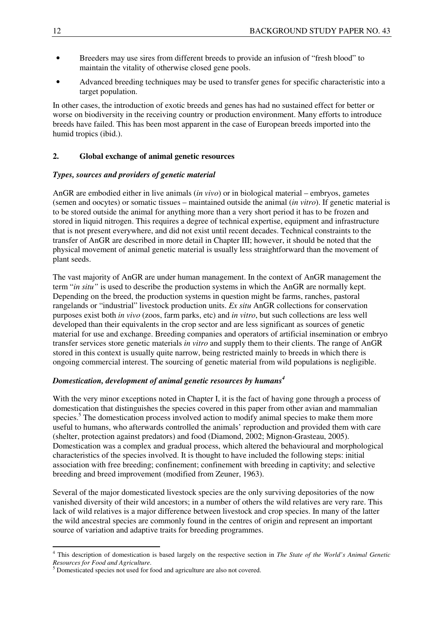- Breeders may use sires from different breeds to provide an infusion of "fresh blood" to maintain the vitality of otherwise closed gene pools.
- Advanced breeding techniques may be used to transfer genes for specific characteristic into a target population.

In other cases, the introduction of exotic breeds and genes has had no sustained effect for better or worse on biodiversity in the receiving country or production environment. Many efforts to introduce breeds have failed. This has been most apparent in the case of European breeds imported into the humid tropics (ibid.).

# **2. Global exchange of animal genetic resources**

# *Types, sources and providers of genetic material*

AnGR are embodied either in live animals (*in vivo*) or in biological material – embryos, gametes (semen and oocytes) or somatic tissues – maintained outside the animal (*in vitro*). If genetic material is to be stored outside the animal for anything more than a very short period it has to be frozen and stored in liquid nitrogen. This requires a degree of technical expertise, equipment and infrastructure that is not present everywhere, and did not exist until recent decades. Technical constraints to the transfer of AnGR are described in more detail in Chapter III; however, it should be noted that the physical movement of animal genetic material is usually less straightforward than the movement of plant seeds.

The vast majority of AnGR are under human management. In the context of AnGR management the term "*in situ"* is used to describe the production systems in which the AnGR are normally kept. Depending on the breed, the production systems in question might be farms, ranches, pastoral rangelands or "industrial" livestock production units. *Ex situ* AnGR collections for conservation purposes exist both *in vivo* (zoos, farm parks, etc) and *in vitro*, but such collections are less well developed than their equivalents in the crop sector and are less significant as sources of genetic material for use and exchange. Breeding companies and operators of artificial insemination or embryo transfer services store genetic materials *in vitro* and supply them to their clients. The range of AnGR stored in this context is usually quite narrow, being restricted mainly to breeds in which there is ongoing commercial interest. The sourcing of genetic material from wild populations is negligible.

# *Domestication, development of animal genetic resources by humans<sup>4</sup>*

With the very minor exceptions noted in Chapter I, it is the fact of having gone through a process of domestication that distinguishes the species covered in this paper from other avian and mammalian species.<sup>5</sup> The domestication process involved action to modify animal species to make them more useful to humans, who afterwards controlled the animals' reproduction and provided them with care (shelter, protection against predators) and food (Diamond, 2002; Mignon-Grasteau, 2005). Domestication was a complex and gradual process, which altered the behavioural and morphological characteristics of the species involved. It is thought to have included the following steps: initial association with free breeding; confinement; confinement with breeding in captivity; and selective breeding and breed improvement (modified from Zeuner, 1963).

Several of the major domesticated livestock species are the only surviving depositories of the now vanished diversity of their wild ancestors; in a number of others the wild relatives are very rare. This lack of wild relatives is a major difference between livestock and crop species. In many of the latter the wild ancestral species are commonly found in the centres of origin and represent an important source of variation and adaptive traits for breeding programmes.

<sup>4</sup> This description of domestication is based largely on the respective section in *The State of the World's Animal Genetic Resources for Food and Agriculture*. 5 Domesticated species not used for food and agriculture are also not covered.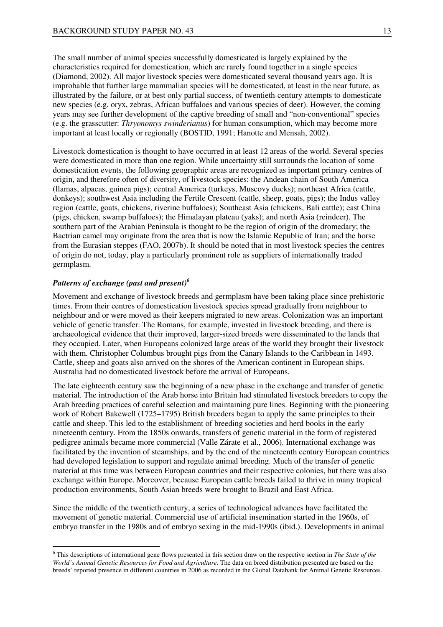The small number of animal species successfully domesticated is largely explained by the characteristics required for domestication, which are rarely found together in a single species (Diamond, 2002). All major livestock species were domesticated several thousand years ago. It is improbable that further large mammalian species will be domesticated, at least in the near future, as illustrated by the failure, or at best only partial success, of twentieth-century attempts to domesticate new species (e.g. oryx, zebras, African buffaloes and various species of deer). However, the coming years may see further development of the captive breeding of small and "non-conventional" species (e.g. the grasscutter: *Thryonomys swinderianus*) for human consumption, which may become more important at least locally or regionally (BOSTID, 1991; Hanotte and Mensah, 2002).

Livestock domestication is thought to have occurred in at least 12 areas of the world. Several species were domesticated in more than one region. While uncertainty still surrounds the location of some domestication events, the following geographic areas are recognized as important primary centres of origin, and therefore often of diversity, of livestock species: the Andean chain of South America (llamas, alpacas, guinea pigs); central America (turkeys, Muscovy ducks); northeast Africa (cattle, donkeys); southwest Asia including the Fertile Crescent (cattle, sheep, goats, pigs); the Indus valley region (cattle, goats, chickens, riverine buffaloes); Southeast Asia (chickens, Bali cattle); east China (pigs, chicken, swamp buffaloes); the Himalayan plateau (yaks); and north Asia (reindeer). The southern part of the Arabian Peninsula is thought to be the region of origin of the dromedary; the Bactrian camel may originate from the area that is now the Islamic Republic of Iran; and the horse from the Eurasian steppes (FAO, 2007b). It should be noted that in most livestock species the centres of origin do not, today, play a particularly prominent role as suppliers of internationally traded germplasm.

### *Patterns of exchange (past and present)<sup>6</sup>*

 $\overline{a}$ 

Movement and exchange of livestock breeds and germplasm have been taking place since prehistoric times. From their centres of domestication livestock species spread gradually from neighbour to neighbour and or were moved as their keepers migrated to new areas. Colonization was an important vehicle of genetic transfer. The Romans, for example, invested in livestock breeding, and there is archaeological evidence that their improved, larger-sized breeds were disseminated to the lands that they occupied. Later, when Europeans colonized large areas of the world they brought their livestock with them. Christopher Columbus brought pigs from the Canary Islands to the Caribbean in 1493. Cattle, sheep and goats also arrived on the shores of the American continent in European ships. Australia had no domesticated livestock before the arrival of Europeans.

The late eighteenth century saw the beginning of a new phase in the exchange and transfer of genetic material. The introduction of the Arab horse into Britain had stimulated livestock breeders to copy the Arab breeding practices of careful selection and maintaining pure lines. Beginning with the pioneering work of Robert Bakewell (1725–1795) British breeders began to apply the same principles to their cattle and sheep. This led to the establishment of breeding societies and herd books in the early nineteenth century. From the 1850s onwards, transfers of genetic material in the form of registered pedigree animals became more commercial (Valle Zárate et al., 2006). International exchange was facilitated by the invention of steamships, and by the end of the nineteenth century European countries had developed legislation to support and regulate animal breeding. Much of the transfer of genetic material at this time was between European countries and their respective colonies, but there was also exchange within Europe. Moreover, because European cattle breeds failed to thrive in many tropical production environments, South Asian breeds were brought to Brazil and East Africa.

Since the middle of the twentieth century, a series of technological advances have facilitated the movement of genetic material. Commercial use of artificial insemination started in the 1960s, of embryo transfer in the 1980s and of embryo sexing in the mid-1990s (ibid.). Developments in animal

<sup>6</sup> This descriptions of international gene flows presented in this section draw on the respective section in *The State of the World's Animal Genetic Resources for Food and Agriculture*. The data on breed distribution presented are based on the breeds' reported presence in different countries in 2006 as recorded in the Global Databank for Animal Genetic Resources.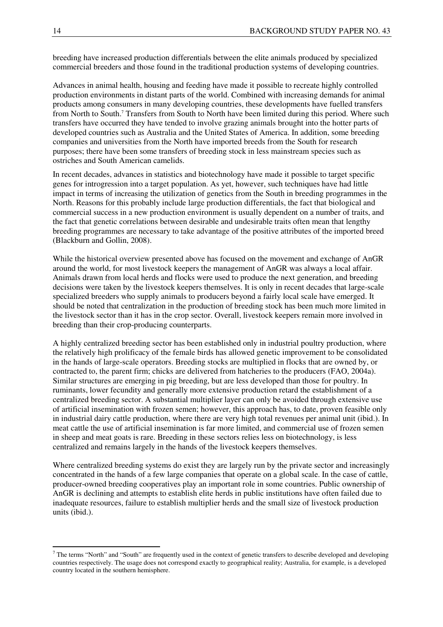breeding have increased production differentials between the elite animals produced by specialized commercial breeders and those found in the traditional production systems of developing countries.

Advances in animal health, housing and feeding have made it possible to recreate highly controlled production environments in distant parts of the world. Combined with increasing demands for animal products among consumers in many developing countries, these developments have fuelled transfers from North to South.<sup>7</sup> Transfers from South to North have been limited during this period. Where such transfers have occurred they have tended to involve grazing animals brought into the hotter parts of developed countries such as Australia and the United States of America. In addition, some breeding companies and universities from the North have imported breeds from the South for research purposes; there have been some transfers of breeding stock in less mainstream species such as ostriches and South American camelids.

In recent decades, advances in statistics and biotechnology have made it possible to target specific genes for introgression into a target population. As yet, however, such techniques have had little impact in terms of increasing the utilization of genetics from the South in breeding programmes in the North. Reasons for this probably include large production differentials, the fact that biological and commercial success in a new production environment is usually dependent on a number of traits, and the fact that genetic correlations between desirable and undesirable traits often mean that lengthy breeding programmes are necessary to take advantage of the positive attributes of the imported breed (Blackburn and Gollin, 2008).

While the historical overview presented above has focused on the movement and exchange of AnGR around the world, for most livestock keepers the management of AnGR was always a local affair. Animals drawn from local herds and flocks were used to produce the next generation, and breeding decisions were taken by the livestock keepers themselves. It is only in recent decades that large-scale specialized breeders who supply animals to producers beyond a fairly local scale have emerged. It should be noted that centralization in the production of breeding stock has been much more limited in the livestock sector than it has in the crop sector. Overall, livestock keepers remain more involved in breeding than their crop-producing counterparts.

A highly centralized breeding sector has been established only in industrial poultry production, where the relatively high prolificacy of the female birds has allowed genetic improvement to be consolidated in the hands of large-scale operators. Breeding stocks are multiplied in flocks that are owned by, or contracted to, the parent firm; chicks are delivered from hatcheries to the producers (FAO, 2004a). Similar structures are emerging in pig breeding, but are less developed than those for poultry. In ruminants, lower fecundity and generally more extensive production retard the establishment of a centralized breeding sector. A substantial multiplier layer can only be avoided through extensive use of artificial insemination with frozen semen; however, this approach has, to date, proven feasible only in industrial dairy cattle production, where there are very high total revenues per animal unit (ibid.). In meat cattle the use of artificial insemination is far more limited, and commercial use of frozen semen in sheep and meat goats is rare. Breeding in these sectors relies less on biotechnology, is less centralized and remains largely in the hands of the livestock keepers themselves.

Where centralized breeding systems do exist they are largely run by the private sector and increasingly concentrated in the hands of a few large companies that operate on a global scale. In the case of cattle, producer-owned breeding cooperatives play an important role in some countries. Public ownership of AnGR is declining and attempts to establish elite herds in public institutions have often failed due to inadequate resources, failure to establish multiplier herds and the small size of livestock production units (ibid.).

 $<sup>7</sup>$  The terms "North" and "South" are frequently used in the context of genetic transfers to describe developed and developing</sup> countries respectively. The usage does not correspond exactly to geographical reality; Australia, for example, is a developed country located in the southern hemisphere.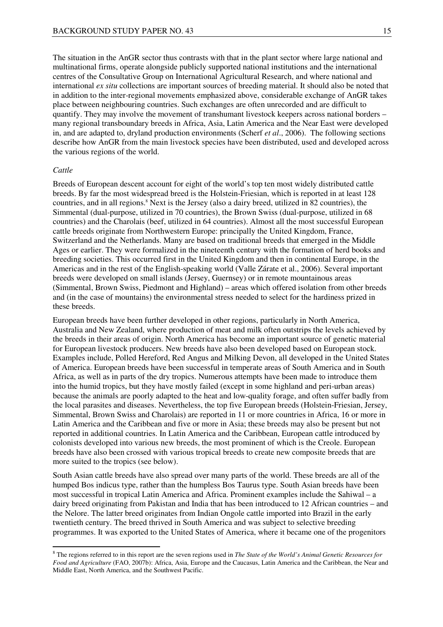The situation in the AnGR sector thus contrasts with that in the plant sector where large national and multinational firms, operate alongside publicly supported national institutions and the international centres of the Consultative Group on International Agricultural Research, and where national and international *ex situ* collections are important sources of breeding material. It should also be noted that in addition to the inter-regional movements emphasized above, considerable exchange of AnGR takes place between neighbouring countries. Such exchanges are often unrecorded and are difficult to quantify. They may involve the movement of transhumant livestock keepers across national borders – many regional transboundary breeds in Africa, Asia, Latin America and the Near East were developed in, and are adapted to, dryland production environments (Scherf *et al*., 2006). The following sections describe how AnGR from the main livestock species have been distributed, used and developed across the various regions of the world.

#### *Cattle*

 $\overline{a}$ 

Breeds of European descent account for eight of the world's top ten most widely distributed cattle breeds. By far the most widespread breed is the Holstein-Friesian, which is reported in at least 128 countries, and in all regions.<sup>8</sup> Next is the Jersey (also a dairy breed, utilized in 82 countries), the Simmental (dual-purpose, utilized in 70 countries), the Brown Swiss (dual-purpose, utilized in 68 countries) and the Charolais (beef, utilized in 64 countries). Almost all the most successful European cattle breeds originate from Northwestern Europe: principally the United Kingdom, France, Switzerland and the Netherlands. Many are based on traditional breeds that emerged in the Middle Ages or earlier. They were formalized in the nineteenth century with the formation of herd books and breeding societies. This occurred first in the United Kingdom and then in continental Europe, in the Americas and in the rest of the English-speaking world (Valle Zárate et al., 2006). Several important breeds were developed on small islands (Jersey, Guernsey) or in remote mountainous areas (Simmental, Brown Swiss, Piedmont and Highland) – areas which offered isolation from other breeds and (in the case of mountains) the environmental stress needed to select for the hardiness prized in these breeds.

European breeds have been further developed in other regions, particularly in North America, Australia and New Zealand, where production of meat and milk often outstrips the levels achieved by the breeds in their areas of origin. North America has become an important source of genetic material for European livestock producers. New breeds have also been developed based on European stock. Examples include, Polled Hereford, Red Angus and Milking Devon, all developed in the United States of America. European breeds have been successful in temperate areas of South America and in South Africa, as well as in parts of the dry tropics. Numerous attempts have been made to introduce them into the humid tropics, but they have mostly failed (except in some highland and peri-urban areas) because the animals are poorly adapted to the heat and low-quality forage, and often suffer badly from the local parasites and diseases. Nevertheless, the top five European breeds (Holstein-Friesian, Jersey, Simmental, Brown Swiss and Charolais) are reported in 11 or more countries in Africa, 16 or more in Latin America and the Caribbean and five or more in Asia; these breeds may also be present but not reported in additional countries. In Latin America and the Caribbean, European cattle introduced by colonists developed into various new breeds, the most prominent of which is the Creole. European breeds have also been crossed with various tropical breeds to create new composite breeds that are more suited to the tropics (see below).

South Asian cattle breeds have also spread over many parts of the world. These breeds are all of the humped Bos indicus type, rather than the humpless Bos Taurus type. South Asian breeds have been most successful in tropical Latin America and Africa. Prominent examples include the Sahiwal – a dairy breed originating from Pakistan and India that has been introduced to 12 African countries – and the Nelore. The latter breed originates from Indian Ongole cattle imported into Brazil in the early twentieth century. The breed thrived in South America and was subject to selective breeding programmes. It was exported to the United States of America, where it became one of the progenitors

<sup>8</sup> The regions referred to in this report are the seven regions used in *The State of the World's Animal Genetic Resources for Food and Agriculture* (FAO, 2007b): Africa, Asia, Europe and the Caucasus, Latin America and the Caribbean, the Near and Middle East, North America, and the Southwest Pacific.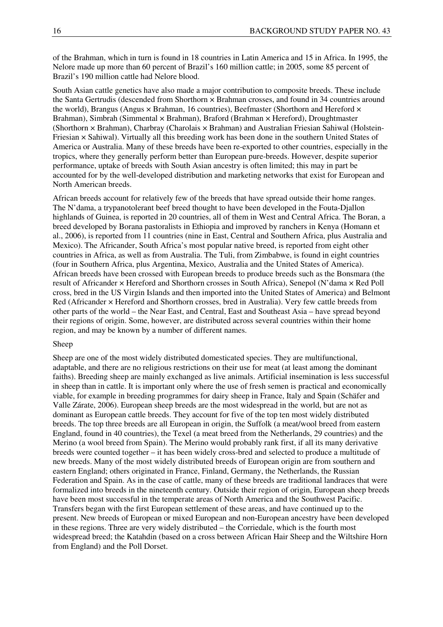of the Brahman, which in turn is found in 18 countries in Latin America and 15 in Africa. In 1995, the Nelore made up more than 60 percent of Brazil's 160 million cattle; in 2005, some 85 percent of Brazil's 190 million cattle had Nelore blood.

South Asian cattle genetics have also made a major contribution to composite breeds. These include the Santa Gertrudis (descended from Shorthorn × Brahman crosses, and found in 34 countries around the world), Brangus (Angus × Brahman, 16 countries), Beefmaster (Shorthorn and Hereford × Brahman), Simbrah (Simmental × Brahman), Braford (Brahman × Hereford), Droughtmaster (Shorthorn × Brahman), Charbray (Charolais × Brahman) and Australian Friesian Sahiwal (Holstein-Friesian × Sahiwal). Virtually all this breeding work has been done in the southern United States of America or Australia. Many of these breeds have been re-exported to other countries, especially in the tropics, where they generally perform better than European pure-breeds. However, despite superior performance, uptake of breeds with South Asian ancestry is often limited; this may in part be accounted for by the well-developed distribution and marketing networks that exist for European and North American breeds.

African breeds account for relatively few of the breeds that have spread outside their home ranges. The N'dama, a trypanotolerant beef breed thought to have been developed in the Fouta-Djallon highlands of Guinea, is reported in 20 countries, all of them in West and Central Africa. The Boran, a breed developed by Borana pastoralists in Ethiopia and improved by ranchers in Kenya (Homann et al., 2006), is reported from 11 countries (nine in East, Central and Southern Africa, plus Australia and Mexico). The Africander, South Africa's most popular native breed, is reported from eight other countries in Africa, as well as from Australia. The Tuli, from Zimbabwe, is found in eight countries (four in Southern Africa, plus Argentina, Mexico, Australia and the United States of America). African breeds have been crossed with European breeds to produce breeds such as the Bonsmara (the result of Africander × Hereford and Shorthorn crosses in South Africa), Senepol (N'dama × Red Poll cross, bred in the US Virgin Islands and then imported into the United States of America) and Belmont Red (Africander × Hereford and Shorthorn crosses, bred in Australia). Very few cattle breeds from other parts of the world – the Near East, and Central, East and Southeast Asia – have spread beyond their regions of origin. Some, however, are distributed across several countries within their home region, and may be known by a number of different names.

#### Sheep

Sheep are one of the most widely distributed domesticated species. They are multifunctional, adaptable, and there are no religious restrictions on their use for meat (at least among the dominant faiths). Breeding sheep are mainly exchanged as live animals. Artificial insemination is less successful in sheep than in cattle. It is important only where the use of fresh semen is practical and economically viable, for example in breeding programmes for dairy sheep in France, Italy and Spain (Schäfer and Valle Zárate, 2006). European sheep breeds are the most widespread in the world, but are not as dominant as European cattle breeds. They account for five of the top ten most widely distributed breeds. The top three breeds are all European in origin, the Suffolk (a meat/wool breed from eastern England, found in 40 countries), the Texel (a meat breed from the Netherlands, 29 countries) and the Merino (a wool breed from Spain). The Merino would probably rank first, if all its many derivative breeds were counted together – it has been widely cross-bred and selected to produce a multitude of new breeds. Many of the most widely distributed breeds of European origin are from southern and eastern England; others originated in France, Finland, Germany, the Netherlands, the Russian Federation and Spain. As in the case of cattle, many of these breeds are traditional landraces that were formalized into breeds in the nineteenth century. Outside their region of origin, European sheep breeds have been most successful in the temperate areas of North America and the Southwest Pacific. Transfers began with the first European settlement of these areas, and have continued up to the present. New breeds of European or mixed European and non-European ancestry have been developed in these regions. Three are very widely distributed – the Corriedale, which is the fourth most widespread breed; the Katahdin (based on a cross between African Hair Sheep and the Wiltshire Horn from England) and the Poll Dorset.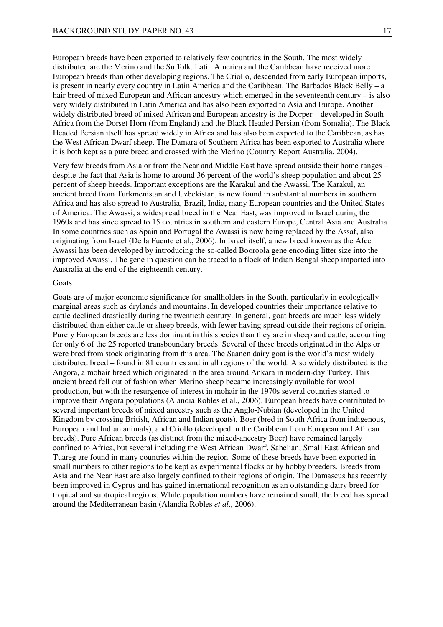European breeds have been exported to relatively few countries in the South. The most widely distributed are the Merino and the Suffolk. Latin America and the Caribbean have received more European breeds than other developing regions. The Criollo, descended from early European imports, is present in nearly every country in Latin America and the Caribbean. The Barbados Black Belly – a hair breed of mixed European and African ancestry which emerged in the seventeenth century – is also very widely distributed in Latin America and has also been exported to Asia and Europe. Another widely distributed breed of mixed African and European ancestry is the Dorper – developed in South Africa from the Dorset Horn (from England) and the Black Headed Persian (from Somalia). The Black Headed Persian itself has spread widely in Africa and has also been exported to the Caribbean, as has the West African Dwarf sheep. The Damara of Southern Africa has been exported to Australia where it is both kept as a pure breed and crossed with the Merino (Country Report Australia, 2004).

Very few breeds from Asia or from the Near and Middle East have spread outside their home ranges – despite the fact that Asia is home to around 36 percent of the world's sheep population and about 25 percent of sheep breeds. Important exceptions are the Karakul and the Awassi. The Karakul, an ancient breed from Turkmenistan and Uzbekistan, is now found in substantial numbers in southern Africa and has also spread to Australia, Brazil, India, many European countries and the United States of America. The Awassi, a widespread breed in the Near East, was improved in Israel during the 1960s and has since spread to 15 countries in southern and eastern Europe, Central Asia and Australia. In some countries such as Spain and Portugal the Awassi is now being replaced by the Assaf, also originating from Israel (De la Fuente et al., 2006). In Israel itself, a new breed known as the Afec Awassi has been developed by introducing the so-called Booroola gene encoding litter size into the improved Awassi. The gene in question can be traced to a flock of Indian Bengal sheep imported into Australia at the end of the eighteenth century.

#### **Goats**

Goats are of major economic significance for smallholders in the South, particularly in ecologically marginal areas such as drylands and mountains. In developed countries their importance relative to cattle declined drastically during the twentieth century. In general, goat breeds are much less widely distributed than either cattle or sheep breeds, with fewer having spread outside their regions of origin. Purely European breeds are less dominant in this species than they are in sheep and cattle, accounting for only 6 of the 25 reported transboundary breeds. Several of these breeds originated in the Alps or were bred from stock originating from this area. The Saanen dairy goat is the world's most widely distributed breed – found in 81 countries and in all regions of the world. Also widely distributed is the Angora, a mohair breed which originated in the area around Ankara in modern-day Turkey. This ancient breed fell out of fashion when Merino sheep became increasingly available for wool production, but with the resurgence of interest in mohair in the 1970s several countries started to improve their Angora populations (Alandia Robles et al., 2006). European breeds have contributed to several important breeds of mixed ancestry such as the Anglo-Nubian (developed in the United Kingdom by crossing British, African and Indian goats), Boer (bred in South Africa from indigenous, European and Indian animals), and Criollo (developed in the Caribbean from European and African breeds). Pure African breeds (as distinct from the mixed-ancestry Boer) have remained largely confined to Africa, but several including the West African Dwarf, Sahelian, Small East African and Tuareg are found in many countries within the region. Some of these breeds have been exported in small numbers to other regions to be kept as experimental flocks or by hobby breeders. Breeds from Asia and the Near East are also largely confined to their regions of origin. The Damascus has recently been improved in Cyprus and has gained international recognition as an outstanding dairy breed for tropical and subtropical regions. While population numbers have remained small, the breed has spread around the Mediterranean basin (Alandia Robles *et al*., 2006).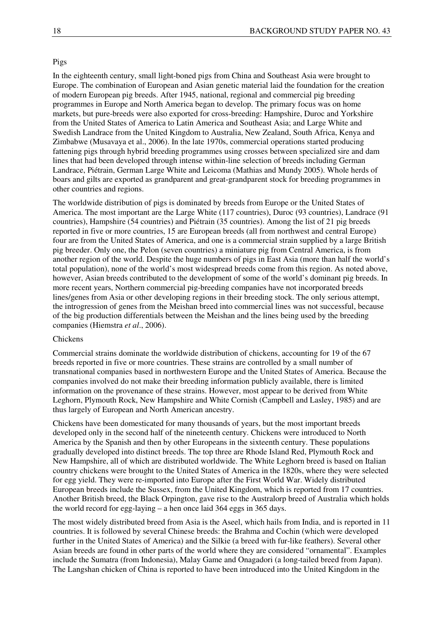#### Pigs

In the eighteenth century, small light-boned pigs from China and Southeast Asia were brought to Europe. The combination of European and Asian genetic material laid the foundation for the creation of modern European pig breeds. After 1945, national, regional and commercial pig breeding programmes in Europe and North America began to develop. The primary focus was on home markets, but pure-breeds were also exported for cross-breeding: Hampshire, Duroc and Yorkshire from the United States of America to Latin America and Southeast Asia; and Large White and Swedish Landrace from the United Kingdom to Australia, New Zealand, South Africa, Kenya and Zimbabwe (Musavaya et al., 2006). In the late 1970s, commercial operations started producing fattening pigs through hybrid breeding programmes using crosses between specialized sire and dam lines that had been developed through intense within-line selection of breeds including German Landrace, Piétrain, German Large White and Leicoma (Mathias and Mundy 2005). Whole herds of boars and gilts are exported as grandparent and great-grandparent stock for breeding programmes in other countries and regions.

The worldwide distribution of pigs is dominated by breeds from Europe or the United States of America. The most important are the Large White (117 countries), Duroc (93 countries), Landrace (91 countries), Hampshire (54 countries) and Piétrain (35 countries). Among the list of 21 pig breeds reported in five or more countries, 15 are European breeds (all from northwest and central Europe) four are from the United States of America, and one is a commercial strain supplied by a large British pig breeder. Only one, the Pelon (seven countries) a miniature pig from Central America, is from another region of the world. Despite the huge numbers of pigs in East Asia (more than half the world's total population), none of the world's most widespread breeds come from this region. As noted above, however, Asian breeds contributed to the development of some of the world's dominant pig breeds. In more recent years, Northern commercial pig-breeding companies have not incorporated breeds lines/genes from Asia or other developing regions in their breeding stock. The only serious attempt, the introgression of genes from the Meishan breed into commercial lines was not successful, because of the big production differentials between the Meishan and the lines being used by the breeding companies (Hiemstra *et al*., 2006).

### Chickens

Commercial strains dominate the worldwide distribution of chickens, accounting for 19 of the 67 breeds reported in five or more countries. These strains are controlled by a small number of transnational companies based in northwestern Europe and the United States of America. Because the companies involved do not make their breeding information publicly available, there is limited information on the provenance of these strains. However, most appear to be derived from White Leghorn, Plymouth Rock, New Hampshire and White Cornish (Campbell and Lasley, 1985) and are thus largely of European and North American ancestry.

Chickens have been domesticated for many thousands of years, but the most important breeds developed only in the second half of the nineteenth century. Chickens were introduced to North America by the Spanish and then by other Europeans in the sixteenth century. These populations gradually developed into distinct breeds. The top three are Rhode Island Red, Plymouth Rock and New Hampshire, all of which are distributed worldwide. The White Leghorn breed is based on Italian country chickens were brought to the United States of America in the 1820s, where they were selected for egg yield. They were re-imported into Europe after the First World War. Widely distributed European breeds include the Sussex, from the United Kingdom, which is reported from 17 countries. Another British breed, the Black Orpington, gave rise to the Australorp breed of Australia which holds the world record for egg-laying – a hen once laid 364 eggs in 365 days.

The most widely distributed breed from Asia is the Aseel, which hails from India, and is reported in 11 countries. It is followed by several Chinese breeds: the Brahma and Cochin (which were developed further in the United States of America) and the Silkie (a breed with fur-like feathers). Several other Asian breeds are found in other parts of the world where they are considered "ornamental". Examples include the Sumatra (from Indonesia), Malay Game and Onagadori (a long-tailed breed from Japan). The Langshan chicken of China is reported to have been introduced into the United Kingdom in the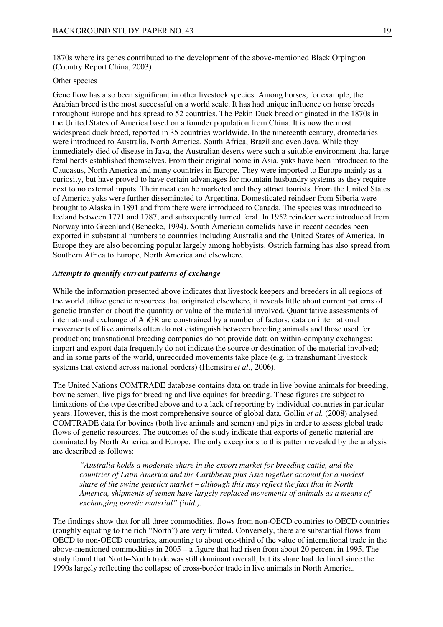1870s where its genes contributed to the development of the above-mentioned Black Orpington (Country Report China, 2003).

#### Other species

Gene flow has also been significant in other livestock species. Among horses, for example, the Arabian breed is the most successful on a world scale. It has had unique influence on horse breeds throughout Europe and has spread to 52 countries. The Pekin Duck breed originated in the 1870s in the United States of America based on a founder population from China. It is now the most widespread duck breed, reported in 35 countries worldwide. In the nineteenth century, dromedaries were introduced to Australia, North America, South Africa, Brazil and even Java. While they immediately died of disease in Java, the Australian deserts were such a suitable environment that large feral herds established themselves. From their original home in Asia, yaks have been introduced to the Caucasus, North America and many countries in Europe. They were imported to Europe mainly as a curiosity, but have proved to have certain advantages for mountain husbandry systems as they require next to no external inputs. Their meat can be marketed and they attract tourists. From the United States of America yaks were further disseminated to Argentina. Domesticated reindeer from Siberia were brought to Alaska in 1891 and from there were introduced to Canada. The species was introduced to Iceland between 1771 and 1787, and subsequently turned feral. In 1952 reindeer were introduced from Norway into Greenland (Benecke, 1994). South American camelids have in recent decades been exported in substantial numbers to countries including Australia and the United States of America. In Europe they are also becoming popular largely among hobbyists. Ostrich farming has also spread from Southern Africa to Europe, North America and elsewhere.

### *Attempts to quantify current patterns of exchange*

While the information presented above indicates that livestock keepers and breeders in all regions of the world utilize genetic resources that originated elsewhere, it reveals little about current patterns of genetic transfer or about the quantity or value of the material involved. Quantitative assessments of international exchange of AnGR are constrained by a number of factors: data on international movements of live animals often do not distinguish between breeding animals and those used for production; transnational breeding companies do not provide data on within-company exchanges; import and export data frequently do not indicate the source or destination of the material involved; and in some parts of the world, unrecorded movements take place (e.g. in transhumant livestock systems that extend across national borders) (Hiemstra *et al*., 2006).

The United Nations COMTRADE database contains data on trade in live bovine animals for breeding, bovine semen, live pigs for breeding and live equines for breeding. These figures are subject to limitations of the type described above and to a lack of reporting by individual countries in particular years. However, this is the most comprehensive source of global data. Gollin *et al.* (2008) analysed COMTRADE data for bovines (both live animals and semen) and pigs in order to assess global trade flows of genetic resources. The outcomes of the study indicate that exports of genetic material are dominated by North America and Europe. The only exceptions to this pattern revealed by the analysis are described as follows:

*"Australia holds a moderate share in the export market for breeding cattle, and the countries of Latin America and the Caribbean plus Asia together account for a modest share of the swine genetics market – although this may reflect the fact that in North America, shipments of semen have largely replaced movements of animals as a means of exchanging genetic material" (ibid.).* 

The findings show that for all three commodities, flows from non-OECD countries to OECD countries (roughly equating to the rich "North") are very limited. Conversely, there are substantial flows from OECD to non-OECD countries, amounting to about one-third of the value of international trade in the above-mentioned commodities in 2005 – a figure that had risen from about 20 percent in 1995. The study found that North–North trade was still dominant overall, but its share had declined since the 1990s largely reflecting the collapse of cross-border trade in live animals in North America.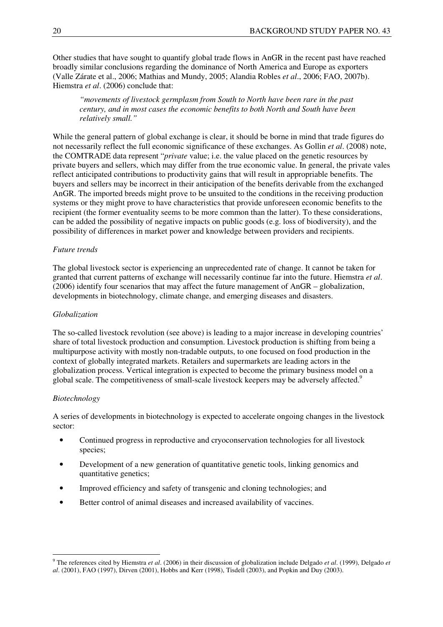Other studies that have sought to quantify global trade flows in AnGR in the recent past have reached broadly similar conclusions regarding the dominance of North America and Europe as exporters (Valle Zárate et al., 2006; Mathias and Mundy, 2005; Alandia Robles *et al*., 2006; FAO, 2007b). Hiemstra *et al*. (2006) conclude that:

*"movements of livestock germplasm from South to North have been rare in the past century, and in most cases the economic benefits to both North and South have been relatively small."* 

While the general pattern of global exchange is clear, it should be borne in mind that trade figures do not necessarily reflect the full economic significance of these exchanges. As Gollin *et al*. (2008) note, the COMTRADE data represent "*private* value; i.e. the value placed on the genetic resources by private buyers and sellers, which may differ from the true economic value. In general, the private vales reflect anticipated contributions to productivity gains that will result in appropriable benefits. The buyers and sellers may be incorrect in their anticipation of the benefits derivable from the exchanged AnGR. The imported breeds might prove to be unsuited to the conditions in the receiving production systems or they might prove to have characteristics that provide unforeseen economic benefits to the recipient (the former eventuality seems to be more common than the latter). To these considerations, can be added the possibility of negative impacts on public goods (e.g. loss of biodiversity), and the possibility of differences in market power and knowledge between providers and recipients.

# *Future trends*

The global livestock sector is experiencing an unprecedented rate of change. It cannot be taken for granted that current patterns of exchange will necessarily continue far into the future. Hiemstra *et al*. (2006) identify four scenarios that may affect the future management of AnGR – globalization, developments in biotechnology, climate change, and emerging diseases and disasters.

# *Globalization*

The so-called livestock revolution (see above) is leading to a major increase in developing countries' share of total livestock production and consumption. Livestock production is shifting from being a multipurpose activity with mostly non-tradable outputs, to one focused on food production in the context of globally integrated markets. Retailers and supermarkets are leading actors in the globalization process. Vertical integration is expected to become the primary business model on a global scale. The competitiveness of small-scale livestock keepers may be adversely affected.<sup>9</sup>

# *Biotechnology*

 $\overline{a}$ 

A series of developments in biotechnology is expected to accelerate ongoing changes in the livestock sector:

- Continued progress in reproductive and cryoconservation technologies for all livestock species;
- Development of a new generation of quantitative genetic tools, linking genomics and quantitative genetics;
- Improved efficiency and safety of transgenic and cloning technologies; and
- Better control of animal diseases and increased availability of vaccines.

<sup>9</sup> The references cited by Hiemstra *et al*. (2006) in their discussion of globalization include Delgado *et al*. (1999), Delgado *et al*. (2001), FAO (1997), Dirven (2001), Hobbs and Kerr (1998), Tisdell (2003), and Popkin and Duy (2003).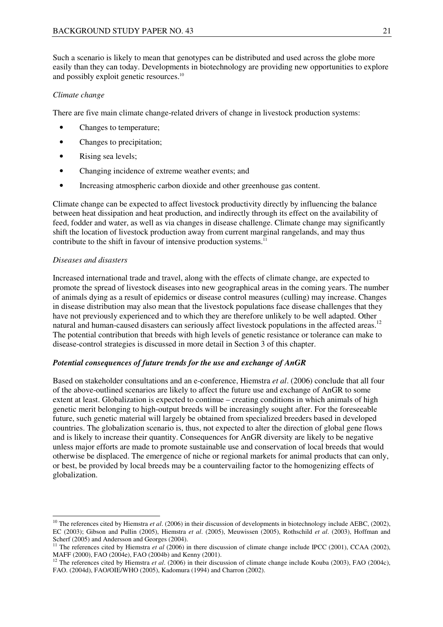Such a scenario is likely to mean that genotypes can be distributed and used across the globe more easily than they can today. Developments in biotechnology are providing new opportunities to explore and possibly exploit genetic resources.<sup>10</sup>

# *Climate change*

There are five main climate change-related drivers of change in livestock production systems:

- Changes to temperature;
- Changes to precipitation;
- Rising sea levels;
- Changing incidence of extreme weather events; and
- Increasing atmospheric carbon dioxide and other greenhouse gas content.

Climate change can be expected to affect livestock productivity directly by influencing the balance between heat dissipation and heat production, and indirectly through its effect on the availability of feed, fodder and water, as well as via changes in disease challenge. Climate change may significantly shift the location of livestock production away from current marginal rangelands, and may thus contribute to the shift in favour of intensive production systems.<sup>11</sup>

# *Diseases and disasters*

 $\overline{a}$ 

Increased international trade and travel, along with the effects of climate change, are expected to promote the spread of livestock diseases into new geographical areas in the coming years. The number of animals dying as a result of epidemics or disease control measures (culling) may increase. Changes in disease distribution may also mean that the livestock populations face disease challenges that they have not previously experienced and to which they are therefore unlikely to be well adapted. Other natural and human-caused disasters can seriously affect livestock populations in the affected areas.<sup>12</sup> The potential contribution that breeds with high levels of genetic resistance or tolerance can make to disease-control strategies is discussed in more detail in Section 3 of this chapter.

# *Potential consequences of future trends for the use and exchange of AnGR*

Based on stakeholder consultations and an e-conference, Hiemstra *et al*. (2006) conclude that all four of the above-outlined scenarios are likely to affect the future use and exchange of AnGR to some extent at least. Globalization is expected to continue – creating conditions in which animals of high genetic merit belonging to high-output breeds will be increasingly sought after. For the foreseeable future, such genetic material will largely be obtained from specialized breeders based in developed countries. The globalization scenario is, thus, not expected to alter the direction of global gene flows and is likely to increase their quantity. Consequences for AnGR diversity are likely to be negative unless major efforts are made to promote sustainable use and conservation of local breeds that would otherwise be displaced. The emergence of niche or regional markets for animal products that can only, or best, be provided by local breeds may be a countervailing factor to the homogenizing effects of globalization.

<sup>&</sup>lt;sup>10</sup> The references cited by Hiemstra *et al.* (2006) in their discussion of developments in biotechnology include AEBC, (2002), EC (2003); Gibson and Pullin (2005), Hiemstra *et al*. (2005), Meuwissen (2005), Rothschild *et al*. (2003), Hoffman and Scherf (2005) and Andersson and Georges (2004).

<sup>&</sup>lt;sup>11</sup> The references cited by Hiemstra *et al* (2006) in there discussion of climate change include IPCC (2001), CCAA (2002), MAFF (2000), FAO (2004e), FAO (2004b) and Kenny (2001).

<sup>&</sup>lt;sup>12</sup> The references cited by Hiemstra *et al.* (2006) in their discussion of climate change include Kouba (2003), FAO (2004c), FAO. (2004d), FAO/OIE/WHO (2005), Kadomura (1994) and Charron (2002).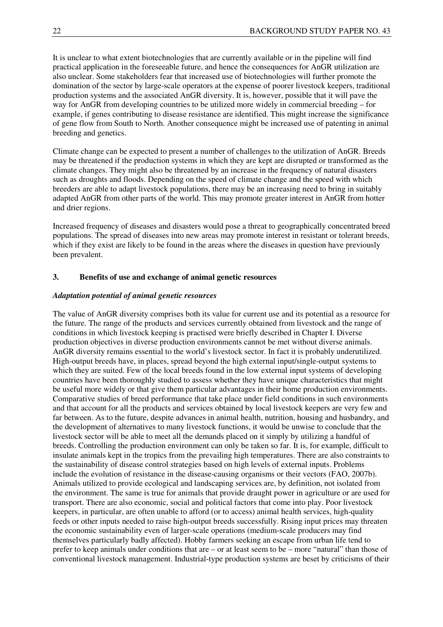It is unclear to what extent biotechnologies that are currently available or in the pipeline will find practical application in the foreseeable future, and hence the consequences for AnGR utilization are also unclear. Some stakeholders fear that increased use of biotechnologies will further promote the domination of the sector by large-scale operators at the expense of poorer livestock keepers, traditional production systems and the associated AnGR diversity. It is, however, possible that it will pave the way for AnGR from developing countries to be utilized more widely in commercial breeding – for example, if genes contributing to disease resistance are identified. This might increase the significance of gene flow from South to North. Another consequence might be increased use of patenting in animal breeding and genetics.

Climate change can be expected to present a number of challenges to the utilization of AnGR. Breeds may be threatened if the production systems in which they are kept are disrupted or transformed as the climate changes. They might also be threatened by an increase in the frequency of natural disasters such as droughts and floods. Depending on the speed of climate change and the speed with which breeders are able to adapt livestock populations, there may be an increasing need to bring in suitably adapted AnGR from other parts of the world. This may promote greater interest in AnGR from hotter and drier regions.

Increased frequency of diseases and disasters would pose a threat to geographically concentrated breed populations. The spread of diseases into new areas may promote interest in resistant or tolerant breeds, which if they exist are likely to be found in the areas where the diseases in question have previously been prevalent.

### **3. Benefits of use and exchange of animal genetic resources**

#### *Adaptation potential of animal genetic resources*

The value of AnGR diversity comprises both its value for current use and its potential as a resource for the future. The range of the products and services currently obtained from livestock and the range of conditions in which livestock keeping is practised were briefly described in Chapter I. Diverse production objectives in diverse production environments cannot be met without diverse animals. AnGR diversity remains essential to the world's livestock sector. In fact it is probably underutilized. High-output breeds have, in places, spread beyond the high external input/single-output systems to which they are suited. Few of the local breeds found in the low external input systems of developing countries have been thoroughly studied to assess whether they have unique characteristics that might be useful more widely or that give them particular advantages in their home production environments. Comparative studies of breed performance that take place under field conditions in such environments and that account for all the products and services obtained by local livestock keepers are very few and far between. As to the future, despite advances in animal health, nutrition, housing and husbandry, and the development of alternatives to many livestock functions, it would be unwise to conclude that the livestock sector will be able to meet all the demands placed on it simply by utilizing a handful of breeds. Controlling the production environment can only be taken so far. It is, for example, difficult to insulate animals kept in the tropics from the prevailing high temperatures. There are also constraints to the sustainability of disease control strategies based on high levels of external inputs. Problems include the evolution of resistance in the disease-causing organisms or their vectors (FAO, 2007b). Animals utilized to provide ecological and landscaping services are, by definition, not isolated from the environment. The same is true for animals that provide draught power in agriculture or are used for transport. There are also economic, social and political factors that come into play. Poor livestock keepers, in particular, are often unable to afford (or to access) animal health services, high-quality feeds or other inputs needed to raise high-output breeds successfully. Rising input prices may threaten the economic sustainability even of larger-scale operations (medium-scale producers may find themselves particularly badly affected). Hobby farmers seeking an escape from urban life tend to prefer to keep animals under conditions that are – or at least seem to be – more "natural" than those of conventional livestock management. Industrial-type production systems are beset by criticisms of their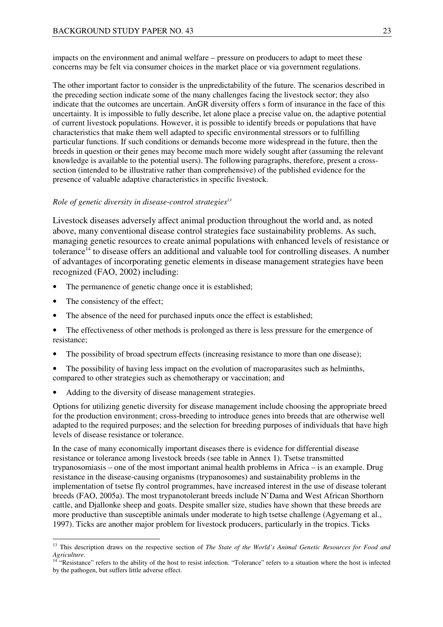impacts on the environment and animal welfare – pressure on producers to adapt to meet these concerns may be felt via consumer choices in the market place or via government regulations.

The other important factor to consider is the unpredictability of the future. The scenarios described in the preceding section indicate some of the many challenges facing the livestock sector; they also indicate that the outcomes are uncertain. AnGR diversity offers s form of insurance in the face of this uncertainty. It is impossible to fully describe, let alone place a precise value on, the adaptive potential of current livestock populations. However, it is possible to identify breeds or populations that have characteristics that make them well adapted to specific environmental stressors or to fulfilling particular functions. If such conditions or demands become more widespread in the future, then the breeds in question or their genes may become much more widely sought after (assuming the relevant knowledge is available to the potential users). The following paragraphs, therefore, present a crosssection (intended to be illustrative rather than comprehensive) of the published evidence for the presence of valuable adaptive characteristics in specific livestock.

### *Role of genetic diversity in disease-control strategies<sup>13</sup>*

Livestock diseases adversely affect animal production throughout the world and, as noted above, many conventional disease control strategies face sustainability problems. As such, managing genetic resources to create animal populations with enhanced levels of resistance or tolerance<sup>14</sup> to disease offers an additional and valuable tool for controlling diseases. A number of advantages of incorporating genetic elements in disease management strategies have been recognized (FAO, 2002) including:

- The permanence of genetic change once it is established;
- The consistency of the effect;

 $\overline{a}$ 

- The absence of the need for purchased inputs once the effect is established:
- The effectiveness of other methods is prolonged as there is less pressure for the emergence of resistance;
- The possibility of broad spectrum effects (increasing resistance to more than one disease);
- The possibility of having less impact on the evolution of macroparasites such as helminths, compared to other strategies such as chemotherapy or vaccination; and
- Adding to the diversity of disease management strategies.

Options for utilizing genetic diversity for disease management include choosing the appropriate breed for the production environment; cross-breeding to introduce genes into breeds that are otherwise well adapted to the required purposes; and the selection for breeding purposes of individuals that have high levels of disease resistance or tolerance.

In the case of many economically important diseases there is evidence for differential disease resistance or tolerance among livestock breeds (see table in Annex 1). Tsetse transmitted trypanosomiasis – one of the most important animal health problems in Africa – is an example. Drug resistance in the disease-causing organisms (trypanosomes) and sustainability problems in the implementation of tsetse fly control programmes, have increased interest in the use of disease tolerant breeds (FAO, 2005a). The most trypanotolerant breeds include N'Dama and West African Shorthorn cattle, and Djallonke sheep and goats. Despite smaller size, studies have shown that these breeds are more productive than susceptible animals under moderate to high tsetse challenge (Agyemang et al., 1997). Ticks are another major problem for livestock producers, particularly in the tropics. Ticks

<sup>&</sup>lt;sup>13</sup> This description draws on the respective section of *The State of the World's Animal Genetic Resources for Food and Agriculture*.

<sup>&</sup>lt;sup>14</sup> "Resistance" refers to the ability of the host to resist infection. "Tolerance" refers to a situation where the host is infected by the pathogen, but suffers little adverse effect.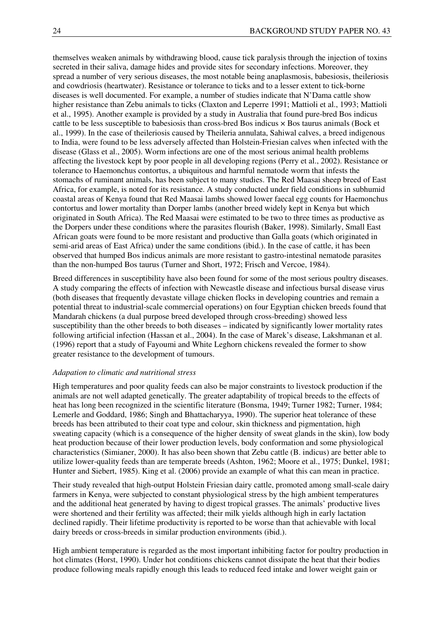themselves weaken animals by withdrawing blood, cause tick paralysis through the injection of toxins secreted in their saliva, damage hides and provide sites for secondary infections. Moreover, they spread a number of very serious diseases, the most notable being anaplasmosis, babesiosis, theileriosis and cowdriosis (heartwater). Resistance or tolerance to ticks and to a lesser extent to tick-borne diseases is well documented. For example, a number of studies indicate that N'Dama cattle show higher resistance than Zebu animals to ticks (Claxton and Leperre 1991; Mattioli et al., 1993; Mattioli et al., 1995). Another example is provided by a study in Australia that found pure-bred Bos indicus cattle to be less susceptible to babesiosis than cross-bred Bos indicus × Bos taurus animals (Bock et al., 1999). In the case of theileriosis caused by Theileria annulata, Sahiwal calves, a breed indigenous to India, were found to be less adversely affected than Holstein-Friesian calves when infected with the disease (Glass et al., 2005). Worm infections are one of the most serious animal health problems affecting the livestock kept by poor people in all developing regions (Perry et al., 2002). Resistance or tolerance to Haemonchus contortus, a ubiquitous and harmful nematode worm that infests the stomachs of ruminant animals, has been subject to many studies. The Red Maasai sheep breed of East Africa, for example, is noted for its resistance. A study conducted under field conditions in subhumid coastal areas of Kenya found that Red Maasai lambs showed lower faecal egg counts for Haemonchus contortus and lower mortality than Dorper lambs (another breed widely kept in Kenya but which originated in South Africa). The Red Maasai were estimated to be two to three times as productive as the Dorpers under these conditions where the parasites flourish (Baker, 1998). Similarly, Small East African goats were found to be more resistant and productive than Galla goats (which originated in semi-arid areas of East Africa) under the same conditions (ibid.). In the case of cattle, it has been observed that humped Bos indicus animals are more resistant to gastro-intestinal nematode parasites than the non-humped Bos taurus (Turner and Short, 1972; Frisch and Vercoe, 1984).

Breed differences in susceptibility have also been found for some of the most serious poultry diseases. A study comparing the effects of infection with Newcastle disease and infectious bursal disease virus (both diseases that frequently devastate village chicken flocks in developing countries and remain a potential threat to industrial-scale commercial operations) on four Egyptian chicken breeds found that Mandarah chickens (a dual purpose breed developed through cross-breeding) showed less susceptibility than the other breeds to both diseases – indicated by significantly lower mortality rates following artificial infection (Hassan et al., 2004). In the case of Marek's disease, Lakshmanan et al. (1996) report that a study of Fayoumi and White Leghorn chickens revealed the former to show greater resistance to the development of tumours.

### *Adapation to climatic and nutritional stress*

High temperatures and poor quality feeds can also be major constraints to livestock production if the animals are not well adapted genetically. The greater adaptability of tropical breeds to the effects of heat has long been recognized in the scientific literature (Bonsma, 1949; Turner 1982; Turner, 1984; Lemerle and Goddard, 1986; Singh and Bhattacharyya, 1990). The superior heat tolerance of these breeds has been attributed to their coat type and colour, skin thickness and pigmentation, high sweating capacity (which is a consequence of the higher density of sweat glands in the skin), low body heat production because of their lower production levels, body conformation and some physiological characteristics (Simianer, 2000). It has also been shown that Zebu cattle (B. indicus) are better able to utilize lower-quality feeds than are temperate breeds (Ashton, 1962; Moore et al., 1975; Dunkel, 1981; Hunter and Siebert, 1985). King et al. (2006) provide an example of what this can mean in practice.

Their study revealed that high-output Holstein Friesian dairy cattle, promoted among small-scale dairy farmers in Kenya, were subjected to constant physiological stress by the high ambient temperatures and the additional heat generated by having to digest tropical grasses. The animals' productive lives were shortened and their fertility was affected; their milk yields although high in early lactation declined rapidly. Their lifetime productivity is reported to be worse than that achievable with local dairy breeds or cross-breeds in similar production environments (ibid.).

High ambient temperature is regarded as the most important inhibiting factor for poultry production in hot climates (Horst, 1990). Under hot conditions chickens cannot dissipate the heat that their bodies produce following meals rapidly enough this leads to reduced feed intake and lower weight gain or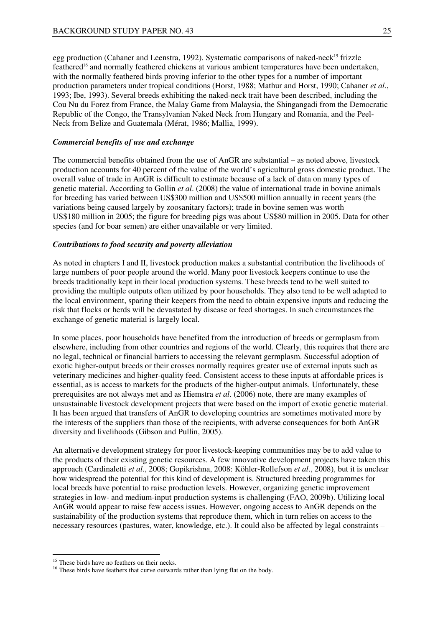egg production (Cahaner and Leenstra, 1992). Systematic comparisons of naked-neck<sup>15</sup> frizzle feathered<sup>16</sup> and normally feathered chickens at various ambient temperatures have been undertaken, with the normally feathered birds proving inferior to the other types for a number of important production parameters under tropical conditions (Horst, 1988; Mathur and Horst, 1990; Cahaner *et al.*, 1993; Ibe, 1993). Several breeds exhibiting the naked-neck trait have been described, including the Cou Nu du Forez from France, the Malay Game from Malaysia, the Shingangadi from the Democratic Republic of the Congo, the Transylvanian Naked Neck from Hungary and Romania, and the Peel-Neck from Belize and Guatemala (Mérat, 1986; Mallia, 1999).

#### *Commercial benefits of use and exchange*

The commercial benefits obtained from the use of AnGR are substantial – as noted above, livestock production accounts for 40 percent of the value of the world's agricultural gross domestic product. The overall value of trade in AnGR is difficult to estimate because of a lack of data on many types of genetic material. According to Gollin *et al*. (2008) the value of international trade in bovine animals for breeding has varied between US\$300 million and US\$500 million annually in recent years (the variations being caused largely by zoosanitary factors); trade in bovine semen was worth US\$180 million in 2005; the figure for breeding pigs was about US\$80 million in 2005. Data for other species (and for boar semen) are either unavailable or very limited.

#### *Contributions to food security and poverty alleviation*

As noted in chapters I and II, livestock production makes a substantial contribution the livelihoods of large numbers of poor people around the world. Many poor livestock keepers continue to use the breeds traditionally kept in their local production systems. These breeds tend to be well suited to providing the multiple outputs often utilized by poor households. They also tend to be well adapted to the local environment, sparing their keepers from the need to obtain expensive inputs and reducing the risk that flocks or herds will be devastated by disease or feed shortages. In such circumstances the exchange of genetic material is largely local.

In some places, poor households have benefited from the introduction of breeds or germplasm from elsewhere, including from other countries and regions of the world. Clearly, this requires that there are no legal, technical or financial barriers to accessing the relevant germplasm. Successful adoption of exotic higher-output breeds or their crosses normally requires greater use of external inputs such as veterinary medicines and higher-quality feed. Consistent access to these inputs at affordable prices is essential, as is access to markets for the products of the higher-output animals. Unfortunately, these prerequisites are not always met and as Hiemstra *et al*. (2006) note, there are many examples of unsustainable livestock development projects that were based on the import of exotic genetic material. It has been argued that transfers of AnGR to developing countries are sometimes motivated more by the interests of the suppliers than those of the recipients, with adverse consequences for both AnGR diversity and livelihoods (Gibson and Pullin, 2005).

An alternative development strategy for poor livestock-keeping communities may be to add value to the products of their existing genetic resources. A few innovative development projects have taken this approach (Cardinaletti *et al*., 2008; Gopikrishna, 2008: Köhler-Rollefson *et al*., 2008), but it is unclear how widespread the potential for this kind of development is. Structured breeding programmes for local breeds have potential to raise production levels. However, organizing genetic improvement strategies in low- and medium-input production systems is challenging (FAO, 2009b). Utilizing local AnGR would appear to raise few access issues. However, ongoing access to AnGR depends on the sustainability of the production systems that reproduce them, which in turn relies on access to the necessary resources (pastures, water, knowledge, etc.). It could also be affected by legal constraints –

<sup>&</sup>lt;sup>15</sup> These birds have no feathers on their necks.

<sup>&</sup>lt;sup>16</sup> These birds have feathers that curve outwards rather than lying flat on the body.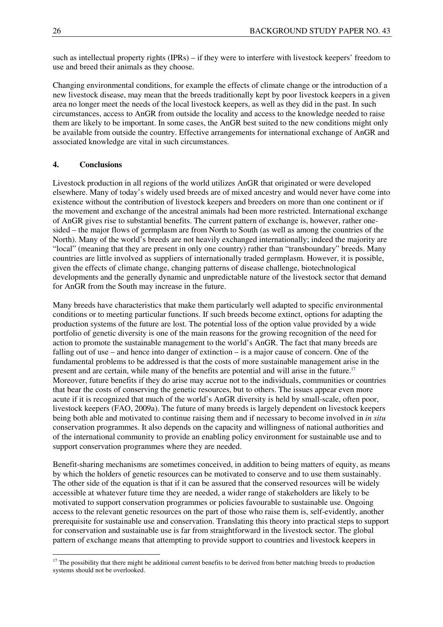such as intellectual property rights (IPRs) – if they were to interfere with livestock keepers' freedom to use and breed their animals as they choose.

Changing environmental conditions, for example the effects of climate change or the introduction of a new livestock disease, may mean that the breeds traditionally kept by poor livestock keepers in a given area no longer meet the needs of the local livestock keepers, as well as they did in the past. In such circumstances, access to AnGR from outside the locality and access to the knowledge needed to raise them are likely to be important. In some cases, the AnGR best suited to the new conditions might only be available from outside the country. Effective arrangements for international exchange of AnGR and associated knowledge are vital in such circumstances.

# **4. Conclusions**

Livestock production in all regions of the world utilizes AnGR that originated or were developed elsewhere. Many of today's widely used breeds are of mixed ancestry and would never have come into existence without the contribution of livestock keepers and breeders on more than one continent or if the movement and exchange of the ancestral animals had been more restricted. International exchange of AnGR gives rise to substantial benefits. The current pattern of exchange is, however, rather onesided – the major flows of germplasm are from North to South (as well as among the countries of the North). Many of the world's breeds are not heavily exchanged internationally; indeed the majority are "local" (meaning that they are present in only one country) rather than "transboundary" breeds. Many countries are little involved as suppliers of internationally traded germplasm. However, it is possible, given the effects of climate change, changing patterns of disease challenge, biotechnological developments and the generally dynamic and unpredictable nature of the livestock sector that demand for AnGR from the South may increase in the future.

Many breeds have characteristics that make them particularly well adapted to specific environmental conditions or to meeting particular functions. If such breeds become extinct, options for adapting the production systems of the future are lost. The potential loss of the option value provided by a wide portfolio of genetic diversity is one of the main reasons for the growing recognition of the need for action to promote the sustainable management to the world's AnGR. The fact that many breeds are falling out of use – and hence into danger of extinction – is a major cause of concern. One of the fundamental problems to be addressed is that the costs of more sustainable management arise in the present and are certain, while many of the benefits are potential and will arise in the future.<sup>17</sup> Moreover, future benefits if they do arise may accrue not to the individuals, communities or countries that bear the costs of conserving the genetic resources, but to others. The issues appear even more acute if it is recognized that much of the world's AnGR diversity is held by small-scale, often poor, livestock keepers (FAO, 2009a). The future of many breeds is largely dependent on livestock keepers being both able and motivated to continue raising them and if necessary to become involved in *in situ* conservation programmes. It also depends on the capacity and willingness of national authorities and of the international community to provide an enabling policy environment for sustainable use and to support conservation programmes where they are needed.

Benefit-sharing mechanisms are sometimes conceived, in addition to being matters of equity, as means by which the holders of genetic resources can be motivated to conserve and to use them sustainably. The other side of the equation is that if it can be assured that the conserved resources will be widely accessible at whatever future time they are needed, a wider range of stakeholders are likely to be motivated to support conservation programmes or policies favourable to sustainable use. Ongoing access to the relevant genetic resources on the part of those who raise them is, self-evidently, another prerequisite for sustainable use and conservation. Translating this theory into practical steps to support for conservation and sustainable use is far from straightforward in the livestock sector. The global pattern of exchange means that attempting to provide support to countries and livestock keepers in

<sup>&</sup>lt;sup>17</sup> The possibility that there might be additional current benefits to be derived from better matching breeds to production systems should not be overlooked.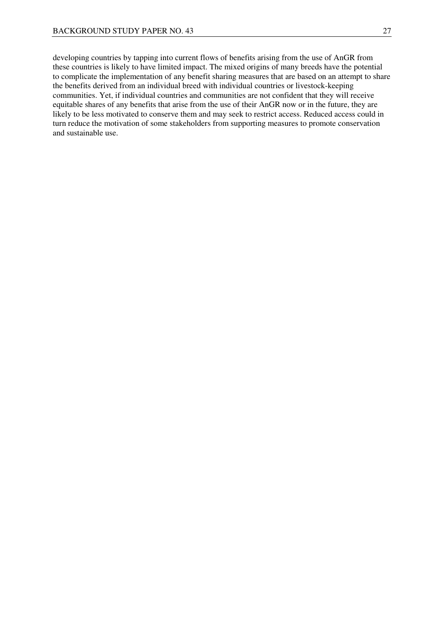developing countries by tapping into current flows of benefits arising from the use of AnGR from these countries is likely to have limited impact. The mixed origins of many breeds have the potential to complicate the implementation of any benefit sharing measures that are based on an attempt to share the benefits derived from an individual breed with individual countries or livestock-keeping communities. Yet, if individual countries and communities are not confident that they will receive equitable shares of any benefits that arise from the use of their AnGR now or in the future, they are likely to be less motivated to conserve them and may seek to restrict access. Reduced access could in turn reduce the motivation of some stakeholders from supporting measures to promote conservation and sustainable use.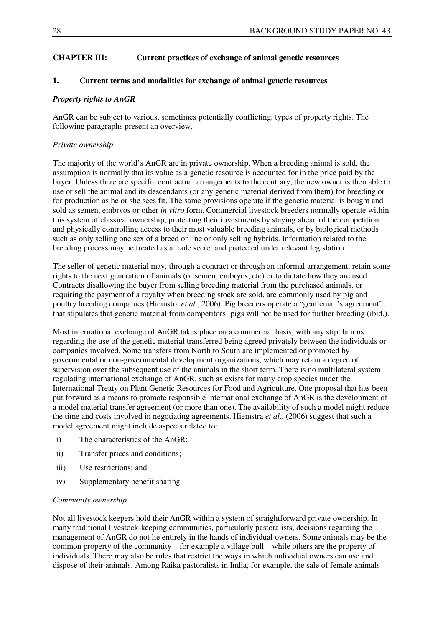# **CHAPTER III: Current practices of exchange of animal genetic resources**

# **1. Current terms and modalities for exchange of animal genetic resources**

# *Property rights to AnGR*

AnGR can be subject to various, sometimes potentially conflicting, types of property rights. The following paragraphs present an overview.

# *Private ownership*

The majority of the world's AnGR are in private ownership. When a breeding animal is sold, the assumption is normally that its value as a genetic resource is accounted for in the price paid by the buyer. Unless there are specific contractual arrangements to the contrary, the new owner is then able to use or sell the animal and its descendants (or any genetic material derived from them) for breeding or for production as he or she sees fit. The same provisions operate if the genetic material is bought and sold as semen, embryos or other *in vitro* form. Commercial livestock breeders normally operate within this system of classical ownership, protecting their investments by staying ahead of the competition and physically controlling access to their most valuable breeding animals, or by biological methods such as only selling one sex of a breed or line or only selling hybrids. Information related to the breeding process may be treated as a trade secret and protected under relevant legislation.

The seller of genetic material may, through a contract or through an informal arrangement, retain some rights to the next generation of animals (or semen, embryos, etc) or to dictate how they are used. Contracts disallowing the buyer from selling breeding material from the purchased animals, or requiring the payment of a royalty when breeding stock are sold, are commonly used by pig and poultry breeding companies (Hiemstra *et al*., 2006). Pig breeders operate a "gentleman's agreement" that stipulates that genetic material from competitors' pigs will not be used for further breeding (ibid.).

Most international exchange of AnGR takes place on a commercial basis, with any stipulations regarding the use of the genetic material transferred being agreed privately between the individuals or companies involved. Some transfers from North to South are implemented or promoted by governmental or non-governmental development organizations, which may retain a degree of supervision over the subsequent use of the animals in the short term. There is no multilateral system regulating international exchange of AnGR, such as exists for many crop species under the International Treaty on Plant Genetic Resources for Food and Agriculture. One proposal that has been put forward as a means to promote responsible international exchange of AnGR is the development of a model material transfer agreement (or more than one). The availability of such a model might reduce the time and costs involved in negotiating agreements. Hiemstra *et al*., (2006) suggest that such a model agreement might include aspects related to:

- i) The characteristics of the AnGR;
- ii) Transfer prices and conditions;
- iii) Use restrictions; and
- iv) Supplementary benefit sharing.

# *Community ownership*

Not all livestock keepers hold their AnGR within a system of straightforward private ownership. In many traditional livestock-keeping communities, particularly pastoralists, decisions regarding the management of AnGR do not lie entirely in the hands of individual owners. Some animals may be the common property of the community – for example a village bull – while others are the property of individuals. There may also be rules that restrict the ways in which individual owners can use and dispose of their animals. Among Raika pastoralists in India, for example, the sale of female animals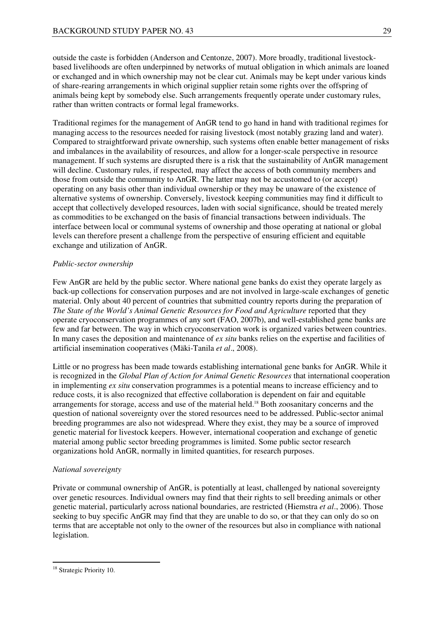outside the caste is forbidden (Anderson and Centonze, 2007). More broadly, traditional livestockbased livelihoods are often underpinned by networks of mutual obligation in which animals are loaned or exchanged and in which ownership may not be clear cut. Animals may be kept under various kinds of share-rearing arrangements in which original supplier retain some rights over the offspring of animals being kept by somebody else. Such arrangements frequently operate under customary rules, rather than written contracts or formal legal frameworks.

Traditional regimes for the management of AnGR tend to go hand in hand with traditional regimes for managing access to the resources needed for raising livestock (most notably grazing land and water). Compared to straightforward private ownership, such systems often enable better management of risks and imbalances in the availability of resources, and allow for a longer-scale perspective in resource management. If such systems are disrupted there is a risk that the sustainability of AnGR management will decline. Customary rules, if respected, may affect the access of both community members and those from outside the community to AnGR. The latter may not be accustomed to (or accept) operating on any basis other than individual ownership or they may be unaware of the existence of alternative systems of ownership. Conversely, livestock keeping communities may find it difficult to accept that collectively developed resources, laden with social significance, should be treated merely as commodities to be exchanged on the basis of financial transactions between individuals. The interface between local or communal systems of ownership and those operating at national or global levels can therefore present a challenge from the perspective of ensuring efficient and equitable exchange and utilization of AnGR.

# *Public-sector ownership*

Few AnGR are held by the public sector. Where national gene banks do exist they operate largely as back-up collections for conservation purposes and are not involved in large-scale exchanges of genetic material. Only about 40 percent of countries that submitted country reports during the preparation of *The State of the World's Animal Genetic Resources for Food and Agriculture* reported that they operate cryoconservation programmes of any sort (FAO, 2007b), and well-established gene banks are few and far between. The way in which cryoconservation work is organized varies between countries. In many cases the deposition and maintenance of *ex situ* banks relies on the expertise and facilities of artificial insemination cooperatives (Mäki-Tanila *et al*., 2008).

Little or no progress has been made towards establishing international gene banks for AnGR. While it is recognized in the *Global Plan of Action for Animal Genetic Resources* that international cooperation in implementing *ex situ* conservation programmes is a potential means to increase efficiency and to reduce costs, it is also recognized that effective collaboration is dependent on fair and equitable arrangements for storage, access and use of the material held.18 Both zoosanitary concerns and the question of national sovereignty over the stored resources need to be addressed. Public-sector animal breeding programmes are also not widespread. Where they exist, they may be a source of improved genetic material for livestock keepers. However, international cooperation and exchange of genetic material among public sector breeding programmes is limited. Some public sector research organizations hold AnGR, normally in limited quantities, for research purposes.

# *National sovereignty*

Private or communal ownership of AnGR, is potentially at least, challenged by national sovereignty over genetic resources. Individual owners may find that their rights to sell breeding animals or other genetic material, particularly across national boundaries, are restricted (Hiemstra *et al*., 2006). Those seeking to buy specific AnGR may find that they are unable to do so, or that they can only do so on terms that are acceptable not only to the owner of the resources but also in compliance with national legislation.

 $\overline{a}$ <sup>18</sup> Strategic Priority 10.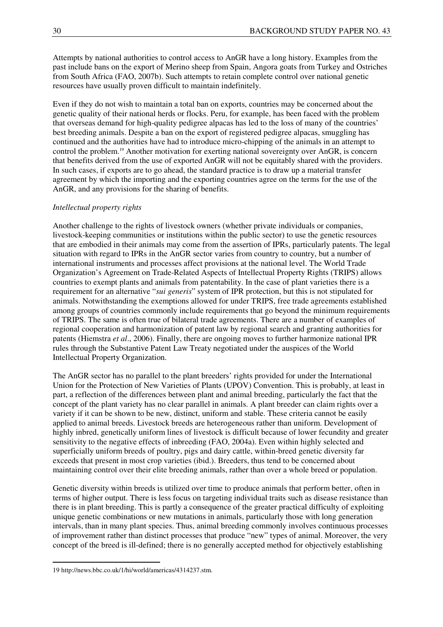Attempts by national authorities to control access to AnGR have a long history. Examples from the past include bans on the export of Merino sheep from Spain, Angora goats from Turkey and Ostriches from South Africa (FAO, 2007b). Such attempts to retain complete control over national genetic resources have usually proven difficult to maintain indefinitely.

Even if they do not wish to maintain a total ban on exports, countries may be concerned about the genetic quality of their national herds or flocks. Peru, for example, has been faced with the problem that overseas demand for high-quality pedigree alpacas has led to the loss of many of the countries' best breeding animals. Despite a ban on the export of registered pedigree alpacas, smuggling has continued and the authorities have had to introduce micro-chipping of the animals in an attempt to control the problem.19 Another motivation for exerting national sovereignty over AnGR, is concern that benefits derived from the use of exported AnGR will not be equitably shared with the providers. In such cases, if exports are to go ahead, the standard practice is to draw up a material transfer agreement by which the importing and the exporting countries agree on the terms for the use of the AnGR, and any provisions for the sharing of benefits.

### *Intellectual property rights*

Another challenge to the rights of livestock owners (whether private individuals or companies, livestock-keeping communities or institutions within the public sector) to use the genetic resources that are embodied in their animals may come from the assertion of IPRs, particularly patents. The legal situation with regard to IPRs in the AnGR sector varies from country to country, but a number of international instruments and processes affect provisions at the national level. The World Trade Organization's Agreement on Trade-Related Aspects of Intellectual Property Rights (TRIPS) allows countries to exempt plants and animals from patentability. In the case of plant varieties there is a requirement for an alternative "*sui generis*" system of IPR protection, but this is not stipulated for animals. Notwithstanding the exemptions allowed for under TRIPS, free trade agreements established among groups of countries commonly include requirements that go beyond the minimum requirements of TRIPS. The same is often true of bilateral trade agreements. There are a number of examples of regional cooperation and harmonization of patent law by regional search and granting authorities for patents (Hiemstra *et al*., 2006). Finally, there are ongoing moves to further harmonize national IPR rules through the Substantive Patent Law Treaty negotiated under the auspices of the World Intellectual Property Organization.

The AnGR sector has no parallel to the plant breeders' rights provided for under the International Union for the Protection of New Varieties of Plants (UPOV) Convention. This is probably, at least in part, a reflection of the differences between plant and animal breeding, particularly the fact that the concept of the plant variety has no clear parallel in animals. A plant breeder can claim rights over a variety if it can be shown to be new, distinct, uniform and stable. These criteria cannot be easily applied to animal breeds. Livestock breeds are heterogeneous rather than uniform. Development of highly inbred, genetically uniform lines of livestock is difficult because of lower fecundity and greater sensitivity to the negative effects of inbreeding (FAO, 2004a). Even within highly selected and superficially uniform breeds of poultry, pigs and dairy cattle, within-breed genetic diversity far exceeds that present in most crop varieties (ibid.). Breeders, thus tend to be concerned about maintaining control over their elite breeding animals, rather than over a whole breed or population.

Genetic diversity within breeds is utilized over time to produce animals that perform better, often in terms of higher output. There is less focus on targeting individual traits such as disease resistance than there is in plant breeding. This is partly a consequence of the greater practical difficulty of exploiting unique genetic combinations or new mutations in animals, particularly those with long generation intervals, than in many plant species. Thus, animal breeding commonly involves continuous processes of improvement rather than distinct processes that produce "new" types of animal. Moreover, the very concept of the breed is ill-defined; there is no generally accepted method for objectively establishing

<sup>19</sup> http://news.bbc.co.uk/1/hi/world/americas/4314237.stm.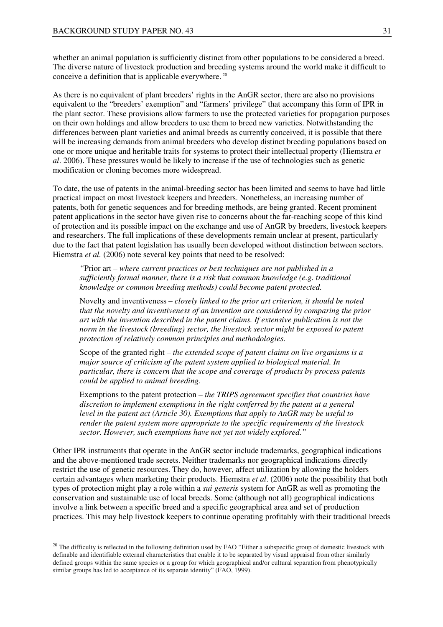whether an animal population is sufficiently distinct from other populations to be considered a breed. The diverse nature of livestock production and breeding systems around the world make it difficult to conceive a definition that is applicable everywhere. 20

As there is no equivalent of plant breeders' rights in the AnGR sector, there are also no provisions equivalent to the "breeders' exemption" and "farmers' privilege" that accompany this form of IPR in the plant sector. These provisions allow farmers to use the protected varieties for propagation purposes on their own holdings and allow breeders to use them to breed new varieties. Notwithstanding the differences between plant varieties and animal breeds as currently conceived, it is possible that there will be increasing demands from animal breeders who develop distinct breeding populations based on one or more unique and heritable traits for systems to protect their intellectual property (Hiemstra *et al*. 2006). These pressures would be likely to increase if the use of technologies such as genetic modification or cloning becomes more widespread.

To date, the use of patents in the animal-breeding sector has been limited and seems to have had little practical impact on most livestock keepers and breeders. Nonetheless, an increasing number of patents, both for genetic sequences and for breeding methods, are being granted. Recent prominent patent applications in the sector have given rise to concerns about the far-reaching scope of this kind of protection and its possible impact on the exchange and use of AnGR by breeders, livestock keepers and researchers. The full implications of these developments remain unclear at present, particularly due to the fact that patent legislation has usually been developed without distinction between sectors. Hiemstra *et al.* (2006) note several key points that need to be resolved:

*"*Prior art *– where current practices or best techniques are not published in a sufficiently formal manner, there is a risk that common knowledge (e.g. traditional knowledge or common breeding methods) could become patent protected.* 

Novelty and inventiveness *– closely linked to the prior art criterion, it should be noted that the novelty and inventiveness of an invention are considered by comparing the prior art with the invention described in the patent claims. If extensive publication is not the norm in the livestock (breeding) sector, the livestock sector might be exposed to patent protection of relatively common principles and methodologies.* 

Scope of the granted right *– the extended scope of patent claims on live organisms is a major source of criticism of the patent system applied to biological material. In particular, there is concern that the scope and coverage of products by process patents could be applied to animal breeding.* 

Exemptions to the patent protection *– the TRIPS agreement specifies that countries have discretion to implement exemptions in the right conferred by the patent at a general level in the patent act (Article 30). Exemptions that apply to AnGR may be useful to render the patent system more appropriate to the specific requirements of the livestock sector. However, such exemptions have not yet not widely explored."* 

Other IPR instruments that operate in the AnGR sector include trademarks, geographical indications and the above-mentioned trade secrets. Neither trademarks nor geographical indications directly restrict the use of genetic resources. They do, however, affect utilization by allowing the holders certain advantages when marketing their products. Hiemstra *et al*. (2006) note the possibility that both types of protection might play a role within a *sui generis* system for AnGR as well as promoting the conservation and sustainable use of local breeds. Some (although not all) geographical indications involve a link between a specific breed and a specific geographical area and set of production practices. This may help livestock keepers to continue operating profitably with their traditional breeds

 $20$  The difficulty is reflected in the following definition used by FAO "Either a subspecific group of domestic livestock with definable and identifiable external characteristics that enable it to be separated by visual appraisal from other similarly defined groups within the same species or a group for which geographical and/or cultural separation from phenotypically similar groups has led to acceptance of its separate identity" (FAO, 1999).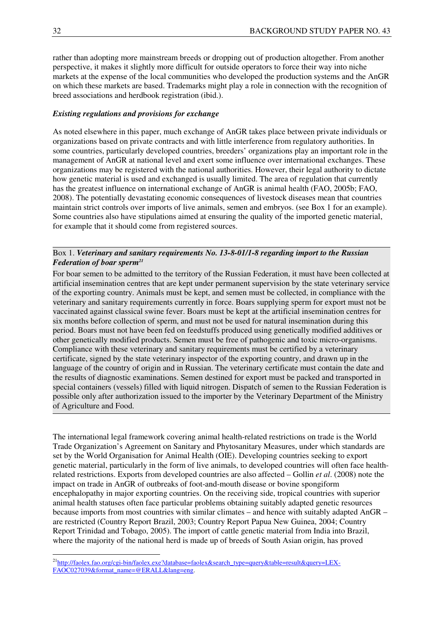rather than adopting more mainstream breeds or dropping out of production altogether. From another perspective, it makes it slightly more difficult for outside operators to force their way into niche markets at the expense of the local communities who developed the production systems and the AnGR on which these markets are based. Trademarks might play a role in connection with the recognition of breed associations and herdbook registration (ibid.).

### *Existing regulations and provisions for exchange*

As noted elsewhere in this paper, much exchange of AnGR takes place between private individuals or organizations based on private contracts and with little interference from regulatory authorities. In some countries, particularly developed countries, breeders' organizations play an important role in the management of AnGR at national level and exert some influence over international exchanges. These organizations may be registered with the national authorities. However, their legal authority to dictate how genetic material is used and exchanged is usually limited. The area of regulation that currently has the greatest influence on international exchange of AnGR is animal health (FAO, 2005b; FAO, 2008). The potentially devastating economic consequences of livestock diseases mean that countries maintain strict controls over imports of live animals, semen and embryos. (see Box 1 for an example). Some countries also have stipulations aimed at ensuring the quality of the imported genetic material, for example that it should come from registered sources.

# Box 1. *Veterinary and sanitary requirements No. 13-8-01/1-8 regarding import to the Russian Federation of boar sperm<sup>21</sup>*

For boar semen to be admitted to the territory of the Russian Federation, it must have been collected at artificial insemination centres that are kept under permanent supervision by the state veterinary service of the exporting country. Animals must be kept, and semen must be collected, in compliance with the veterinary and sanitary requirements currently in force. Boars supplying sperm for export must not be vaccinated against classical swine fever. Boars must be kept at the artificial insemination centres for six months before collection of sperm, and must not be used for natural insemination during this period. Boars must not have been fed on feedstuffs produced using genetically modified additives or other genetically modified products. Semen must be free of pathogenic and toxic micro-organisms. Compliance with these veterinary and sanitary requirements must be certified by a veterinary certificate, signed by the state veterinary inspector of the exporting country, and drawn up in the language of the country of origin and in Russian. The veterinary certificate must contain the date and the results of diagnostic examinations. Semen destined for export must be packed and transported in special containers (vessels) filled with liquid nitrogen. Dispatch of semen to the Russian Federation is possible only after authorization issued to the importer by the Veterinary Department of the Ministry of Agriculture and Food.

The international legal framework covering animal health-related restrictions on trade is the World Trade Organization's Agreement on Sanitary and Phytosanitary Measures, under which standards are set by the World Organisation for Animal Health (OIE). Developing countries seeking to export genetic material, particularly in the form of live animals, to developed countries will often face healthrelated restrictions. Exports from developed countries are also affected – Gollin *et al*. (2008) note the impact on trade in AnGR of outbreaks of foot-and-mouth disease or bovine spongiform encephalopathy in major exporting countries. On the receiving side, tropical countries with superior animal health statuses often face particular problems obtaining suitably adapted genetic resources because imports from most countries with similar climates – and hence with suitably adapted AnGR – are restricted (Country Report Brazil, 2003; Country Report Papua New Guinea, 2004; Country Report Trinidad and Tobago, 2005). The import of cattle genetic material from India into Brazil, where the majority of the national herd is made up of breeds of South Asian origin, has proved

<sup>&</sup>lt;sup>21</sup>http://faolex.fao.org/cgi-bin/faolex.exe?database=faolex&search\_type=query&table=result&query=LEX-FAOC027039&format\_name=@ERALL&lang=eng.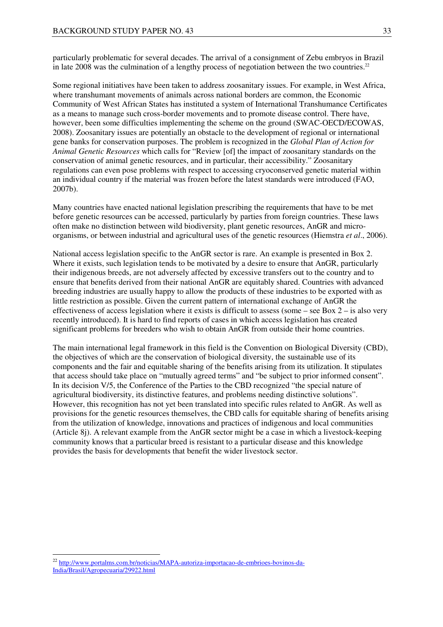particularly problematic for several decades. The arrival of a consignment of Zebu embryos in Brazil in late 2008 was the culmination of a lengthy process of negotiation between the two countries.<sup>22</sup>

Some regional initiatives have been taken to address zoosanitary issues. For example, in West Africa, where transhumant movements of animals across national borders are common, the Economic Community of West African States has instituted a system of International Transhumance Certificates as a means to manage such cross-border movements and to promote disease control. There have, however, been some difficulties implementing the scheme on the ground (SWAC-OECD/ECOWAS, 2008). Zoosanitary issues are potentially an obstacle to the development of regional or international gene banks for conservation purposes. The problem is recognized in the *Global Plan of Action for Animal Genetic Resources* which calls for "Review [of] the impact of zoosanitary standards on the conservation of animal genetic resources, and in particular, their accessibility." Zoosanitary regulations can even pose problems with respect to accessing cryoconserved genetic material within an individual country if the material was frozen before the latest standards were introduced (FAO, 2007b).

Many countries have enacted national legislation prescribing the requirements that have to be met before genetic resources can be accessed, particularly by parties from foreign countries. These laws often make no distinction between wild biodiversity, plant genetic resources, AnGR and microorganisms, or between industrial and agricultural uses of the genetic resources (Hiemstra *et al*., 2006).

National access legislation specific to the AnGR sector is rare. An example is presented in Box 2. Where it exists, such legislation tends to be motivated by a desire to ensure that AnGR, particularly their indigenous breeds, are not adversely affected by excessive transfers out to the country and to ensure that benefits derived from their national AnGR are equitably shared. Countries with advanced breeding industries are usually happy to allow the products of these industries to be exported with as little restriction as possible. Given the current pattern of international exchange of AnGR the effectiveness of access legislation where it exists is difficult to assess (some – see Box  $2$  – is also very recently introduced). It is hard to find reports of cases in which access legislation has created significant problems for breeders who wish to obtain AnGR from outside their home countries.

The main international legal framework in this field is the Convention on Biological Diversity (CBD), the objectives of which are the conservation of biological diversity, the sustainable use of its components and the fair and equitable sharing of the benefits arising from its utilization. It stipulates that access should take place on "mutually agreed terms" and "be subject to prior informed consent". In its decision V/5, the Conference of the Parties to the CBD recognized "the special nature of agricultural biodiversity, its distinctive features, and problems needing distinctive solutions". However, this recognition has not yet been translated into specific rules related to AnGR. As well as provisions for the genetic resources themselves, the CBD calls for equitable sharing of benefits arising from the utilization of knowledge, innovations and practices of indigenous and local communities (Article 8j). A relevant example from the AnGR sector might be a case in which a livestock-keeping community knows that a particular breed is resistant to a particular disease and this knowledge provides the basis for developments that benefit the wider livestock sector.

<sup>&</sup>lt;sup>22</sup> http://www.portalms.com.br/noticias/MAPA-autoriza-importacao-de-embrioes-bovinos-da-India/Brasil/Agropecuaria/29922.html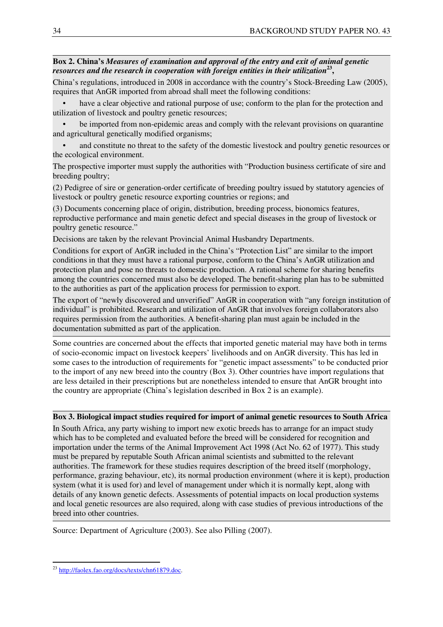# **Box 2. China's** *Measures of examination and approval of the entry and exit of animal genetic resources and the research in cooperation with foreign entities in their utilization***<sup>23</sup> ,**

China's regulations, introduced in 2008 in accordance with the country's Stock-Breeding Law (2005), requires that AnGR imported from abroad shall meet the following conditions:

have a clear objective and rational purpose of use; conform to the plan for the protection and utilization of livestock and poultry genetic resources;

- be imported from non-epidemic areas and comply with the relevant provisions on quarantine and agricultural genetically modified organisms;
- and constitute no threat to the safety of the domestic livestock and poultry genetic resources or the ecological environment.

The prospective importer must supply the authorities with "Production business certificate of sire and breeding poultry;

(2) Pedigree of sire or generation-order certificate of breeding poultry issued by statutory agencies of livestock or poultry genetic resource exporting countries or regions; and

(3) Documents concerning place of origin, distribution, breeding process, bionomics features, reproductive performance and main genetic defect and special diseases in the group of livestock or poultry genetic resource."

Decisions are taken by the relevant Provincial Animal Husbandry Departments.

Conditions for export of AnGR included in the China's "Protection List" are similar to the import conditions in that they must have a rational purpose, conform to the China's AnGR utilization and protection plan and pose no threats to domestic production. A rational scheme for sharing benefits among the countries concerned must also be developed. The benefit-sharing plan has to be submitted to the authorities as part of the application process for permission to export.

The export of "newly discovered and unverified" AnGR in cooperation with "any foreign institution of individual" is prohibited. Research and utilization of AnGR that involves foreign collaborators also requires permission from the authorities. A benefit-sharing plan must again be included in the documentation submitted as part of the application.

Some countries are concerned about the effects that imported genetic material may have both in terms of socio-economic impact on livestock keepers' livelihoods and on AnGR diversity. This has led in some cases to the introduction of requirements for "genetic impact assessments" to be conducted prior to the import of any new breed into the country (Box 3). Other countries have import regulations that are less detailed in their prescriptions but are nonetheless intended to ensure that AnGR brought into the country are appropriate (China's legislation described in Box 2 is an example).

# **Box 3. Biological impact studies required for import of animal genetic resources to South Africa**

In South Africa, any party wishing to import new exotic breeds has to arrange for an impact study which has to be completed and evaluated before the breed will be considered for recognition and importation under the terms of the Animal Improvement Act 1998 (Act No. 62 of 1977). This study must be prepared by reputable South African animal scientists and submitted to the relevant authorities. The framework for these studies requires description of the breed itself (morphology, performance, grazing behaviour, etc), its normal production environment (where it is kept), production system (what it is used for) and level of management under which it is normally kept, along with details of any known genetic defects. Assessments of potential impacts on local production systems and local genetic resources are also required, along with case studies of previous introductions of the breed into other countries.

Source: Department of Agriculture (2003). See also Pilling (2007).

 $\overline{a}$ <sup>23</sup> http://faolex.fao.org/docs/texts/chn61879.doc.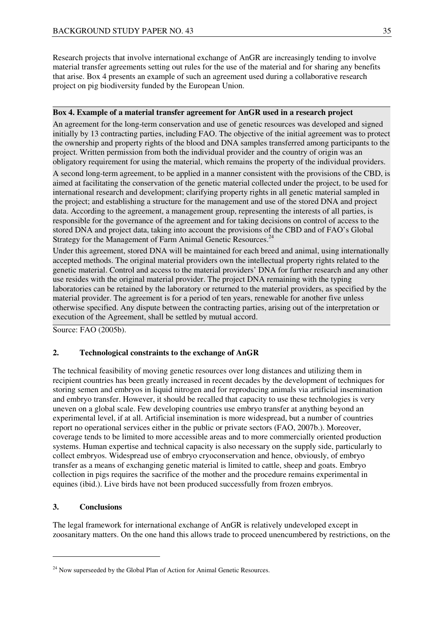Research projects that involve international exchange of AnGR are increasingly tending to involve material transfer agreements setting out rules for the use of the material and for sharing any benefits that arise. Box 4 presents an example of such an agreement used during a collaborative research project on pig biodiversity funded by the European Union.

### **Box 4. Example of a material transfer agreement for AnGR used in a research project**

An agreement for the long-term conservation and use of genetic resources was developed and signed initially by 13 contracting parties, including FAO. The objective of the initial agreement was to protect the ownership and property rights of the blood and DNA samples transferred among participants to the project. Written permission from both the individual provider and the country of origin was an obligatory requirement for using the material, which remains the property of the individual providers.

A second long-term agreement, to be applied in a manner consistent with the provisions of the CBD, is aimed at facilitating the conservation of the genetic material collected under the project, to be used for international research and development; clarifying property rights in all genetic material sampled in the project; and establishing a structure for the management and use of the stored DNA and project data. According to the agreement, a management group, representing the interests of all parties, is responsible for the governance of the agreement and for taking decisions on control of access to the stored DNA and project data, taking into account the provisions of the CBD and of FAO's Global Strategy for the Management of Farm Animal Genetic Resources.<sup>24</sup>

Under this agreement, stored DNA will be maintained for each breed and animal, using internationally accepted methods. The original material providers own the intellectual property rights related to the genetic material. Control and access to the material providers' DNA for further research and any other use resides with the original material provider. The project DNA remaining with the typing laboratories can be retained by the laboratory or returned to the material providers, as specified by the material provider. The agreement is for a period of ten years, renewable for another five unless otherwise specified. Any dispute between the contracting parties, arising out of the interpretation or execution of the Agreement, shall be settled by mutual accord.

Source: FAO (2005b).

# **2. Technological constraints to the exchange of AnGR**

The technical feasibility of moving genetic resources over long distances and utilizing them in recipient countries has been greatly increased in recent decades by the development of techniques for storing semen and embryos in liquid nitrogen and for reproducing animals via artificial insemination and embryo transfer. However, it should be recalled that capacity to use these technologies is very uneven on a global scale. Few developing countries use embryo transfer at anything beyond an experimental level, if at all. Artificial insemination is more widespread, but a number of countries report no operational services either in the public or private sectors (FAO, 2007b.). Moreover, coverage tends to be limited to more accessible areas and to more commercially oriented production systems. Human expertise and technical capacity is also necessary on the supply side, particularly to collect embryos. Widespread use of embryo cryoconservation and hence, obviously, of embryo transfer as a means of exchanging genetic material is limited to cattle, sheep and goats. Embryo collection in pigs requires the sacrifice of the mother and the procedure remains experimental in equines (ibid.). Live birds have not been produced successfully from frozen embryos.

# **3. Conclusions**

 $\overline{a}$ 

The legal framework for international exchange of AnGR is relatively undeveloped except in zoosanitary matters. On the one hand this allows trade to proceed unencumbered by restrictions, on the

 $24$  Now superseeded by the Global Plan of Action for Animal Genetic Resources.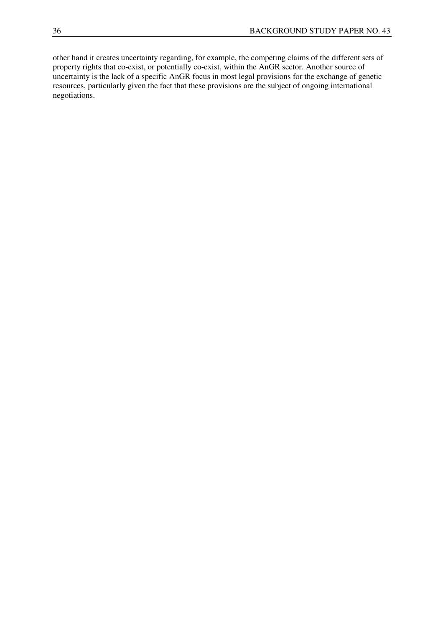other hand it creates uncertainty regarding, for example, the competing claims of the different sets of property rights that co-exist, or potentially co-exist, within the AnGR sector. Another source of uncertainty is the lack of a specific AnGR focus in most legal provisions for the exchange of genetic resources, particularly given the fact that these provisions are the subject of ongoing international negotiations.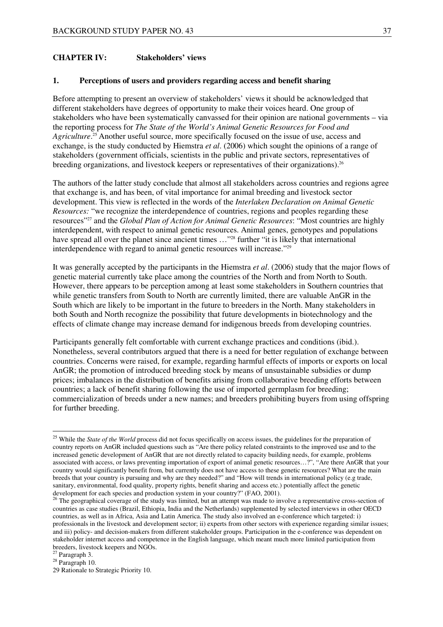### **CHAPTER IV: Stakeholders' views**

### **1. Perceptions of users and providers regarding access and benefit sharing**

Before attempting to present an overview of stakeholders' views it should be acknowledged that different stakeholders have degrees of opportunity to make their voices heard. One group of stakeholders who have been systematically canvassed for their opinion are national governments – via the reporting process for *The State of the World's Animal Genetic Resources for Food and*  Agriculture.<sup>25</sup> Another useful source, more specifically focused on the issue of use, access and exchange, is the study conducted by Hiemstra *et al*. (2006) which sought the opinions of a range of stakeholders (government officials, scientists in the public and private sectors, representatives of breeding organizations, and livestock keepers or representatives of their organizations).<sup>26</sup>

The authors of the latter study conclude that almost all stakeholders across countries and regions agree that exchange is, and has been, of vital importance for animal breeding and livestock sector development. This view is reflected in the words of the *Interlaken Declaration on Animal Genetic Resources:* "we recognize the interdependence of countries, regions and peoples regarding these resources"27 and the *Global Plan of Action for Animal Genetic Resources*: "Most countries are highly interdependent, with respect to animal genetic resources. Animal genes, genotypes and populations have spread all over the planet since ancient times ..."<sup>28</sup> further "it is likely that international interdependence with regard to animal genetic resources will increase."<sup>29</sup>

It was generally accepted by the participants in the Hiemstra *et al*. (2006) study that the major flows of genetic material currently take place among the countries of the North and from North to South. However, there appears to be perception among at least some stakeholders in Southern countries that while genetic transfers from South to North are currently limited, there are valuable AnGR in the South which are likely to be important in the future to breeders in the North. Many stakeholders in both South and North recognize the possibility that future developments in biotechnology and the effects of climate change may increase demand for indigenous breeds from developing countries.

Participants generally felt comfortable with current exchange practices and conditions (ibid.). Nonetheless, several contributors argued that there is a need for better regulation of exchange between countries. Concerns were raised, for example, regarding harmful effects of imports or exports on local AnGR; the promotion of introduced breeding stock by means of unsustainable subsidies or dump prices; imbalances in the distribution of benefits arising from collaborative breeding efforts between countries; a lack of benefit sharing following the use of imported germplasm for breeding; commercialization of breeds under a new names; and breeders prohibiting buyers from using offspring for further breeding.

<sup>&</sup>lt;sup>25</sup> While the *State of the World* process did not focus specifically on access issues, the guidelines for the preparation of country reports on AnGR included questions such as "Are there policy related constraints to the improved use and to the increased genetic development of AnGR that are not directly related to capacity building needs, for example, problems associated with access, or laws preventing importation of export of animal genetic resources…?", "Are there AnGR that your country would significantly benefit from, but currently does not have access to these genetic resources? What are the main breeds that your country is pursuing and why are they needed?" and "How will trends in international policy (e.g trade, sanitary, environmental, food quality, property rights, benefit sharing and access etc.) potentially affect the genetic development for each species and production system in your country?" (FAO, 2001).

<sup>&</sup>lt;sup>26</sup> The geographical coverage of the study was limited, but an attempt was made to involve a representative cross-section of countries as case studies (Brazil, Ethiopia, India and the Netherlands) supplemented by selected interviews in other OECD countries, as well as in Africa, Asia and Latin America. The study also involved an e-conference which targeted: i) professionals in the livestock and development sector; ii) experts from other sectors with experience regarding similar issues; and iii) policy- and decision-makers from different stakeholder groups. Participation in the e-conference was dependent on stakeholder internet access and competence in the English language, which meant much more limited participation from breeders, livestock keepers and NGOs.

<sup>27</sup> Paragraph 3.

<sup>&</sup>lt;sup>28</sup> Paragraph 10.

<sup>29</sup> Rationale to Strategic Priority 10.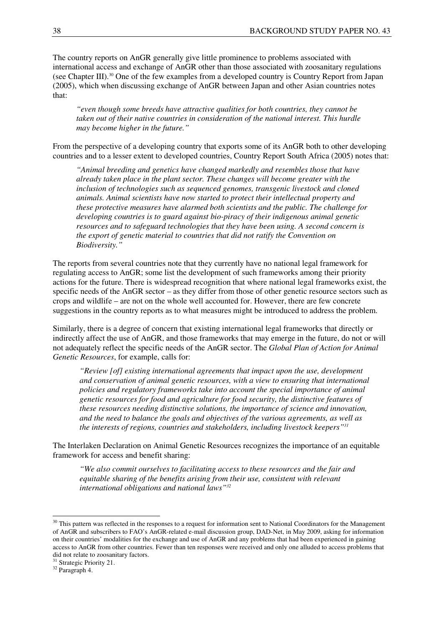The country reports on AnGR generally give little prominence to problems associated with international access and exchange of AnGR other than those associated with zoosanitary regulations (see Chapter III).30 One of the few examples from a developed country is Country Report from Japan (2005), which when discussing exchange of AnGR between Japan and other Asian countries notes that:

*"even though some breeds have attractive qualities for both countries, they cannot be taken out of their native countries in consideration of the national interest. This hurdle may become higher in the future."* 

From the perspective of a developing country that exports some of its AnGR both to other developing countries and to a lesser extent to developed countries, Country Report South Africa (2005) notes that:

*"Animal breeding and genetics have changed markedly and resembles those that have already taken place in the plant sector. These changes will become greater with the inclusion of technologies such as sequenced genomes, transgenic livestock and cloned animals. Animal scientists have now started to protect their intellectual property and these protective measures have alarmed both scientists and the public. The challenge for developing countries is to guard against bio-piracy of their indigenous animal genetic resources and to safeguard technologies that they have been using. A second concern is the export of genetic material to countries that did not ratify the Convention on Biodiversity."* 

The reports from several countries note that they currently have no national legal framework for regulating access to AnGR; some list the development of such frameworks among their priority actions for the future. There is widespread recognition that where national legal frameworks exist, the specific needs of the AnGR sector – as they differ from those of other genetic resource sectors such as crops and wildlife – are not on the whole well accounted for. However, there are few concrete suggestions in the country reports as to what measures might be introduced to address the problem.

Similarly, there is a degree of concern that existing international legal frameworks that directly or indirectly affect the use of AnGR, and those frameworks that may emerge in the future, do not or will not adequately reflect the specific needs of the AnGR sector. The *Global Plan of Action for Animal Genetic Resources*, for example, calls for:

*"Review [of] existing international agreements that impact upon the use, development and conservation of animal genetic resources, with a view to ensuring that international policies and regulatory frameworks take into account the special importance of animal genetic resources for food and agriculture for food security, the distinctive features of these resources needing distinctive solutions, the importance of science and innovation, and the need to balance the goals and objectives of the various agreements, as well as the interests of regions, countries and stakeholders, including livestock keepers"<sup>31</sup>*

The Interlaken Declaration on Animal Genetic Resources recognizes the importance of an equitable framework for access and benefit sharing:

*"We also commit ourselves to facilitating access to these resources and the fair and equitable sharing of the benefits arising from their use, consistent with relevant international obligations and national laws"<sup>32</sup>*

 $30$  This pattern was reflected in the responses to a request for information sent to National Coordinators for the Management of AnGR and subscribers to FAO's AnGR-related e-mail discussion group, DAD-Net, in May 2009, asking for information on their countries' modalities for the exchange and use of AnGR and any problems that had been experienced in gaining access to AnGR from other countries. Fewer than ten responses were received and only one alluded to access problems that did not relate to zoosanitary factors.

<sup>&</sup>lt;sup>31</sup> Strategic Priority 21.

<sup>32</sup> Paragraph 4.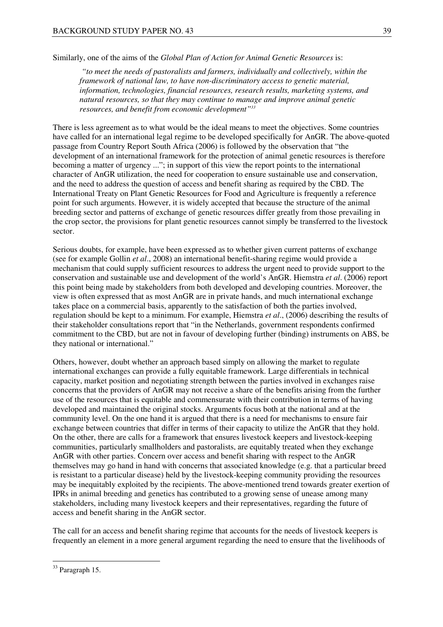Similarly, one of the aims of the *Global Plan of Action for Animal Genetic Resources* is:

 *"to meet the needs of pastoralists and farmers, individually and collectively, within the framework of national law, to have non-discriminatory access to genetic material, information, technologies, financial resources, research results, marketing systems, and natural resources, so that they may continue to manage and improve animal genetic resources, and benefit from economic development"<sup>33</sup>*

There is less agreement as to what would be the ideal means to meet the objectives. Some countries have called for an international legal regime to be developed specifically for AnGR. The above-quoted passage from Country Report South Africa (2006) is followed by the observation that "the development of an international framework for the protection of animal genetic resources is therefore becoming a matter of urgency ..."; in support of this view the report points to the international character of AnGR utilization, the need for cooperation to ensure sustainable use and conservation, and the need to address the question of access and benefit sharing as required by the CBD. The International Treaty on Plant Genetic Resources for Food and Agriculture is frequently a reference point for such arguments. However, it is widely accepted that because the structure of the animal breeding sector and patterns of exchange of genetic resources differ greatly from those prevailing in the crop sector, the provisions for plant genetic resources cannot simply be transferred to the livestock sector.

Serious doubts, for example, have been expressed as to whether given current patterns of exchange (see for example Gollin *et al*., 2008) an international benefit-sharing regime would provide a mechanism that could supply sufficient resources to address the urgent need to provide support to the conservation and sustainable use and development of the world's AnGR. Hiemstra *et al*. (2006) report this point being made by stakeholders from both developed and developing countries. Moreover, the view is often expressed that as most AnGR are in private hands, and much international exchange takes place on a commercial basis, apparently to the satisfaction of both the parties involved, regulation should be kept to a minimum. For example, Hiemstra *et al*., (2006) describing the results of their stakeholder consultations report that "in the Netherlands, government respondents confirmed commitment to the CBD, but are not in favour of developing further (binding) instruments on ABS, be they national or international."

Others, however, doubt whether an approach based simply on allowing the market to regulate international exchanges can provide a fully equitable framework. Large differentials in technical capacity, market position and negotiating strength between the parties involved in exchanges raise concerns that the providers of AnGR may not receive a share of the benefits arising from the further use of the resources that is equitable and commensurate with their contribution in terms of having developed and maintained the original stocks. Arguments focus both at the national and at the community level. On the one hand it is argued that there is a need for mechanisms to ensure fair exchange between countries that differ in terms of their capacity to utilize the AnGR that they hold. On the other, there are calls for a framework that ensures livestock keepers and livestock-keeping communities, particularly smallholders and pastoralists, are equitably treated when they exchange AnGR with other parties. Concern over access and benefit sharing with respect to the AnGR themselves may go hand in hand with concerns that associated knowledge (e.g. that a particular breed is resistant to a particular disease) held by the livestock-keeping community providing the resources may be inequitably exploited by the recipients. The above-mentioned trend towards greater exertion of IPRs in animal breeding and genetics has contributed to a growing sense of unease among many stakeholders, including many livestock keepers and their representatives, regarding the future of access and benefit sharing in the AnGR sector.

The call for an access and benefit sharing regime that accounts for the needs of livestock keepers is frequently an element in a more general argument regarding the need to ensure that the livelihoods of

<sup>&</sup>lt;sup>33</sup> Paragraph 15.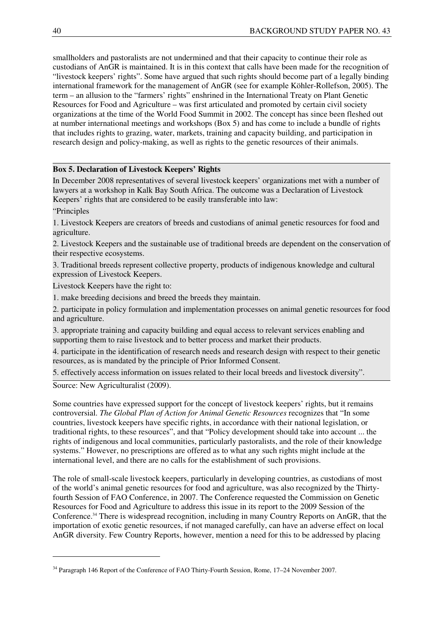smallholders and pastoralists are not undermined and that their capacity to continue their role as custodians of AnGR is maintained. It is in this context that calls have been made for the recognition of "livestock keepers' rights". Some have argued that such rights should become part of a legally binding international framework for the management of AnGR (see for example Köhler-Rollefson, 2005). The term – an allusion to the "farmers' rights" enshrined in the International Treaty on Plant Genetic Resources for Food and Agriculture – was first articulated and promoted by certain civil society organizations at the time of the World Food Summit in 2002. The concept has since been fleshed out at number international meetings and workshops (Box 5) and has come to include a bundle of rights that includes rights to grazing, water, markets, training and capacity building, and participation in research design and policy-making, as well as rights to the genetic resources of their animals.

# **Box 5. Declaration of Livestock Keepers' Rights**

In December 2008 representatives of several livestock keepers' organizations met with a number of lawyers at a workshop in Kalk Bay South Africa. The outcome was a Declaration of Livestock Keepers' rights that are considered to be easily transferable into law:

"Principles

 $\overline{a}$ 

1. Livestock Keepers are creators of breeds and custodians of animal genetic resources for food and agriculture.

2. Livestock Keepers and the sustainable use of traditional breeds are dependent on the conservation of their respective ecosystems.

3. Traditional breeds represent collective property, products of indigenous knowledge and cultural expression of Livestock Keepers.

Livestock Keepers have the right to:

1. make breeding decisions and breed the breeds they maintain.

2. participate in policy formulation and implementation processes on animal genetic resources for food and agriculture.

3. appropriate training and capacity building and equal access to relevant services enabling and supporting them to raise livestock and to better process and market their products.

4. participate in the identification of research needs and research design with respect to their genetic resources, as is mandated by the principle of Prior Informed Consent.

5. effectively access information on issues related to their local breeds and livestock diversity".

Source: New Agriculturalist (2009).

Some countries have expressed support for the concept of livestock keepers' rights, but it remains controversial. *The Global Plan of Action for Animal Genetic Resources* recognizes that "In some countries, livestock keepers have specific rights, in accordance with their national legislation, or traditional rights, to these resources", and that "Policy development should take into account ... the rights of indigenous and local communities, particularly pastoralists, and the role of their knowledge systems." However, no prescriptions are offered as to what any such rights might include at the international level, and there are no calls for the establishment of such provisions.

The role of small-scale livestock keepers, particularly in developing countries, as custodians of most of the world's animal genetic resources for food and agriculture, was also recognized by the Thirtyfourth Session of FAO Conference, in 2007. The Conference requested the Commission on Genetic Resources for Food and Agriculture to address this issue in its report to the 2009 Session of the Conference.34 There is widespread recognition, including in many Country Reports on AnGR, that the importation of exotic genetic resources, if not managed carefully, can have an adverse effect on local AnGR diversity. Few Country Reports, however, mention a need for this to be addressed by placing

<sup>&</sup>lt;sup>34</sup> Paragraph 146 Report of the Conference of FAO Thirty-Fourth Session, Rome, 17–24 November 2007.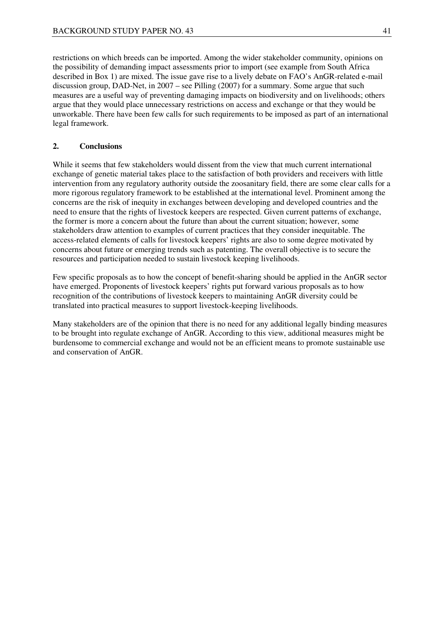restrictions on which breeds can be imported. Among the wider stakeholder community, opinions on the possibility of demanding impact assessments prior to import (see example from South Africa described in Box 1) are mixed. The issue gave rise to a lively debate on FAO's AnGR-related e-mail discussion group, DAD-Net, in 2007 – see Pilling (2007) for a summary. Some argue that such measures are a useful way of preventing damaging impacts on biodiversity and on livelihoods; others argue that they would place unnecessary restrictions on access and exchange or that they would be unworkable. There have been few calls for such requirements to be imposed as part of an international legal framework.

# **2. Conclusions**

While it seems that few stakeholders would dissent from the view that much current international exchange of genetic material takes place to the satisfaction of both providers and receivers with little intervention from any regulatory authority outside the zoosanitary field, there are some clear calls for a more rigorous regulatory framework to be established at the international level. Prominent among the concerns are the risk of inequity in exchanges between developing and developed countries and the need to ensure that the rights of livestock keepers are respected. Given current patterns of exchange, the former is more a concern about the future than about the current situation; however, some stakeholders draw attention to examples of current practices that they consider inequitable. The access-related elements of calls for livestock keepers' rights are also to some degree motivated by concerns about future or emerging trends such as patenting. The overall objective is to secure the resources and participation needed to sustain livestock keeping livelihoods.

Few specific proposals as to how the concept of benefit-sharing should be applied in the AnGR sector have emerged. Proponents of livestock keepers' rights put forward various proposals as to how recognition of the contributions of livestock keepers to maintaining AnGR diversity could be translated into practical measures to support livestock-keeping livelihoods.

Many stakeholders are of the opinion that there is no need for any additional legally binding measures to be brought into regulate exchange of AnGR. According to this view, additional measures might be burdensome to commercial exchange and would not be an efficient means to promote sustainable use and conservation of AnGR.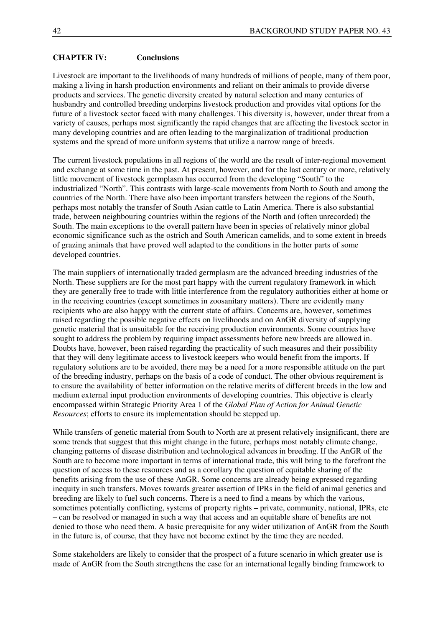# **CHAPTER IV: Conclusions**

Livestock are important to the livelihoods of many hundreds of millions of people, many of them poor, making a living in harsh production environments and reliant on their animals to provide diverse products and services. The genetic diversity created by natural selection and many centuries of husbandry and controlled breeding underpins livestock production and provides vital options for the future of a livestock sector faced with many challenges. This diversity is, however, under threat from a variety of causes, perhaps most significantly the rapid changes that are affecting the livestock sector in many developing countries and are often leading to the marginalization of traditional production systems and the spread of more uniform systems that utilize a narrow range of breeds.

The current livestock populations in all regions of the world are the result of inter-regional movement and exchange at some time in the past. At present, however, and for the last century or more, relatively little movement of livestock germplasm has occurred from the developing "South" to the industrialized "North". This contrasts with large-scale movements from North to South and among the countries of the North. There have also been important transfers between the regions of the South, perhaps most notably the transfer of South Asian cattle to Latin America. There is also substantial trade, between neighbouring countries within the regions of the North and (often unrecorded) the South. The main exceptions to the overall pattern have been in species of relatively minor global economic significance such as the ostrich and South American camelids, and to some extent in breeds of grazing animals that have proved well adapted to the conditions in the hotter parts of some developed countries.

The main suppliers of internationally traded germplasm are the advanced breeding industries of the North. These suppliers are for the most part happy with the current regulatory framework in which they are generally free to trade with little interference from the regulatory authorities either at home or in the receiving countries (except sometimes in zoosanitary matters). There are evidently many recipients who are also happy with the current state of affairs. Concerns are, however, sometimes raised regarding the possible negative effects on livelihoods and on AnGR diversity of supplying genetic material that is unsuitable for the receiving production environments. Some countries have sought to address the problem by requiring impact assessments before new breeds are allowed in. Doubts have, however, been raised regarding the practicality of such measures and their possibility that they will deny legitimate access to livestock keepers who would benefit from the imports. If regulatory solutions are to be avoided, there may be a need for a more responsible attitude on the part of the breeding industry, perhaps on the basis of a code of conduct. The other obvious requirement is to ensure the availability of better information on the relative merits of different breeds in the low and medium external input production environments of developing countries. This objective is clearly encompassed within Strategic Priority Area 1 of the *Global Plan of Action for Animal Genetic Resources*; efforts to ensure its implementation should be stepped up.

While transfers of genetic material from South to North are at present relatively insignificant, there are some trends that suggest that this might change in the future, perhaps most notably climate change, changing patterns of disease distribution and technological advances in breeding. If the AnGR of the South are to become more important in terms of international trade, this will bring to the forefront the question of access to these resources and as a corollary the question of equitable sharing of the benefits arising from the use of these AnGR. Some concerns are already being expressed regarding inequity in such transfers. Moves towards greater assertion of IPRs in the field of animal genetics and breeding are likely to fuel such concerns. There is a need to find a means by which the various, sometimes potentially conflicting, systems of property rights – private, community, national, IPRs, etc – can be resolved or managed in such a way that access and an equitable share of benefits are not denied to those who need them. A basic prerequisite for any wider utilization of AnGR from the South in the future is, of course, that they have not become extinct by the time they are needed.

Some stakeholders are likely to consider that the prospect of a future scenario in which greater use is made of AnGR from the South strengthens the case for an international legally binding framework to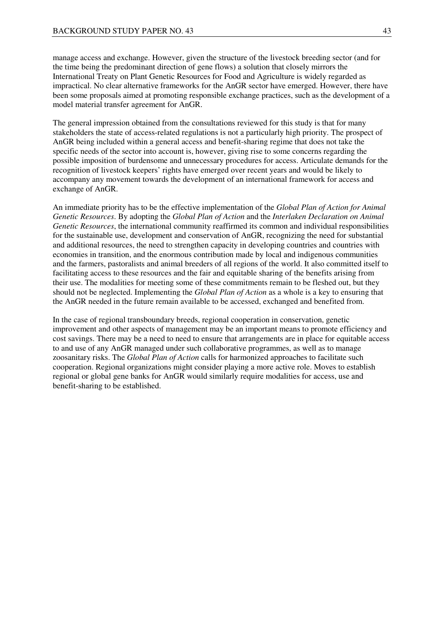manage access and exchange. However, given the structure of the livestock breeding sector (and for the time being the predominant direction of gene flows) a solution that closely mirrors the International Treaty on Plant Genetic Resources for Food and Agriculture is widely regarded as impractical. No clear alternative frameworks for the AnGR sector have emerged. However, there have been some proposals aimed at promoting responsible exchange practices, such as the development of a model material transfer agreement for AnGR.

The general impression obtained from the consultations reviewed for this study is that for many stakeholders the state of access-related regulations is not a particularly high priority. The prospect of AnGR being included within a general access and benefit-sharing regime that does not take the specific needs of the sector into account is, however, giving rise to some concerns regarding the possible imposition of burdensome and unnecessary procedures for access. Articulate demands for the recognition of livestock keepers' rights have emerged over recent years and would be likely to accompany any movement towards the development of an international framework for access and exchange of AnGR.

An immediate priority has to be the effective implementation of the *Global Plan of Action for Animal Genetic Resources*. By adopting the *Global Plan of Action* and the *Interlaken Declaration on Animal Genetic Resources*, the international community reaffirmed its common and individual responsibilities for the sustainable use, development and conservation of AnGR, recognizing the need for substantial and additional resources, the need to strengthen capacity in developing countries and countries with economies in transition, and the enormous contribution made by local and indigenous communities and the farmers, pastoralists and animal breeders of all regions of the world. It also committed itself to facilitating access to these resources and the fair and equitable sharing of the benefits arising from their use. The modalities for meeting some of these commitments remain to be fleshed out, but they should not be neglected. Implementing the *Global Plan of Action* as a whole is a key to ensuring that the AnGR needed in the future remain available to be accessed, exchanged and benefited from.

In the case of regional transboundary breeds, regional cooperation in conservation, genetic improvement and other aspects of management may be an important means to promote efficiency and cost savings. There may be a need to need to ensure that arrangements are in place for equitable access to and use of any AnGR managed under such collaborative programmes, as well as to manage zoosanitary risks. The *Global Plan of Action* calls for harmonized approaches to facilitate such cooperation. Regional organizations might consider playing a more active role. Moves to establish regional or global gene banks for AnGR would similarly require modalities for access, use and benefit-sharing to be established.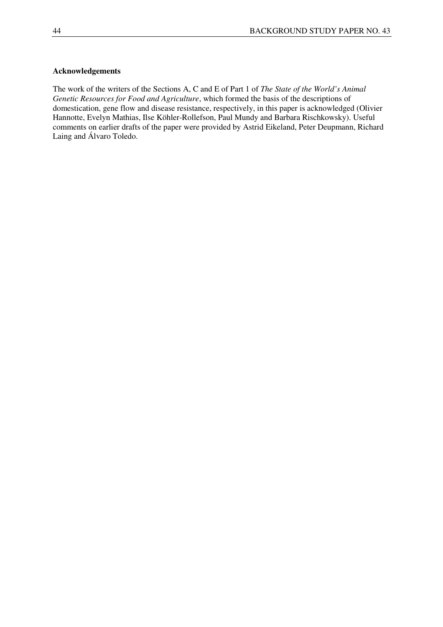### **Acknowledgements**

The work of the writers of the Sections A, C and E of Part 1 of *The State of the World's Animal Genetic Resources for Food and Agriculture*, which formed the basis of the descriptions of domestication, gene flow and disease resistance, respectively, in this paper is acknowledged (Olivier Hannotte, Evelyn Mathias, Ilse Köhler-Rollefson, Paul Mundy and Barbara Rischkowsky). Useful comments on earlier drafts of the paper were provided by Astrid Eikeland, Peter Deupmann, Richard Laing and Álvaro Toledo.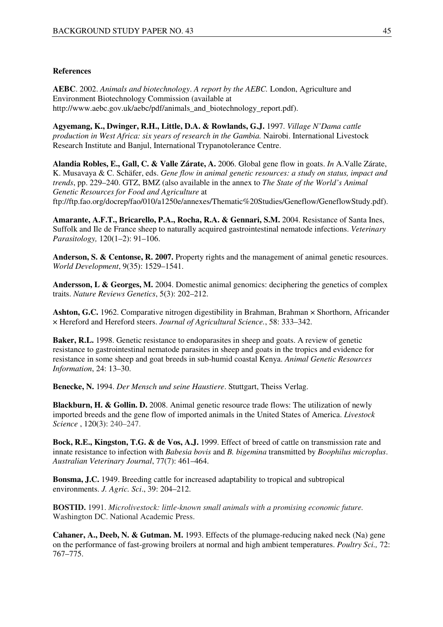#### **References**

**AEBC**. 2002. *Animals and biotechnology*. *A report by the AEBC.* London, Agriculture and Environment Biotechnology Commission (available at http://www.aebc.gov.uk/aebc/pdf/animals\_and\_biotechnology\_report.pdf).

**Agyemang, K., Dwinger, R.H., Little, D.A. & Rowlands, G.J.** 1997. *Village N'Dama cattle production in West Africa: six years of research in the Gambia.* Nairobi. International Livestock Research Institute and Banjul, International Trypanotolerance Centre.

**Alandia Robles, E., Gall, C. & Valle Zárate, A.** 2006. Global gene flow in goats. *In* A.Valle Zárate, K. Musavaya & C. Schäfer, eds. *Gene flow in animal genetic resources: a study on status, impact and trends*, pp. 229–240. GTZ, BMZ (also available in the annex to *The State of the World's Animal Genetic Resources for Food and Agriculture* at ftp://ftp.fao.org/docrep/fao/010/a1250e/annexes/Thematic%20Studies/Geneflow/GeneflowStudy.pdf).

**Amarante, A.F.T., Bricarello, P.A., Rocha, R.A. & Gennari, S.M.** 2004. Resistance of Santa Ines, Suffolk and Ile de France sheep to naturally acquired gastrointestinal nematode infections. *Veterinary Parasitology,* 120(1–2): 91–106.

**Anderson, S. & Centonse, R. 2007.** Property rights and the management of animal genetic resources. *World Development*, 9(35): 1529–1541.

**Andersson, L & Georges, M.** 2004. Domestic animal genomics: deciphering the genetics of complex traits. *Nature Reviews Genetics*, 5(3): 202–212.

Ashton, G.C. 1962. Comparative nitrogen digestibility in Brahman, Brahman × Shorthorn, Africander × Hereford and Hereford steers. *Journal of Agricultural Science.*, 58: 333–342.

**Baker, R.L.** 1998. Genetic resistance to endoparasites in sheep and goats. A review of genetic resistance to gastrointestinal nematode parasites in sheep and goats in the tropics and evidence for resistance in some sheep and goat breeds in sub-humid coastal Kenya. *Animal Genetic Resources Information*, 24: 13–30.

**Benecke, N.** 1994. *Der Mensch und seine Haustiere*. Stuttgart, Theiss Verlag.

**Blackburn, H. & Gollin. D.** 2008. Animal genetic resource trade flows: The utilization of newly imported breeds and the gene flow of imported animals in the United States of America. *Livestock Science* , 120(3): 240–247.

**Bock, R.E., Kingston, T.G. & de Vos, A.J.** 1999. Effect of breed of cattle on transmission rate and innate resistance to infection with *Babesia bovis* and *B. bigemina* transmitted by *Boophilus microplus*. *Australian Veterinary Journal*, 77(7): 461–464.

**Bonsma, J.C.** 1949. Breeding cattle for increased adaptability to tropical and subtropical environments. *J. Agric. Sci*., 39: 204–212.

**BOSTID.** 1991. *Microlivestock: little-known small animals with a promising economic future.*  Washington DC. National Academic Press.

**Cahaner, A., Deeb, N. & Gutman. M.** 1993. Effects of the plumage-reducing naked neck (Na) gene on the performance of fast-growing broilers at normal and high ambient temperatures. *Poultry Sci.,* 72: 767–775.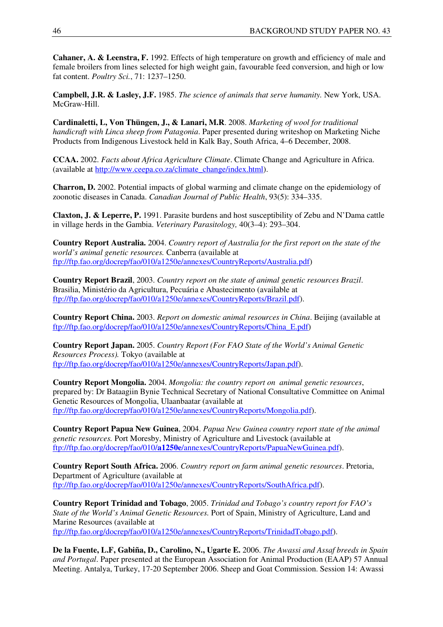**Cahaner, A. & Leenstra, F.** 1992. Effects of high temperature on growth and efficiency of male and female broilers from lines selected for high weight gain, favourable feed conversion, and high or low fat content. *Poultry Sci.*, 71: 1237–1250.

**Campbell, J.R. & Lasley, J.F.** 1985. *The science of animals that serve humanity.* New York, USA. McGraw-Hill.

**Cardinaletti, L, Von Thüngen, J., & Lanari, M.R**. 2008. *Marketing of wool for traditional handicraft with Linca sheep from Patagonia*. Paper presented during writeshop on Marketing Niche Products from Indigenous Livestock held in Kalk Bay, South Africa, 4–6 December, 2008.

**CCAA.** 2002. *Facts about Africa Agriculture Climate*. Climate Change and Agriculture in Africa. (available at http://www.ceepa.co.za/climate\_change/index.html).

**Charron, D.** 2002. Potential impacts of global warming and climate change on the epidemiology of zoonotic diseases in Canada. *Canadian Journal of Public Health*, 93(5): 334–335.

**Claxton, J. & Leperre, P.** 1991. Parasite burdens and host susceptibility of Zebu and N'Dama cattle in village herds in the Gambia. *Veterinary Parasitology,* 40(3–4): 293–304.

**Country Report Australia.** 2004. *Country report of Australia for the first report on the state of the world's animal genetic resources.* Canberra (available at ftp://ftp.fao.org/docrep/fao/010/a1250e/annexes/CountryReports/Australia.pdf)

**Country Report Brazil**, 2003. *Country report on the state of animal genetic resources Brazil*. Brasilia, Ministério da Agricultura, Pecuária e Abastecimento (available at ftp://ftp.fao.org/docrep/fao/010/a1250e/annexes/CountryReports/Brazil.pdf).

**Country Report China.** 2003. *Report on domestic animal resources in China*. Beijing (available at ftp://ftp.fao.org/docrep/fao/010/a1250e/annexes/CountryReports/China\_E.pdf)

**Country Report Japan.** 2005. *Country Report (For FAO State of the World's Animal Genetic Resources Process).* Tokyo (available at ftp://ftp.fao.org/docrep/fao/010/a1250e/annexes/CountryReports/Japan.pdf).

**Country Report Mongolia.** 2004. *Mongolia: the country report on animal genetic resources*, prepared by: Dr Bataagiin Bynie Technical Secretary of National Consultative Committee on Animal Genetic Resources of Mongolia, Ulaanbaatar (available at ftp://ftp.fao.org/docrep/fao/010/a1250e/annexes/CountryReports/Mongolia.pdf).

**Country Report Papua New Guinea**, 2004. *Papua New Guinea country report state of the animal genetic resources.* Port Moresby, Ministry of Agriculture and Livestock (available at ftp://ftp.fao.org/docrep/fao/010/**a1250e**/annexes/CountryReports/PapuaNewGuinea.pdf).

**Country Report South Africa.** 2006. *Country report on farm animal genetic resources*. Pretoria, Department of Agriculture (available at ftp://ftp.fao.org/docrep/fao/010/a1250e/annexes/CountryReports/SouthAfrica.pdf).

**Country Report Trinidad and Tobago**, 2005. *Trinidad and Tobago's country report for FAO's State of the World's Animal Genetic Resources.* Port of Spain, Ministry of Agriculture, Land and Marine Resources (available at ftp://ftp.fao.org/docrep/fao/010/a1250e/annexes/CountryReports/TrinidadTobago.pdf).

**De la Fuente, L.F, Gabiña, D., Carolino, N., Ugarte E.** 2006. *The Awassi and Assaf breeds in Spain and Portugal*. Paper presented at the European Association for Animal Production (EAAP) 57 Annual Meeting. Antalya, Turkey, 17-20 September 2006. Sheep and Goat Commission. Session 14: Awassi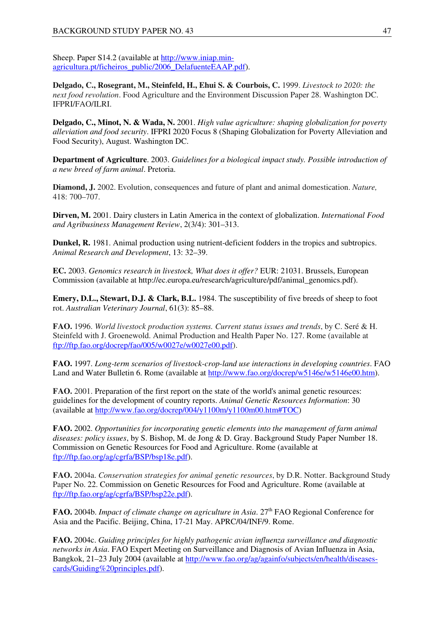Sheep. Paper S14.2 (available at http://www.iniap.minagricultura.pt/ficheiros\_public/2006\_DelafuenteEAAP.pdf).

**Delgado, C., Rosegrant, M., Steinfeld, H., Ehui S. & Courbois, C.** 1999. *Livestock to 2020: the next food revolution*. Food Agriculture and the Environment Discussion Paper 28. Washington DC. IFPRI/FAO/ILRI.

**Delgado, C., Minot, N. & Wada, N.** 2001. *High value agriculture: shaping globalization for poverty alleviation and food security*. IFPRI 2020 Focus 8 (Shaping Globalization for Poverty Alleviation and Food Security), August. Washington DC.

**Department of Agriculture**. 2003. *Guidelines for a biological impact study. Possible introduction of a new breed of farm animal*. Pretoria.

**Diamond, J.** 2002. Evolution, consequences and future of plant and animal domestication. *Nature,*  418: 700–707.

**Dirven, M.** 2001. Dairy clusters in Latin America in the context of globalization. *International Food and Agribusiness Management Review*, 2(3/4): 301–313.

**Dunkel, R.** 1981. Animal production using nutrient-deficient fodders in the tropics and subtropics. *Animal Research and Development*, 13: 32–39.

**EC.** 2003. *Genomics research in livestock, What does it offer?* EUR: 21031. Brussels, European Commission (available at http://ec.europa.eu/research/agriculture/pdf/animal\_genomics.pdf).

**Emery, D.L., Stewart, D.J. & Clark, B.L.** 1984. The susceptibility of five breeds of sheep to foot rot. *Australian Veterinary Journal*, 61(3): 85–88.

**FAO.** 1996. *World livestock production systems. Current status issues and trends*, by C. Seré & H. Steinfeld with J. Groenewold. Animal Production and Health Paper No. 127. Rome (available at ftp://ftp.fao.org/docrep/fao/005/w0027e/w0027e00.pdf).

**FAO.** 1997. *Long-term scenarios of livestock-crop-land use interactions in developing countries*. FAO Land and Water Bulletin 6. Rome (available at http://www.fao.org/docrep/w5146e/w5146e00.htm).

**FAO.** 2001. Preparation of the first report on the state of the world's animal genetic resources: guidelines for the development of country reports. *Animal Genetic Resources Information*: 30 (available at http://www.fao.org/docrep/004/y1100m/y1100m00.htm#TOC)

**FAO.** 2002. *Opportunities for incorporating genetic elements into the management of farm animal diseases: policy issues*, by S. Bishop, M. de Jong & D. Gray. Background Study Paper Number 18. Commission on Genetic Resources for Food and Agriculture. Rome (available at ftp://ftp.fao.org/ag/cgrfa/BSP/bsp18e.pdf).

**FAO.** 2004a. *Conservation strategies for animal genetic resources*, by D.R. Notter. Background Study Paper No. 22. Commission on Genetic Resources for Food and Agriculture. Rome (available at ftp://ftp.fao.org/ag/cgrfa/BSP/bsp22e.pdf).

**FAO.** 2004b. *Impact of climate change on agriculture in Asia*. 27<sup>th</sup> FAO Regional Conference for Asia and the Pacific. Beijing, China, 17-21 May. APRC/04/INF/9. Rome.

**FAO.** 2004c. *Guiding principles for highly pathogenic avian influenza surveillance and diagnostic networks in Asia*. FAO Expert Meeting on Surveillance and Diagnosis of Avian Influenza in Asia, Bangkok, 21–23 July 2004 (available at http://www.fao.org/ag/againfo/subjects/en/health/diseasescards/Guiding%20principles.pdf).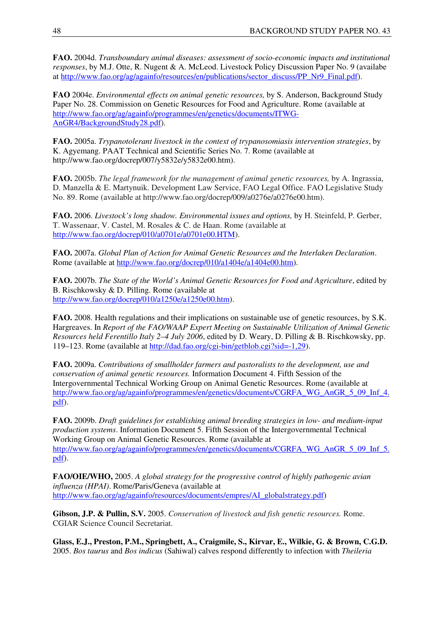**FAO.** 2004d. *Transboundary animal diseases: assessment of socio-economic impacts and institutional responses*, by M.J. Otte, R. Nugent & A. McLeod. Livestock Policy Discussion Paper No. 9 (availabe at http://www.fao.org/ag/againfo/resources/en/publications/sector\_discuss/PP\_Nr9\_Final.pdf).

**FAO** 2004e. *Environmental effects on animal genetic resources,* by S. Anderson, Background Study Paper No. 28. Commission on Genetic Resources for Food and Agriculture. Rome (available at http://www.fao.org/ag/againfo/programmes/en/genetics/documents/ITWG-AnGR4/BackgroundStudy28.pdf).

**FAO.** 2005a. *Trypanotolerant livestock in the context of trypanosomiasis intervention strategies*, by K. Agyemang. PAAT Technical and Scientific Series No. 7. Rome (available at http://www.fao.org/docrep/007/y5832e/y5832e00.htm).

**FAO.** 2005b. *The legal framework for the management of animal genetic resources,* by A. Ingrassia, D. Manzella & E. Martynuik. Development Law Service, FAO Legal Office. FAO Legislative Study No. 89. Rome (available at http://www.fao.org/docrep/009/a0276e/a0276e00.htm).

**FAO.** 2006. *Livestock's long shadow. Environmental issues and options,* by H. Steinfeld, P. Gerber, T. Wassenaar, V. Castel, M. Rosales & C. de Haan. Rome (available at http://www.fao.org/docrep/010/a0701e/a0701e00.HTM).

**FAO.** 2007a. *Global Plan of Action for Animal Genetic Resources and the Interlaken Declaration*. Rome (available at http://www.fao.org/docrep/010/a1404e/a1404e00.htm).

**FAO.** 2007b. *The State of the World's Animal Genetic Resources for Food and Agriculture*, edited by B. Rischkowsky & D. Pilling. Rome (available at http://www.fao.org/docrep/010/a1250e/a1250e00.htm).

**FAO.** 2008. Health regulations and their implications on sustainable use of genetic resources, by S.K. Hargreaves. In *Report of the FAO/WAAP Expert Meeting on Sustainable Utilization of Animal Genetic Resources held Ferentillo Italy 2–4 July 2006*, edited by D. Weary, D. Pilling & B. Rischkowsky, pp. 119–123. Rome (available at http://dad.fao.org/cgi-bin/getblob.cgi?sid=-1,29).

**FAO.** 2009a. *Contributions of smallholder farmers and pastoralists to the development, use and conservation of animal genetic resources.* Information Document 4. Fifth Session of the Intergovernmental Technical Working Group on Animal Genetic Resources. Rome (available at http://www.fao.org/ag/againfo/programmes/en/genetics/documents/CGRFA\_WG\_AnGR\_5\_09\_Inf\_4. pdf).

**FAO.** 2009b. *Draft guidelines for establishing animal breeding strategies in low- and medium-input production systems*. Information Document 5. Fifth Session of the Intergovernmental Technical Working Group on Animal Genetic Resources. Rome (available at http://www.fao.org/ag/againfo/programmes/en/genetics/documents/CGRFA\_WG\_AnGR\_5\_09\_Inf\_5. pdf).

**FAO/OIE/WHO,** 2005. *A global strategy for the progressive control of highly pathogenic avian influenza (HPAI)*. Rome/Paris/Geneva (available at http://www.fao.org/ag/againfo/resources/documents/empres/AI\_globalstrategy.pdf)

**Gibson, J.P. & Pullin, S.V.** 2005. *Conservation of livestock and fish genetic resources.* Rome. CGIAR Science Council Secretariat.

**Glass, E.J., Preston, P.M., Springbett, A., Craigmile, S., Kirvar, E., Wilkie, G. & Brown, C.G.D.** 2005. *Bos taurus* and *Bos indicus* (Sahiwal) calves respond differently to infection with *Theileria*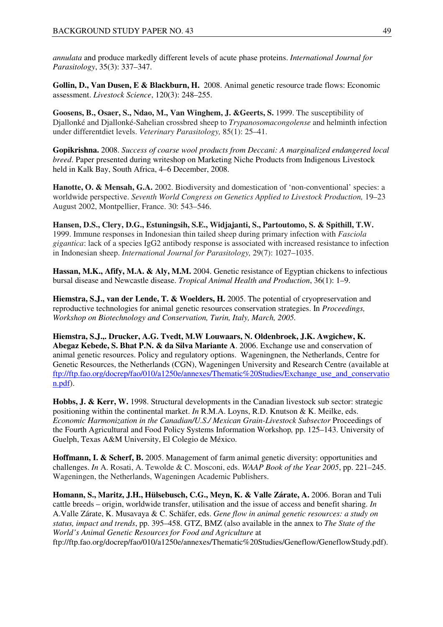*annulata* and produce markedly different levels of acute phase proteins. *International Journal for Parasitology*, 35(3): 337–347.

**Gollin, D., Van Dusen, E & Blackburn, H.** 2008. Animal genetic resource trade flows: Economic assessment. *Livestock Science*, 120(3): 248–255.

**Goosens, B., Osaer, S., Ndao, M., Van Winghem, J. &Geerts, S.** 1999. The susceptibility of Djallonké and Djallonké-Sahelian crossbred sheep to *Trypanosomacongolense* and helminth infection under differentdiet levels. *Veterinary Parasitology,* 85(1): 25–41.

**Gopikrishna.** 2008. *Success of coarse wool products from Deccani: A marginalized endangered local breed*. Paper presented during writeshop on Marketing Niche Products from Indigenous Livestock held in Kalk Bay, South Africa, 4–6 December, 2008.

**Hanotte, O. & Mensah, G.A.** 2002. Biodiversity and domestication of 'non-conventional' species: a worldwide perspective. *Seventh World Congress on Genetics Applied to Livestock Production*, 19–23 August 2002, Montpellier, France. 30: 543–546.

**Hansen, D.S., Clery, D.G., Estuningsih, S.E., Widjajanti, S., Partoutomo, S. & Spithill, T.W.** 1999. Immune responses in Indonesian thin tailed sheep during primary infection with *Fasciola gigantica*: lack of a species IgG2 antibody response is associated with increased resistance to infection in Indonesian sheep. *International Journal for Parasitology,* 29(7): 1027–1035.

**Hassan, M.K., Afify, M.A. & Aly, M.M.** 2004. Genetic resistance of Egyptian chickens to infectious bursal disease and Newcastle disease. *Tropical Animal Health and Production*, 36(1): 1–9.

**Hiemstra, S.J., van der Lende, T. & Woelders, H.** 2005. The potential of cryopreservation and reproductive technologies for animal genetic resources conservation strategies. In *Proceedings, Workshop on Biotechnology and Conservation, Turin, Italy, March, 2005.*

**Hiemstra, S.J.,. Drucker, A.G. Tvedt, M.W Louwaars, N. Oldenbroek, J.K. Awgichew, K. Abegaz Kebede, S. Bhat P.N. & da Silva Mariante A**. 2006. Exchange use and conservation of animal genetic resources. Policy and regulatory options. Wageningnen, the Netherlands, Centre for Genetic Resources, the Netherlands (CGN), Wageningen University and Research Centre (available at ftp://ftp.fao.org/docrep/fao/010/a1250e/annexes/Thematic%20Studies/Exchange\_use\_and\_conservatio n.pdf).

**Hobbs, J. & Kerr, W.** 1998. Structural developments in the Canadian livestock sub sector: strategic positioning within the continental market. *In* R.M.A. Loyns, R.D. Knutson & K. Meilke, eds. *Economic Harmonization in the Canadian/U.S./ Mexican Grain-Livestock Subsector* Proceedings of the Fourth Agricultural and Food Policy Systems Information Workshop*,* pp. 125–143. University of Guelph, Texas A&M University, El Colegio de México.

**Hoffmann, I. & Scherf, B.** 2005. Management of farm animal genetic diversity: opportunities and challenges. *In* A. Rosati, A. Tewolde & C. Mosconi, eds. *WAAP Book of the Year 2005*, pp. 221–245. Wageningen, the Netherlands, Wageningen Academic Publishers.

**Homann, S., Maritz, J.H., Hülsebusch, C.G., Meyn, K. & Valle Zárate, A.** 2006. Boran and Tuli cattle breeds – origin, worldwide transfer, utilisation and the issue of access and benefit sharing. *In* A.Valle Zárate, K. Musavaya & C. Schäfer, eds. *Gene flow in animal genetic resources: a study on status, impact and trends*, pp. 395–458. GTZ, BMZ (also available in the annex to *The State of the World's Animal Genetic Resources for Food and Agriculture* at

ftp://ftp.fao.org/docrep/fao/010/a1250e/annexes/Thematic%20Studies/Geneflow/GeneflowStudy.pdf).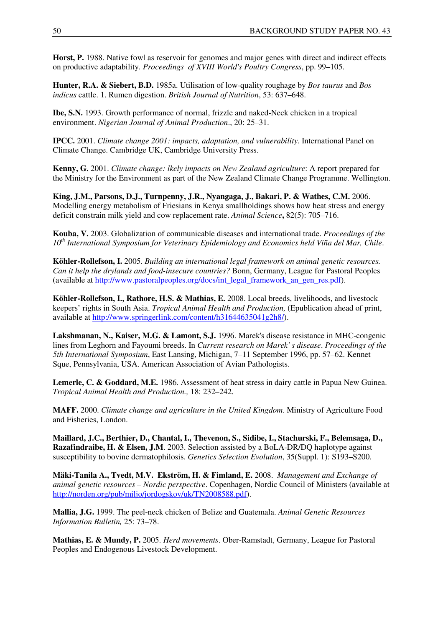Horst, P. 1988. Native fowl as reservoir for genomes and major genes with direct and indirect effects on productive adaptability*. Proceedings of XVIII World's Poultry Congress*, pp. 99–105.

**Hunter, R.A. & Siebert, B.D.** 1985a. Utilisation of low-quality roughage by *Bos taurus* and *Bos indicus* cattle. 1. Rumen digestion. *British Journal of Nutrition*, 53: 637–648.

**Ibe, S.N.** 1993. Growth performance of normal, frizzle and naked-Neck chicken in a tropical environment. *Nigerian Journal of Animal Production*., 20: 25–31.

**IPCC.** 2001. *Climate change 2001: impacts, adaptation, and vulnerability*. International Panel on Climate Change. Cambridge UK, Cambridge University Press.

**Kenny, G.** 2001. *Climate change: lkely impacts on New Zealand agriculture*: A report prepared for the Ministry for the Environment as part of the New Zealand Climate Change Programme. Wellington.

**King, J.M., Parsons, D.J., Turnpenny, J.R., Nyangaga, J., Bakari, P. & Wathes, C.M.** 2006. Modelling energy metabolism of Friesians in Kenya smallholdings shows how heat stress and energy deficit constrain milk yield and cow replacement rate. *Animal Science***,** 82(5): 705–716.

**Kouba, V.** 2003. Globalization of communicable diseases and international trade. *Proceedings of the 10th International Symposium for Veterinary Epidemiology and Economics held Viña del Mar, Chile*.

**Köhler-Rollefson, I.** 2005. *Building an international legal framework on animal genetic resources. Can it help the drylands and food-insecure countries?* Bonn, Germany, League for Pastoral Peoples (available at http://www.pastoralpeoples.org/docs/int\_legal\_framework\_an\_gen\_res.pdf).

**Köhler-Rollefson, I., Rathore, H.S. & Mathias, E.** 2008. Local breeds, livelihoods, and livestock keepers' rights in South Asia. *Tropical Animal Health and Production,* (Epublication ahead of print, available at http://www.springerlink.com/content/h31644635041g2h8/).

**Lakshmanan, N., Kaiser, M.G. & Lamont, S.J.** 1996. Marek's disease resistance in MHC-congenic lines from Leghorn and Fayoumi breeds. In *Current research on Marek' s disease*. *Proceedings of the 5th International Symposium*, East Lansing, Michigan, 7–11 September 1996, pp. 57–62. Kennet Sque, Pennsylvania, USA. American Association of Avian Pathologists.

**Lemerle, C. & Goddard, M.E.** 1986. Assessment of heat stress in dairy cattle in Papua New Guinea. *Tropical Animal Health and Production.,* 18: 232–242.

**MAFF.** 2000. *Climate change and agriculture in the United Kingdom*. Ministry of Agriculture Food and Fisheries, London.

**Maillard, J.C., Berthier, D., Chantal, I., Thevenon, S., Sidibe, I., Stachurski, F., Belemsaga, D., Razafindraibe, H. & Elsen, J.M**. 2003. Selection assisted by a BoLA-DR/DQ haplotype against susceptibility to bovine dermatophilosis. *Genetics Selection Evolution*, 35(Suppl. 1): S193–S200.

**Mäki-Tanila A., Tvedt, M.V. Ekström, H. & Fimland, E.** 2008. *Management and Exchange of animal genetic resources – Nordic perspective*. Copenhagen, Nordic Council of Ministers (available at http://norden.org/pub/miljo/jordogskov/uk/TN2008588.pdf).

**Mallia, J.G.** 1999. The peel-neck chicken of Belize and Guatemala. *Animal Genetic Resources Information Bulletin,* 25: 73–78.

**Mathias, E. & Mundy, P.** 2005. *Herd movements*. Ober-Ramstadt, Germany, League for Pastoral Peoples and Endogenous Livestock Development.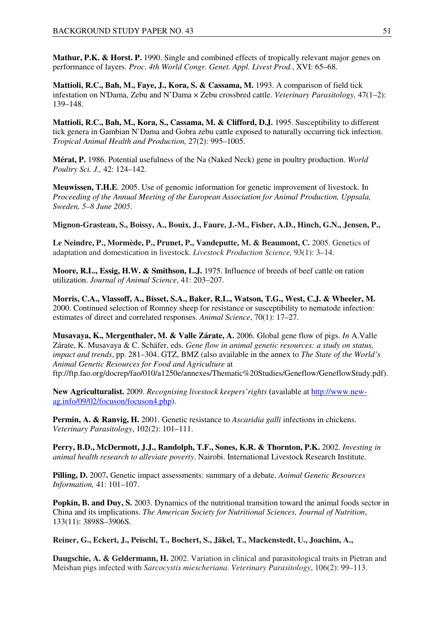**Mathur, P.K. & Horst. P.** 1990. Single and combined effects of tropically relevant major genes on performance of layers. *Proc. 4th World Congr. Genet. Appl. Livest Prod.*, XVI: 65–68.

**Mattioli, R.C., Bah, M., Faye, J., Kora, S. & Cassama, M.** 1993. A comparison of field tick infestation on N'Dama, Zebu and N'Dama × Zebu crossbred cattle. *Veterinary Parasitology,* 47(1–2): 139–148.

**Mattioli, R.C., Bah, M., Kora, S., Cassama, M. & Clifford, D.J.** 1995. Susceptibility to different tick genera in Gambian N'Dama and Gobra zebu cattle exposed to naturally occurring tick infection. *Tropical Animal Health and Production,* 27(2): 995–1005.

**Mérat, P.** 1986. Potential usefulness of the Na (Naked Neck) gene in poultry production. *World Poultry Sci. J.,* 42: 124–142.

**Meuwissen, T.H.E**. 2005. Use of genomic information for genetic improvement of livestock. In *Proceeding of the Annual Meeting of the European Association for Animal Production, Uppsala, Sweden, 5–8 June 2005*.

**Mignon-Grasteau, S., Boissy, A., Bouix, J., Faure, J.-M., Fisher, A.D., Hinch, G.N., Jensen, P.,** 

**Le Neindre, P., Mormède, P., Prunet, P., Vandeputte, M. & Beaumont, C.** 2005. Genetics of adaptation and domestication in livestock. *Livestock Production Science,* 93(1): 3–14.

**Moore, R.L., Essig, H.W. & Smithson, L.J.** 1975. Influence of breeds of beef cattle on ration utilization. *Journal of Animal Science*, 41: 203–207.

**Morris, C.A., Vlassoff, A., Bisset, S.A., Baker, R.L., Watson, T.G., West, C.J. & Wheeler, M.** 2000. Continued selection of Romney sheep for resistance or susceptibility to nematode infection: estimates of direct and correlated responses. *Animal Science*, 70(1): 17–27.

**Musavaya, K., Mergenthaler, M. & Valle Zárate, A.** 2006. Global gene flow of pigs. *In* A.Valle Zárate, K. Musavaya & C. Schäfer, eds. *Gene flow in animal genetic resources: a study on status, impact and trends*, pp. 281–304. GTZ, BMZ (also available in the annex to *The State of the World's Animal Genetic Resources for Food and Agriculture* at

ftp://ftp.fao.org/docrep/fao/010/a1250e/annexes/Thematic%20Studies/Geneflow/GeneflowStudy.pdf).

**New Agriculturalist.** 2009. *Recognising livestock keepers'rights* **(**available at http://www.newag.info/09/02/focuson/focuson4.php).

**Permin, A. & Ranvig, H.** 2001. Genetic resistance to *Ascaridia galli* infections in chickens. *Veterinary Parasitology*, 102(2): 101–111.

**Perry, B.D., McDermott, J.J., Randolph, T.F., Sones, K.R. & Thornton, P.K.** 2002. *Investing in animal health research to alleviate poverty*. Nairobi. International Livestock Research Institute.

**Pilling, D.** 2007**.** Genetic impact assessments: summary of a debate. *Animal Genetic Resources Information,* 41: 101–107.

**Popkin, B. and Duy, S.** 2003. Dynamics of the nutritional transition toward the animal foods sector in China and its implications. *The American Society for Nutritional Sciences, Journal of Nutrition*, 133(11): 3898S–3906S.

**Reiner, G., Eckert, J., Peischl, T., Bochert, S., Jäkel, T., Mackenstedt, U., Joachim, A.,** 

**Daugschie, A. & Geldermann, H.** 2002. Variation in clinical and parasitological traits in Pietran and Meishan pigs infected with *Sarcocystis miescheriana*. *Veterinary Parasitology*, 106(2): 99–113.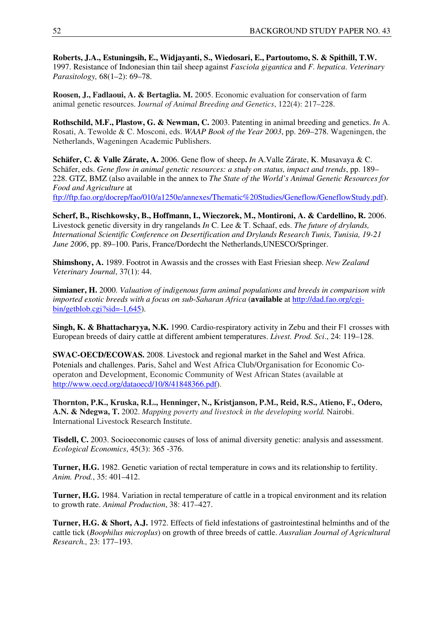**Roberts, J.A., Estuningsih, E., Widjayanti, S., Wiedosari, E., Partoutomo, S. & Spithill, T.W.** 1997. Resistance of Indonesian thin tail sheep against *Fasciola gigantica* and *F. hepatica*. *Veterinary Parasitology,* 68(1–2): 69–78.

**Roosen, J., Fadlaoui, A. & Bertaglia. M.** 2005. Economic evaluation for conservation of farm animal genetic resources. J*ournal of Animal Breeding and Genetics*, 122(4): 217–228.

**Rothschild, M.F., Plastow, G. & Newman, C.** 2003. Patenting in animal breeding and genetics. *In* A. Rosati, A. Tewolde & C. Mosconi, eds. *WAAP Book of the Year 2003*, pp. 269–278. Wageningen, the Netherlands, Wageningen Academic Publishers.

**Schäfer, C. & Valle Zárate, A.** 2006. Gene flow of sheep**.** *In* A.Valle Zárate, K. Musavaya & C. Schäfer, eds. *Gene flow in animal genetic resources: a study on status, impact and trends*, pp. 189– 228. GTZ, BMZ (also available in the annex to *The State of the World's Animal Genetic Resources for Food and Agriculture* at

ftp://ftp.fao.org/docrep/fao/010/a1250e/annexes/Thematic%20Studies/Geneflow/GeneflowStudy.pdf).

**Scherf, B., Rischkowsky, B., Hoffmann, I., Wieczorek, M., Montironi, A. & Cardellino, R.** 2006. Livestock genetic diversity in dry rangelands *In* C. Lee & T. Schaaf, eds. *The future of drylands, International Scientific Conference on Desertification and Drylands Research Tunis, Tunisia, 19-21 June 2006*, pp. 89–100. Paris, France/Dordecht the Netherlands,UNESCO/Springer.

**Shimshony, A.** 1989. Footrot in Awassis and the crosses with East Friesian sheep. *New Zealand Veterinary Journal*, 37(1): 44.

**Simianer, H.** 2000. *Valuation of indigenous farm animal populations and breeds in comparison with imported exotic breeds with a focus on sub-Saharan Africa* (**available** at http://dad.fao.org/cgibin/getblob.cgi?sid=-1,645).

**Singh, K. & Bhattacharyya, N.K.** 1990. Cardio-respiratory activity in Zebu and their F1 crosses with European breeds of dairy cattle at different ambient temperatures. *Livest. Prod. Sci*., 24: 119–128.

**SWAC-OECD/ECOWAS.** 2008. Livestock and regional market in the Sahel and West Africa. Potenials and challenges. Paris, Sahel and West Africa Club/Organisation for Economic Cooperaton and Development, Economic Community of West African States (available at http://www.oecd.org/dataoecd/10/8/41848366.pdf).

**Thornton, P.K., Kruska, R.L., Henninger, N., Kristjanson, P.M., Reid, R.S., Atieno, F., Odero, A.N. & Ndegwa, T.** 2002. *Mapping poverty and livestock in the developing world.* Nairobi. International Livestock Research Institute.

**Tisdell, C.** 2003. Socioeconomic causes of loss of animal diversity genetic: analysis and assessment. *Ecological Economics*, 45(3): 365 -376.

**Turner, H.G.** 1982. Genetic variation of rectal temperature in cows and its relationship to fertility. *Anim. Prod.*, 35: 401–412.

**Turner, H.G.** 1984. Variation in rectal temperature of cattle in a tropical environment and its relation to growth rate. *Animal Production*, 38: 417–427.

**Turner, H.G. & Short, A.J.** 1972. Effects of field infestations of gastrointestinal helminths and of the cattle tick (*Boophilus microplus*) on growth of three breeds of cattle. *Ausralian Journal of Agricultural Research.,* 23: 177–193.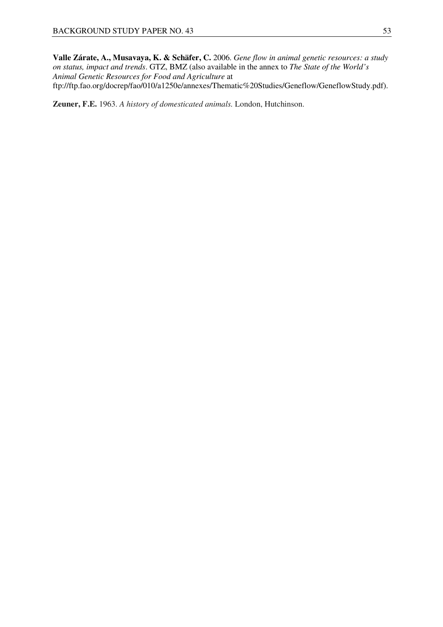**Valle Zárate, A., Musavaya, K. & Schäfer, C.** 2006. *Gene flow in animal genetic resources: a study on status, impact and trends*. GTZ, BMZ (also available in the annex to *The State of the World's Animal Genetic Resources for Food and Agriculture* at ftp://ftp.fao.org/docrep/fao/010/a1250e/annexes/Thematic%20Studies/Geneflow/GeneflowStudy.pdf).

**Zeuner, F.E.** 1963. *A history of domesticated animals.* London, Hutchinson.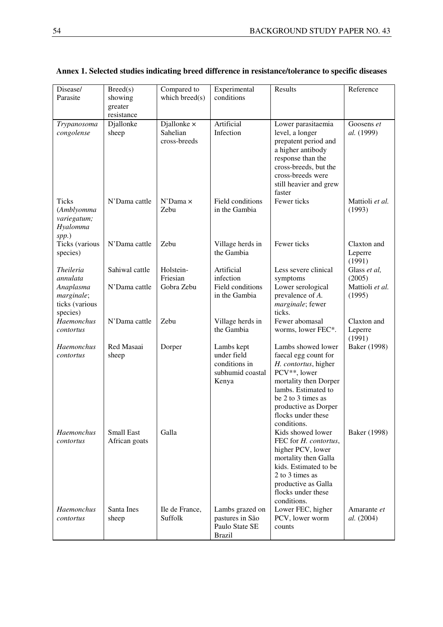| Disease/                                                          | Breed(s)                           | Compared to                                    | Experimental                       | Results                                                                                                                                                                                   | Reference                        |
|-------------------------------------------------------------------|------------------------------------|------------------------------------------------|------------------------------------|-------------------------------------------------------------------------------------------------------------------------------------------------------------------------------------------|----------------------------------|
| Parasite                                                          | showing                            | which breed(s)                                 | conditions                         |                                                                                                                                                                                           |                                  |
|                                                                   | greater<br>resistance              |                                                |                                    |                                                                                                                                                                                           |                                  |
| Trypanosoma<br>congolense                                         | Djallonke<br>sheep                 | Djallonke $\times$<br>Sahelian<br>cross-breeds | Artificial<br>Infection            | Lower parasitaemia<br>level, a longer<br>prepatent period and<br>a higher antibody<br>response than the<br>cross-breeds, but the<br>cross-breeds were<br>still heavier and grew<br>faster | Goosens et<br>al. (1999)         |
| <b>Ticks</b><br>(Amblyomma<br>variegatum;<br>Hyalomma<br>$spp.$ ) | N'Dama cattle                      | N'Dama x<br>Zebu                               | Field conditions<br>in the Gambia  | Fewer ticks                                                                                                                                                                               | Mattioli et al.<br>(1993)        |
| Ticks (various<br>species)                                        | N'Dama cattle                      | Zebu                                           | Village herds in<br>the Gambia     | Fewer ticks                                                                                                                                                                               | Claxton and<br>Leperre<br>(1991) |
| <i>Theileria</i>                                                  | Sahiwal cattle                     | Holstein-                                      | Artificial                         | Less severe clinical                                                                                                                                                                      | Glass et al,                     |
| annulata                                                          |                                    | Friesian                                       | infection<br>Field conditions      | symptoms                                                                                                                                                                                  | (2005)                           |
| Anaplasma<br>marginale;                                           | N'Dama cattle                      | Gobra Zebu                                     | in the Gambia                      | Lower serological<br>prevalence of A.                                                                                                                                                     | Mattioli et al.<br>(1995)        |
| ticks (various                                                    |                                    |                                                |                                    | marginale; fewer                                                                                                                                                                          |                                  |
| species)                                                          |                                    |                                                |                                    | ticks.                                                                                                                                                                                    |                                  |
| Haemonchus<br>contortus                                           | N'Dama cattle                      | Zebu                                           | Village herds in<br>the Gambia     | Fewer abomasal<br>worms, lower FEC*.                                                                                                                                                      | Claxton and<br>Leperre           |
|                                                                   |                                    |                                                |                                    |                                                                                                                                                                                           | (1991)                           |
| Haemonchus                                                        | Red Masaai                         | Dorper                                         | Lambs kept                         | Lambs showed lower                                                                                                                                                                        | Baker (1998)                     |
| contortus                                                         | sheep                              |                                                | under field<br>conditions in       | faecal egg count for                                                                                                                                                                      |                                  |
|                                                                   |                                    |                                                | subhumid coastal                   | H. contortus, higher<br>PCV**, lower                                                                                                                                                      |                                  |
|                                                                   |                                    |                                                | Kenya                              | mortality then Dorper                                                                                                                                                                     |                                  |
|                                                                   |                                    |                                                |                                    | lambs. Estimated to                                                                                                                                                                       |                                  |
|                                                                   |                                    |                                                |                                    | be 2 to 3 times as<br>productive as Dorper                                                                                                                                                |                                  |
|                                                                   |                                    |                                                |                                    | flocks under these                                                                                                                                                                        |                                  |
|                                                                   |                                    |                                                |                                    | conditions.                                                                                                                                                                               |                                  |
| Haemonchus<br>contortus                                           | <b>Small East</b><br>African goats | Galla                                          |                                    | Kids showed lower<br>FEC for H. contortus,                                                                                                                                                | Baker (1998)                     |
|                                                                   |                                    |                                                |                                    | higher PCV, lower                                                                                                                                                                         |                                  |
|                                                                   |                                    |                                                |                                    | mortality then Galla                                                                                                                                                                      |                                  |
|                                                                   |                                    |                                                |                                    | kids. Estimated to be<br>2 to 3 times as                                                                                                                                                  |                                  |
|                                                                   |                                    |                                                |                                    | productive as Galla                                                                                                                                                                       |                                  |
|                                                                   |                                    |                                                |                                    | flocks under these<br>conditions.                                                                                                                                                         |                                  |
| Haemonchus<br>contortus                                           | Santa Ines<br>sheep                | Ile de France,<br>Suffolk                      | Lambs grazed on<br>pastures in São | Lower FEC, higher<br>PCV, lower worm                                                                                                                                                      | Amarante et<br><i>al.</i> (2004) |
|                                                                   |                                    |                                                | Paulo State SE                     | counts                                                                                                                                                                                    |                                  |
|                                                                   |                                    |                                                | <b>Brazil</b>                      |                                                                                                                                                                                           |                                  |

| Annex 1. Selected studies indicating breed difference in resistance/tolerance to specific diseases |  |  |  |  |  |  |  |  |
|----------------------------------------------------------------------------------------------------|--|--|--|--|--|--|--|--|
|----------------------------------------------------------------------------------------------------|--|--|--|--|--|--|--|--|